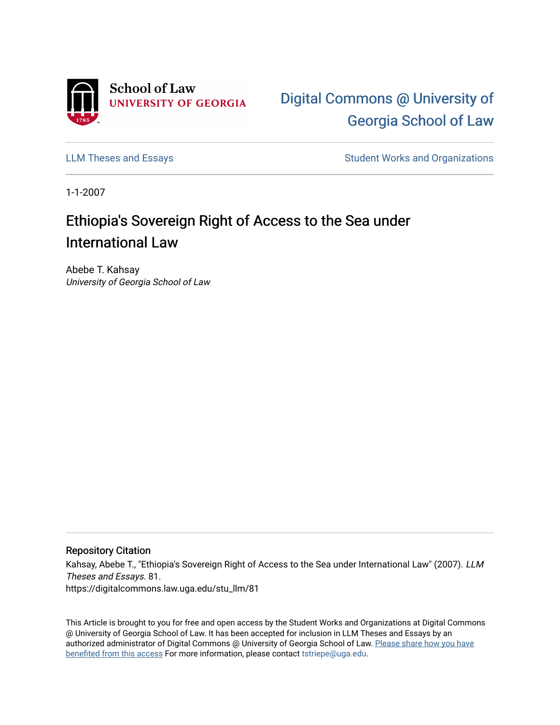

[Digital Commons @ University of](https://digitalcommons.law.uga.edu/)  [Georgia School of Law](https://digitalcommons.law.uga.edu/) 

[LLM Theses and Essays](https://digitalcommons.law.uga.edu/stu_llm) **Student Works and Organizations** Student Works and Organizations

1-1-2007

# Ethiopia's Sovereign Right of Access to the Sea under International Law

Abebe T. Kahsay University of Georgia School of Law

### Repository Citation

Kahsay, Abebe T., "Ethiopia's Sovereign Right of Access to the Sea under International Law" (2007). LLM Theses and Essays. 81. https://digitalcommons.law.uga.edu/stu\_llm/81

This Article is brought to you for free and open access by the Student Works and Organizations at Digital Commons @ University of Georgia School of Law. It has been accepted for inclusion in LLM Theses and Essays by an authorized administrator of Digital Commons @ University of Georgia School of Law. [Please share how you have](https://docs.google.com/forms/d/e/1FAIpQLSc_7JxpD4JNSJyX6RwtrWT9ZyH0ZZhUyG3XrFAJV-kf1AGk6g/viewform) [benefited from this access](https://docs.google.com/forms/d/e/1FAIpQLSc_7JxpD4JNSJyX6RwtrWT9ZyH0ZZhUyG3XrFAJV-kf1AGk6g/viewform) For more information, please contact [tstriepe@uga.edu.](mailto:tstriepe@uga.edu)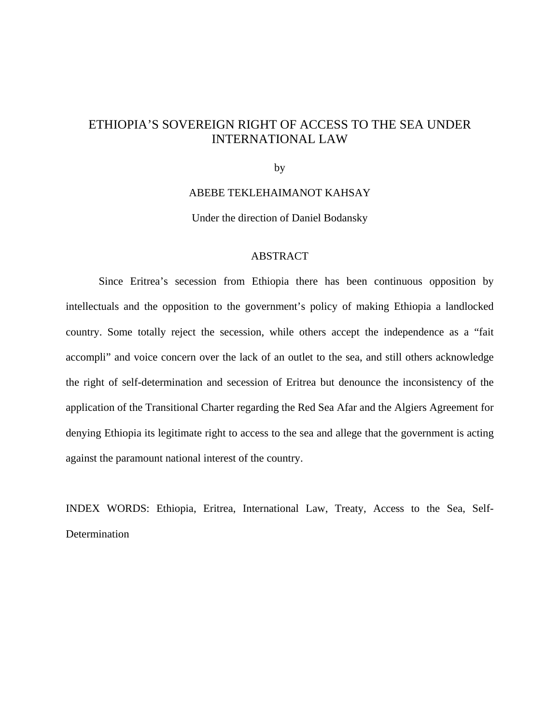## ETHIOPIA'S SOVEREIGN RIGHT OF ACCESS TO THE SEA UNDER INTERNATIONAL LAW

by

### ABEBE TEKLEHAIMANOT KAHSAY

Under the direction of Daniel Bodansky

### ABSTRACT

Since Eritrea's secession from Ethiopia there has been continuous opposition by intellectuals and the opposition to the government's policy of making Ethiopia a landlocked country. Some totally reject the secession, while others accept the independence as a "fait accompli" and voice concern over the lack of an outlet to the sea, and still others acknowledge the right of self-determination and secession of Eritrea but denounce the inconsistency of the application of the Transitional Charter regarding the Red Sea Afar and the Algiers Agreement for denying Ethiopia its legitimate right to access to the sea and allege that the government is acting against the paramount national interest of the country.

INDEX WORDS: Ethiopia, Eritrea, International Law, Treaty, Access to the Sea, Self-Determination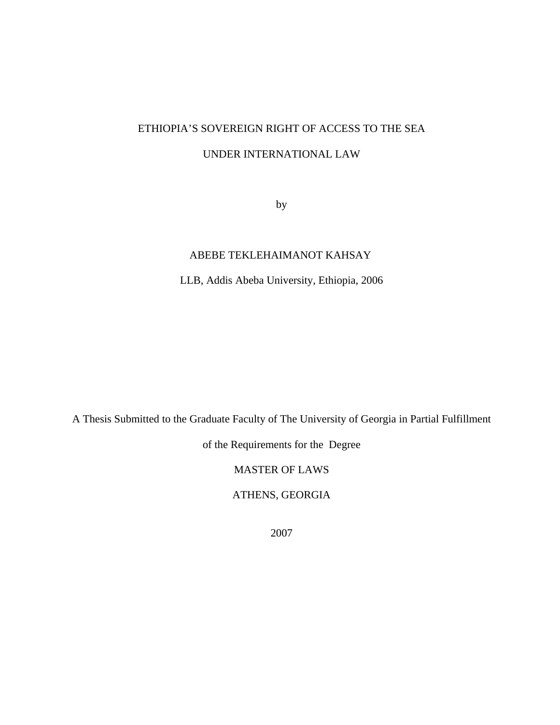## ETHIOPIA'S SOVEREIGN RIGHT OF ACCESS TO THE SEA

## UNDER INTERNATIONAL LAW

by

## ABEBE TEKLEHAIMANOT KAHSAY

LLB, Addis Abeba University, Ethiopia, 2006

A Thesis Submitted to the Graduate Faculty of The University of Georgia in Partial Fulfillment

of the Requirements for the Degree

MASTER OF LAWS

ATHENS, GEORGIA

2007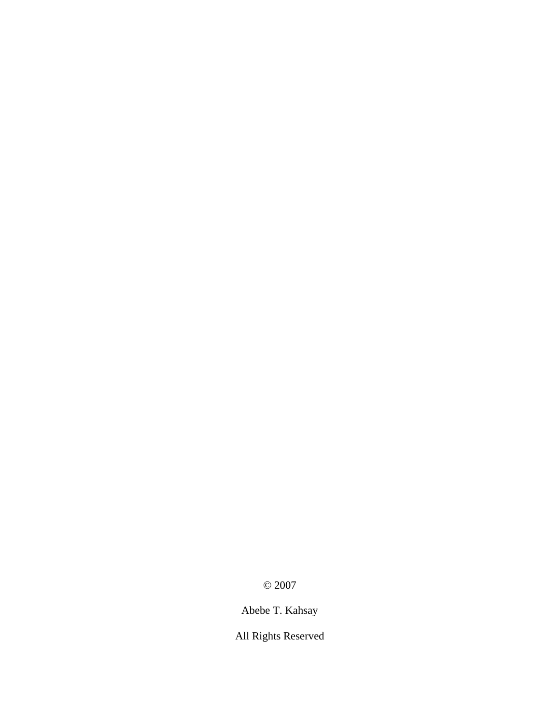© 2007

Abebe T. Kahsay

All Rights Reserved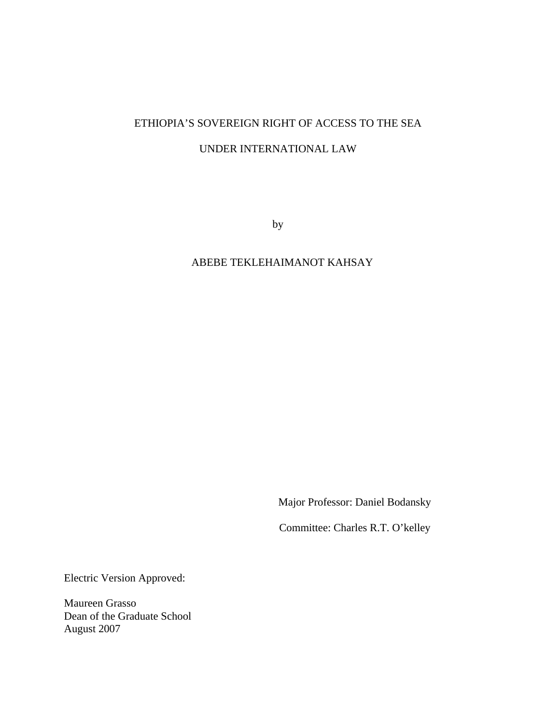## ETHIOPIA'S SOVEREIGN RIGHT OF ACCESS TO THE SEA

## UNDER INTERNATIONAL LAW

by

## ABEBE TEKLEHAIMANOT KAHSAY

Major Professor: Daniel Bodansky

Committee: Charles R.T. O'kelley

Electric Version Approved:

Maureen Grasso Dean of the Graduate School August 2007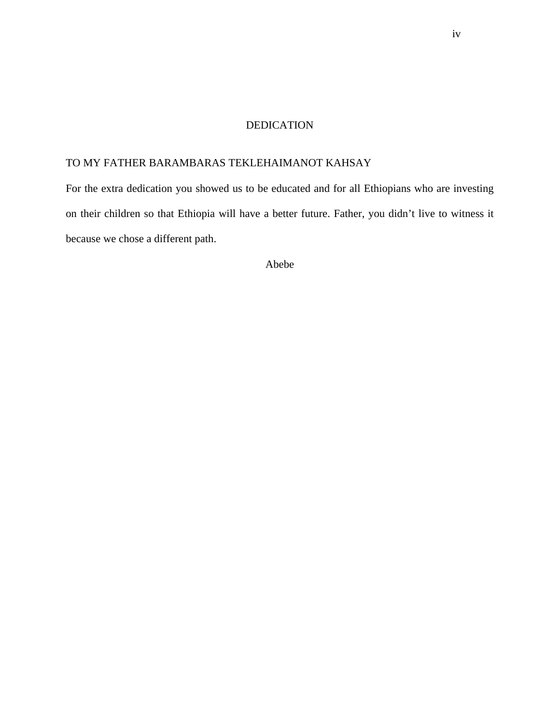### DEDICATION

## TO MY FATHER BARAMBARAS TEKLEHAIMANOT KAHSAY

For the extra dedication you showed us to be educated and for all Ethiopians who are investing on their children so that Ethiopia will have a better future. Father, you didn't live to witness it because we chose a different path.

Abebe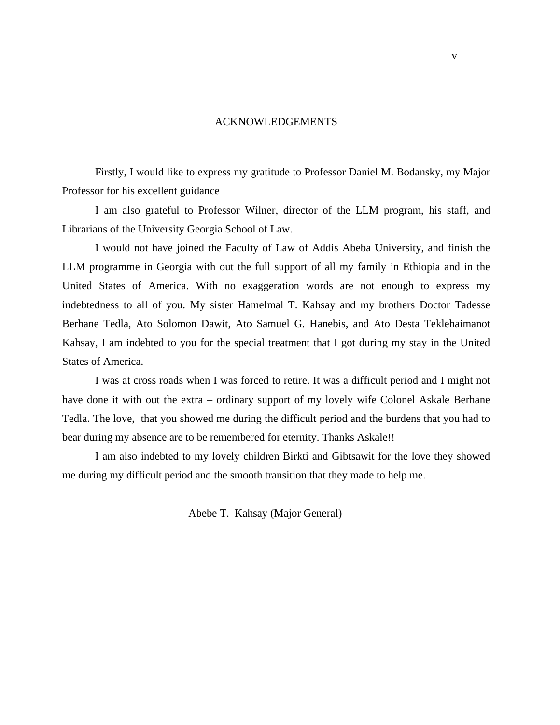### ACKNOWLEDGEMENTS

Firstly, I would like to express my gratitude to Professor Daniel M. Bodansky, my Major Professor for his excellent guidance

 I am also grateful to Professor Wilner, director of the LLM program, his staff, and Librarians of the University Georgia School of Law.

 I would not have joined the Faculty of Law of Addis Abeba University, and finish the LLM programme in Georgia with out the full support of all my family in Ethiopia and in the United States of America. With no exaggeration words are not enough to express my indebtedness to all of you. My sister Hamelmal T. Kahsay and my brothers Doctor Tadesse Berhane Tedla, Ato Solomon Dawit, Ato Samuel G. Hanebis, and Ato Desta Teklehaimanot Kahsay, I am indebted to you for the special treatment that I got during my stay in the United States of America.

 I was at cross roads when I was forced to retire. It was a difficult period and I might not have done it with out the extra – ordinary support of my lovely wife Colonel Askale Berhane Tedla. The love, that you showed me during the difficult period and the burdens that you had to bear during my absence are to be remembered for eternity. Thanks Askale!!

 I am also indebted to my lovely children Birkti and Gibtsawit for the love they showed me during my difficult period and the smooth transition that they made to help me.

Abebe T. Kahsay (Major General)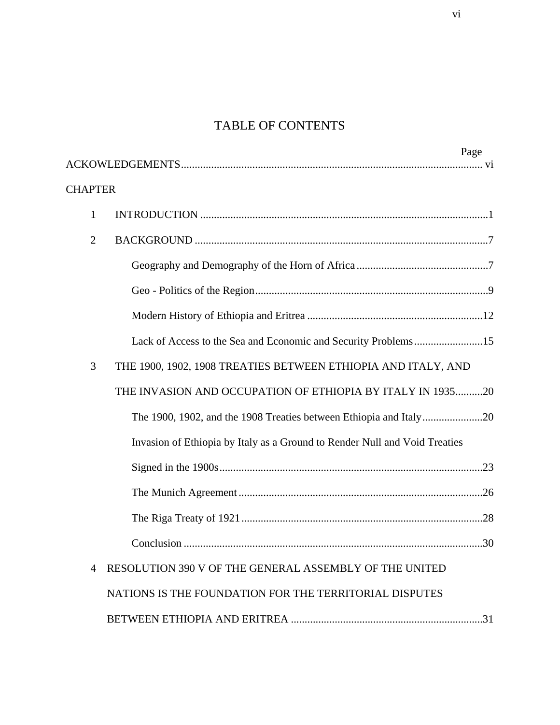## TABLE OF CONTENTS

| Page                                                                       |
|----------------------------------------------------------------------------|
|                                                                            |
| <b>CHAPTER</b>                                                             |
| $\mathbf{1}$                                                               |
| $\overline{2}$                                                             |
|                                                                            |
|                                                                            |
|                                                                            |
| Lack of Access to the Sea and Economic and Security Problems15             |
| THE 1900, 1902, 1908 TREATIES BETWEEN ETHIOPIA AND ITALY, AND<br>3         |
| THE INVASION AND OCCUPATION OF ETHIOPIA BY ITALY IN 193520                 |
|                                                                            |
| Invasion of Ethiopia by Italy as a Ground to Render Null and Void Treaties |
|                                                                            |
|                                                                            |
|                                                                            |
|                                                                            |
| RESOLUTION 390 V OF THE GENERAL ASSEMBLY OF THE UNITED<br>4                |
| NATIONS IS THE FOUNDATION FOR THE TERRITORIAL DISPUTES                     |
|                                                                            |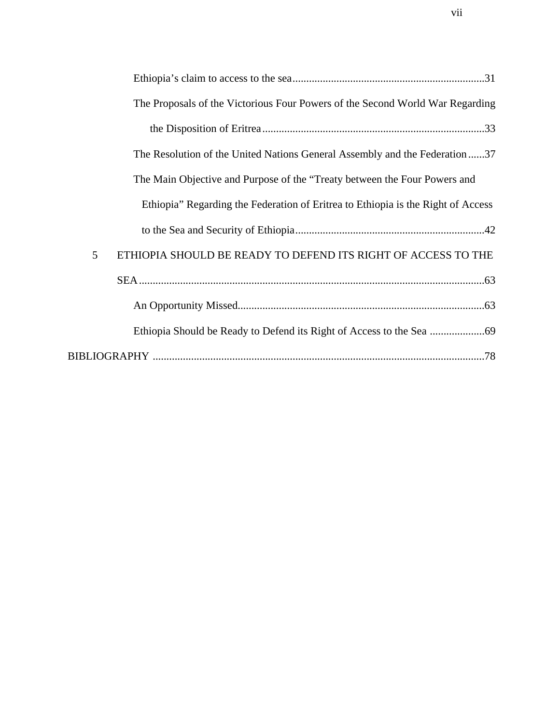| The Proposals of the Victorious Four Powers of the Second World War Regarding    |
|----------------------------------------------------------------------------------|
|                                                                                  |
| The Resolution of the United Nations General Assembly and the Federation37       |
| The Main Objective and Purpose of the "Treaty between the Four Powers and        |
| Ethiopia" Regarding the Federation of Eritrea to Ethiopia is the Right of Access |
|                                                                                  |
| 5<br>ETHIOPIA SHOULD BE READY TO DEFEND ITS RIGHT OF ACCESS TO THE               |
|                                                                                  |
|                                                                                  |
|                                                                                  |
|                                                                                  |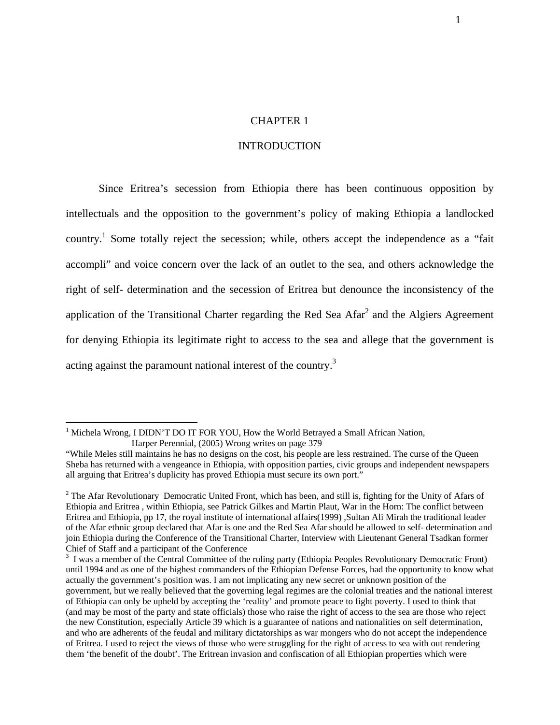### CHAPTER 1

### INTRODUCTION

Since Eritrea's secession from Ethiopia there has been continuous opposition by intellectuals and the opposition to the government's policy of making Ethiopia a landlocked country.<sup>1</sup> Some totally reject the secession; while, others accept the independence as a "fait" accompli" and voice concern over the lack of an outlet to the sea, and others acknowledge the right of self- determination and the secession of Eritrea but denounce the inconsistency of the application of the Transitional Charter regarding the Red Sea Afar $^2$  and the Algiers Agreement for denying Ethiopia its legitimate right to access to the sea and allege that the government is acting against the paramount national interest of the country.<sup>3</sup>

<sup>&</sup>lt;sup>1</sup> Michela Wrong, I DIDN'T DO IT FOR YOU, How the World Betrayed a Small African Nation, Harper Perennial, (2005) Wrong writes on page 379

<sup>&</sup>quot;While Meles still maintains he has no designs on the cost, his people are less restrained. The curse of the Queen Sheba has returned with a vengeance in Ethiopia, with opposition parties, civic groups and independent newspapers all arguing that Eritrea's duplicity has proved Ethiopia must secure its own port."

 $2^2$  The Afar Revolutionary Democratic United Front, which has been, and still is, fighting for the Unity of Afars of Ethiopia and Eritrea , within Ethiopia, see Patrick Gilkes and Martin Plaut, War in the Horn: The conflict between Eritrea and Ethiopia, pp 17, the royal institute of international affairs(1999) ,Sultan Ali Mirah the traditional leader of the Afar ethnic group declared that Afar is one and the Red Sea Afar should be allowed to self- determination and join Ethiopia during the Conference of the Transitional Charter, Interview with Lieutenant General Tsadkan former Chief of Staff and a participant of the Conference

<sup>&</sup>lt;sup>3</sup> I was a member of the Central Committee of the ruling party (Ethiopia Peoples Revolutionary Democratic Front) until 1994 and as one of the highest commanders of the Ethiopian Defense Forces, had the opportunity to know what actually the government's position was. I am not implicating any new secret or unknown position of the government, but we really believed that the governing legal regimes are the colonial treaties and the national interest of Ethiopia can only be upheld by accepting the 'reality' and promote peace to fight poverty. I used to think that (and may be most of the party and state officials) those who raise the right of access to the sea are those who reject the new Constitution, especially Article 39 which is a guarantee of nations and nationalities on self determination, and who are adherents of the feudal and military dictatorships as war mongers who do not accept the independence of Eritrea. I used to reject the views of those who were struggling for the right of access to sea with out rendering them 'the benefit of the doubt'. The Eritrean invasion and confiscation of all Ethiopian properties which were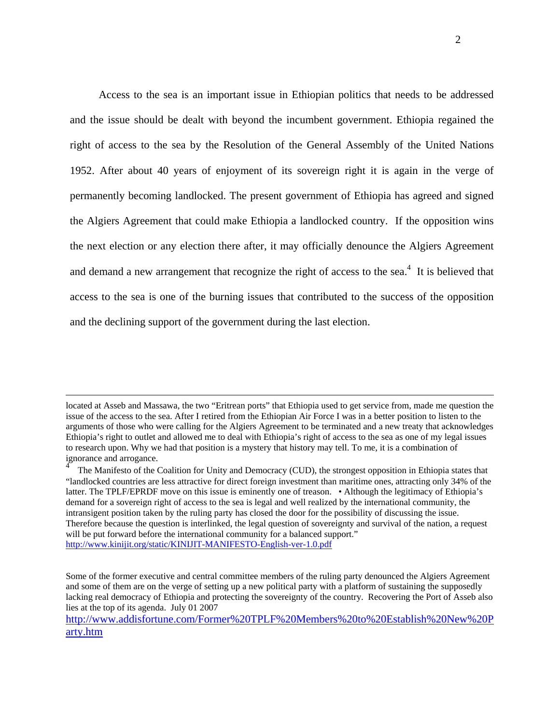Access to the sea is an important issue in Ethiopian politics that needs to be addressed and the issue should be dealt with beyond the incumbent government. Ethiopia regained the right of access to the sea by the Resolution of the General Assembly of the United Nations 1952. After about 40 years of enjoyment of its sovereign right it is again in the verge of permanently becoming landlocked. The present government of Ethiopia has agreed and signed the Algiers Agreement that could make Ethiopia a landlocked country. If the opposition wins the next election or any election there after, it may officially denounce the Algiers Agreement and demand a new arrangement that recognize the right of access to the sea. $4$  It is believed that access to the sea is one of the burning issues that contributed to the success of the opposition and the declining support of the government during the last election.

located at Asseb and Massawa, the two "Eritrean ports" that Ethiopia used to get service from, made me question the issue of the access to the sea. After I retired from the Ethiopian Air Force I was in a better position to listen to the arguments of those who were calling for the Algiers Agreement to be terminated and a new treaty that acknowledges Ethiopia's right to outlet and allowed me to deal with Ethiopia's right of access to the sea as one of my legal issues to research upon. Why we had that position is a mystery that history may tell. To me, it is a combination of ignorance and arrogance.

<sup>4</sup> The Manifesto of the Coalition for Unity and Democracy (CUD), the strongest opposition in Ethiopia states that "landlocked countries are less attractive for direct foreign investment than maritime ones, attracting only 34% of the latter. The TPLF/EPRDF move on this issue is eminently one of treason. • Although the legitimacy of Ethiopia's demand for a sovereign right of access to the sea is legal and well realized by the international community, the intransigent position taken by the ruling party has closed the door for the possibility of discussing the issue. Therefore because the question is interlinked, the legal question of sovereignty and survival of the nation, a request will be put forward before the international community for a balanced support." <http://www.kinijit.org/static/KINIJIT-MANIFESTO-English-ver-1.0.pdf>

Some of the former executive and central committee members of the ruling party denounced the Algiers Agreement and some of them are on the verge of setting up a new political party with a platform of sustaining the supposedly lacking real democracy of Ethiopia and protecting the sovereignty of the country. Recovering the Port of Asseb also lies at the top of its agenda. July 01 2007

<http://www.addisfortune.com/Former%20TPLF%20Members%20to%20Establish%20New%20P> arty.htm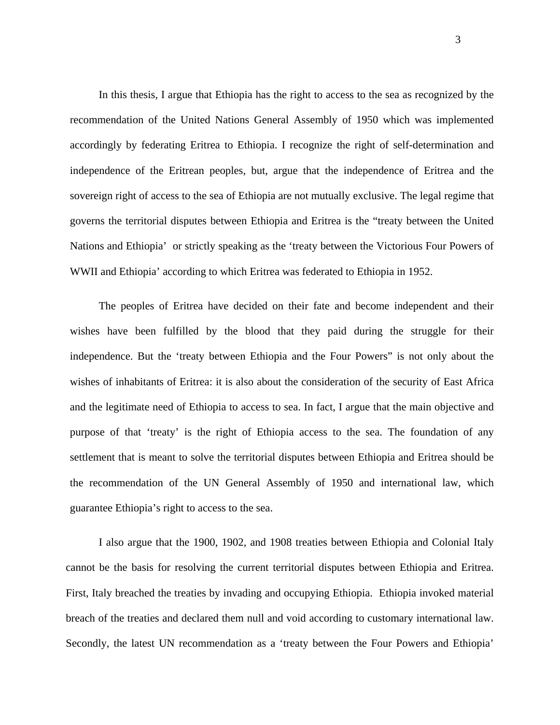In this thesis, I argue that Ethiopia has the right to access to the sea as recognized by the recommendation of the United Nations General Assembly of 1950 which was implemented accordingly by federating Eritrea to Ethiopia. I recognize the right of self-determination and independence of the Eritrean peoples, but, argue that the independence of Eritrea and the sovereign right of access to the sea of Ethiopia are not mutually exclusive. The legal regime that governs the territorial disputes between Ethiopia and Eritrea is the "treaty between the United Nations and Ethiopia' or strictly speaking as the 'treaty between the Victorious Four Powers of WWII and Ethiopia' according to which Eritrea was federated to Ethiopia in 1952.

 The peoples of Eritrea have decided on their fate and become independent and their wishes have been fulfilled by the blood that they paid during the struggle for their independence. But the 'treaty between Ethiopia and the Four Powers" is not only about the wishes of inhabitants of Eritrea: it is also about the consideration of the security of East Africa and the legitimate need of Ethiopia to access to sea. In fact, I argue that the main objective and purpose of that 'treaty' is the right of Ethiopia access to the sea. The foundation of any settlement that is meant to solve the territorial disputes between Ethiopia and Eritrea should be the recommendation of the UN General Assembly of 1950 and international law, which guarantee Ethiopia's right to access to the sea.

I also argue that the 1900, 1902, and 1908 treaties between Ethiopia and Colonial Italy cannot be the basis for resolving the current territorial disputes between Ethiopia and Eritrea. First, Italy breached the treaties by invading and occupying Ethiopia. Ethiopia invoked material breach of the treaties and declared them null and void according to customary international law. Secondly, the latest UN recommendation as a 'treaty between the Four Powers and Ethiopia'

3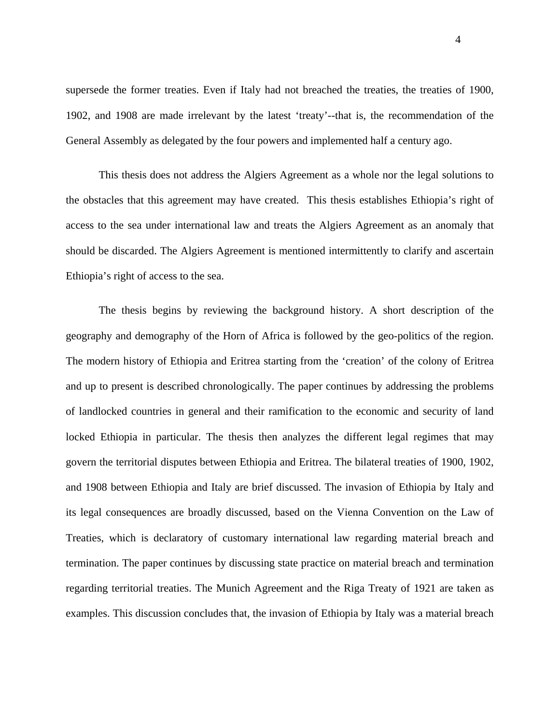supersede the former treaties. Even if Italy had not breached the treaties, the treaties of 1900, 1902, and 1908 are made irrelevant by the latest 'treaty'--that is, the recommendation of the General Assembly as delegated by the four powers and implemented half a century ago.

This thesis does not address the Algiers Agreement as a whole nor the legal solutions to the obstacles that this agreement may have created. This thesis establishes Ethiopia's right of access to the sea under international law and treats the Algiers Agreement as an anomaly that should be discarded. The Algiers Agreement is mentioned intermittently to clarify and ascertain Ethiopia's right of access to the sea.

 The thesis begins by reviewing the background history. A short description of the geography and demography of the Horn of Africa is followed by the geo-politics of the region. The modern history of Ethiopia and Eritrea starting from the 'creation' of the colony of Eritrea and up to present is described chronologically. The paper continues by addressing the problems of landlocked countries in general and their ramification to the economic and security of land locked Ethiopia in particular. The thesis then analyzes the different legal regimes that may govern the territorial disputes between Ethiopia and Eritrea. The bilateral treaties of 1900, 1902, and 1908 between Ethiopia and Italy are brief discussed. The invasion of Ethiopia by Italy and its legal consequences are broadly discussed, based on the Vienna Convention on the Law of Treaties, which is declaratory of customary international law regarding material breach and termination. The paper continues by discussing state practice on material breach and termination regarding territorial treaties. The Munich Agreement and the Riga Treaty of 1921 are taken as examples. This discussion concludes that, the invasion of Ethiopia by Italy was a material breach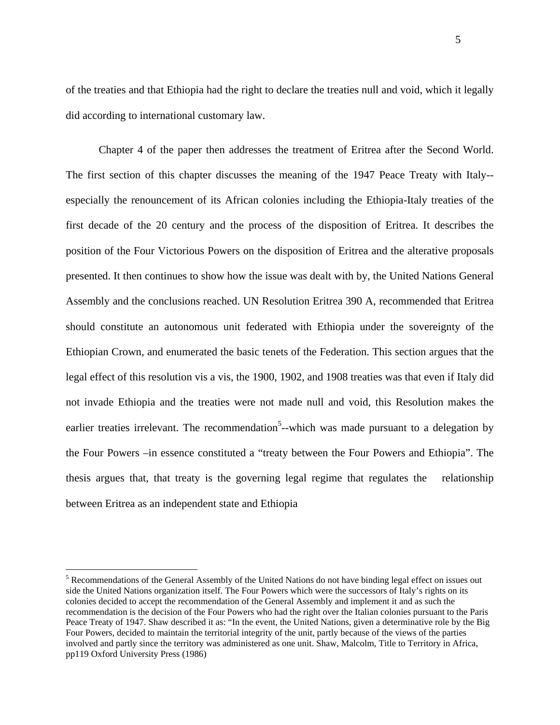of the treaties and that Ethiopia had the right to declare the treaties null and void, which it legally did according to international customary law.

Chapter 4 of the paper then addresses the treatment of Eritrea after the Second World. The first section of this chapter discusses the meaning of the 1947 Peace Treaty with Italy- especially the renouncement of its African colonies including the Ethiopia-Italy treaties of the first decade of the 20 century and the process of the disposition of Eritrea. It describes the position of the Four Victorious Powers on the disposition of Eritrea and the alterative proposals presented. It then continues to show how the issue was dealt with by, the United Nations General Assembly and the conclusions reached. UN Resolution Eritrea 390 A, recommended that Eritrea should constitute an autonomous unit federated with Ethiopia under the sovereignty of the Ethiopian Crown, and enumerated the basic tenets of the Federation. This section argues that the legal effect of this resolution vis a vis, the 1900, 1902, and 1908 treaties was that even if Italy did not invade Ethiopia and the treaties were not made null and void, this Resolution makes the earlier treaties irrelevant. The recommendation<sup>5</sup>--which was made pursuant to a delegation by the Four Powers –in essence constituted a "treaty between the Four Powers and Ethiopia". The thesis argues that, that treaty is the governing legal regime that regulates the relationship between Eritrea as an independent state and Ethiopia

1

<sup>&</sup>lt;sup>5</sup> Recommendations of the General Assembly of the United Nations do not have binding legal effect on issues out side the United Nations organization itself. The Four Powers which were the successors of Italy's rights on its colonies decided to accept the recommendation of the General Assembly and implement it and as such the recommendation is the decision of the Four Powers who had the right over the Italian colonies pursuant to the Paris Peace Treaty of 1947. Shaw described it as: "In the event, the United Nations, given a determinative role by the Big Four Powers, decided to maintain the territorial integrity of the unit, partly because of the views of the parties involved and partly since the territory was administered as one unit. Shaw, Malcolm, Title to Territory in Africa, pp119 Oxford University Press (1986)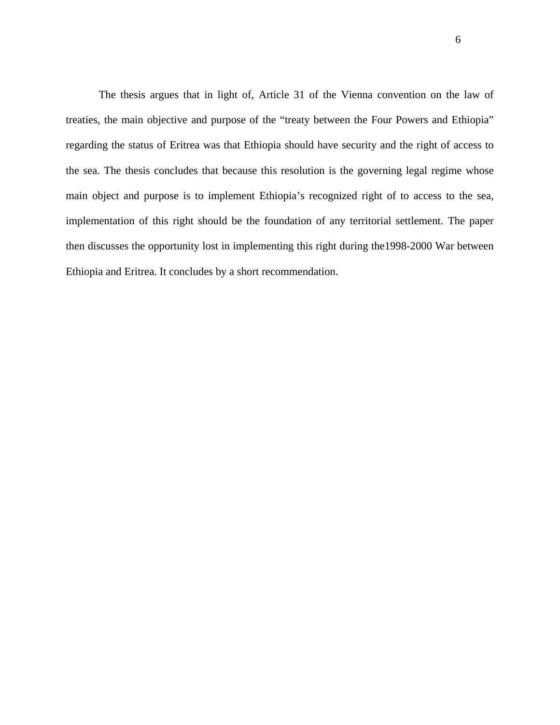The thesis argues that in light of, Article 31 of the Vienna convention on the law of treaties, the main objective and purpose of the "treaty between the Four Powers and Ethiopia" regarding the status of Eritrea was that Ethiopia should have security and the right of access to the sea. The thesis concludes that because this resolution is the governing legal regime whose main object and purpose is to implement Ethiopia's recognized right of to access to the sea, implementation of this right should be the foundation of any territorial settlement. The paper then discusses the opportunity lost in implementing this right during the1998-2000 War between Ethiopia and Eritrea. It concludes by a short recommendation.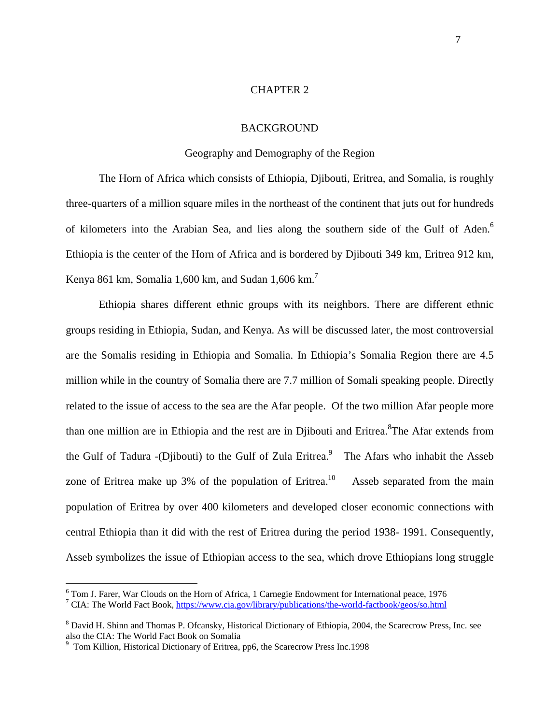### CHAPTER 2

### BACKGROUND

### Geography and Demography of the Region

The Horn of Africa which consists of Ethiopia, Djibouti, Eritrea, and Somalia, is roughly three-quarters of a million square miles in the northeast of the continent that juts out for hundreds of kilometers into the Arabian Sea, and lies along the southern side of the Gulf of Aden.<sup>6</sup> Ethiopia is the center of the Horn of Africa and is bordered by Djibouti 349 km, Eritrea 912 km, Kenya 861 km, Somalia 1,600 km, and Sudan  $1,606$  km.<sup>7</sup>

Ethiopia shares different ethnic groups with its neighbors. There are different ethnic groups residing in Ethiopia, Sudan, and Kenya. As will be discussed later, the most controversial are the Somalis residing in Ethiopia and Somalia. In Ethiopia's Somalia Region there are 4.5 million while in the country of Somalia there are 7.7 million of Somali speaking people. Directly related to the issue of access to the sea are the Afar people. Of the two million Afar people more than one million are in Ethiopia and the rest are in Djibouti and Eritrea. <sup>8</sup>The Afar extends from the Gulf of Tadura -(Djibouti) to the Gulf of Zula Eritrea.<sup>9</sup> The Afars who inhabit the Asseb zone of Eritrea make up 3% of the population of Eritrea.<sup>10</sup> Asseb separated from the main population of Eritrea by over 400 kilometers and developed closer economic connections with central Ethiopia than it did with the rest of Eritrea during the period 1938- 1991. Consequently, Asseb symbolizes the issue of Ethiopian access to the sea, which drove Ethiopians long struggle

<sup>&</sup>lt;sup>6</sup> Tom J. Farer, War Clouds on the Horn of Africa, 1 Carnegie Endowment for International peace, 1976<br><sup>7</sup> CIA: The World Fast Book, https://www.sia.cov/library/publicationa/the world fastbook/goog/so.html

CIA: The World Fact Book, <https://www.cia.gov/library/publications/the-world-factbook/geos/so.html>

<sup>&</sup>lt;sup>8</sup> David H. Shinn and Thomas P. Ofcansky, Historical Dictionary of Ethiopia, 2004, the Scarecrow Press, Inc. see also the CIA: The World Fact Book on Somalia

<sup>&</sup>lt;sup>9</sup> Tom Killion, Historical Dictionary of Eritrea, pp6, the Scarecrow Press Inc.1998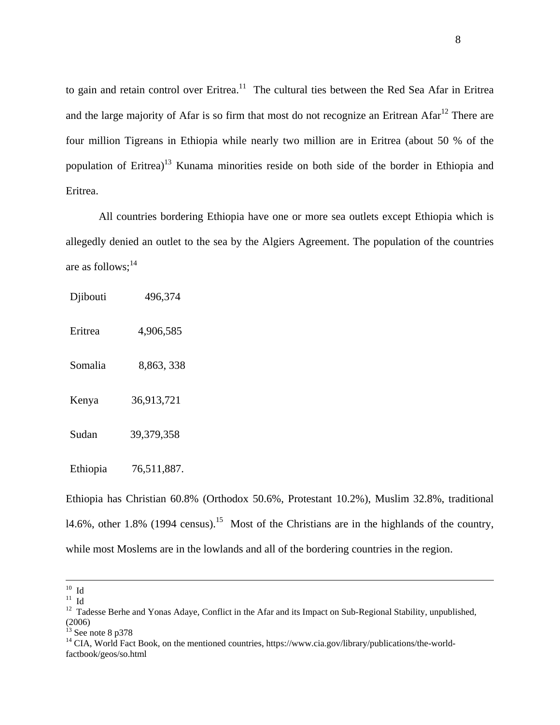to gain and retain control over Eritrea.<sup>11</sup> The cultural ties between the Red Sea Afar in Eritrea and the large majority of Afar is so firm that most do not recognize an Eritrean Afar<sup>12</sup> There are four million Tigreans in Ethiopia while nearly two million are in Eritrea (about 50 % of the population of Eritrea)<sup>13</sup> Kunama minorities reside on both side of the border in Ethiopia and Eritrea.

 All countries bordering Ethiopia have one or more sea outlets except Ethiopia which is allegedly denied an outlet to the sea by the Algiers Agreement. The population of the countries are as follows; $^{14}$ 

| Djibouti | 496,374     |
|----------|-------------|
| Eritrea  | 4,906,585   |
| Somalia  | 8,863, 338  |
| Kenya    | 36,913,721  |
| Sudan    | 39,379,358  |
| Ethiopia | 76,511,887. |

Ethiopia has Christian 60.8% (Orthodox 50.6%, Protestant 10.2%), Muslim 32.8%, traditional 14.6%, other 1.8% (1994 census).<sup>15</sup> Most of the Christians are in the highlands of the country, while most Moslems are in the lowlands and all of the bordering countries in the region.

 $^{10}\,$  Id

 $^{11}$  Id

<sup>&</sup>lt;sup>12</sup> Tadesse Berhe and Yonas Adaye, Conflict in the Afar and its Impact on Sub-Regional Stability, unpublished, (2006)

 $^{13}$  See note 8 p378

<sup>&</sup>lt;sup>14</sup> CIA, World Fact Book, on the mentioned countries, https://www.cia.gov/library/publications/the-worldfactbook/geos/so.html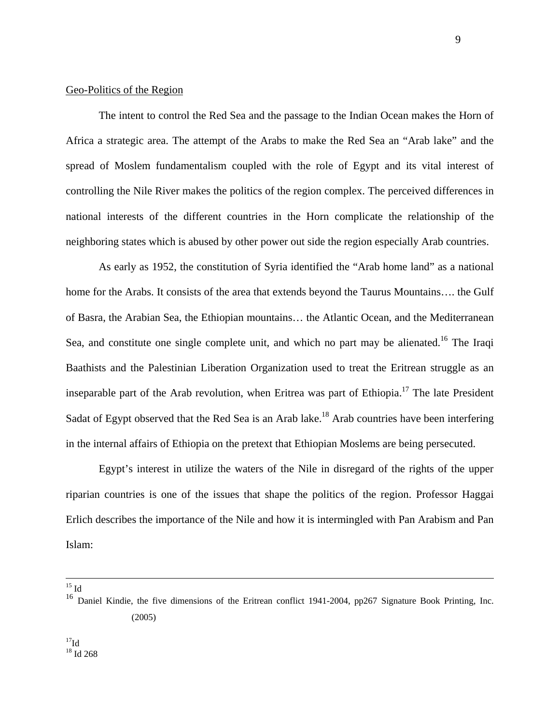### Geo-Politics of the Region

The intent to control the Red Sea and the passage to the Indian Ocean makes the Horn of Africa a strategic area. The attempt of the Arabs to make the Red Sea an "Arab lake" and the spread of Moslem fundamentalism coupled with the role of Egypt and its vital interest of controlling the Nile River makes the politics of the region complex. The perceived differences in national interests of the different countries in the Horn complicate the relationship of the neighboring states which is abused by other power out side the region especially Arab countries.

As early as 1952, the constitution of Syria identified the "Arab home land" as a national home for the Arabs. It consists of the area that extends beyond the Taurus Mountains…. the Gulf of Basra, the Arabian Sea, the Ethiopian mountains… the Atlantic Ocean, and the Mediterranean Sea, and constitute one single complete unit, and which no part may be alienated.<sup>16</sup> The Iraqi Baathists and the Palestinian Liberation Organization used to treat the Eritrean struggle as an inseparable part of the Arab revolution, when Eritrea was part of Ethiopia.<sup>17</sup> The late President Sadat of Egypt observed that the Red Sea is an Arab lake.<sup>18</sup> Arab countries have been interfering in the internal affairs of Ethiopia on the pretext that Ethiopian Moslems are being persecuted.

Egypt's interest in utilize the waters of the Nile in disregard of the rights of the upper riparian countries is one of the issues that shape the politics of the region. Professor Haggai Erlich describes the importance of the Nile and how it is intermingled with Pan Arabism and Pan Islam:

 $15$  Id

<sup>&</sup>lt;sup>16</sup> Daniel Kindie, the five dimensions of the Eritrean conflict 1941-2004, pp267 Signature Book Printing, Inc. (2005)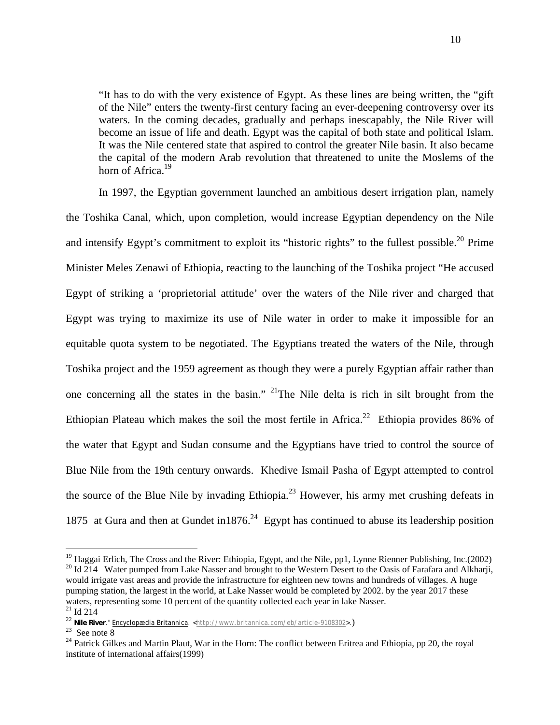"It has to do with the very existence of Egypt. As these lines are being written, the "gift of the Nile" enters the twenty-first century facing an ever-deepening controversy over its waters. In the coming decades, gradually and perhaps inescapably, the Nile River will become an issue of life and death. Egypt was the capital of both state and political Islam. It was the Nile centered state that aspired to control the greater Nile basin. It also became the capital of the modern Arab revolution that threatened to unite the Moslems of the horn of Africa.<sup>19</sup>

In 1997, the Egyptian government launched an ambitious desert irrigation plan, namely the Toshika Canal, which, upon completion, would increase Egyptian dependency on the Nile and intensify Egypt's commitment to exploit its "historic rights" to the fullest possible.<sup>20</sup> Prime Minister Meles Zenawi of Ethiopia, reacting to the launching of the Toshika project "He accused Egypt of striking a 'proprietorial attitude' over the waters of the Nile river and charged that Egypt was trying to maximize its use of Nile water in order to make it impossible for an equitable quota system to be negotiated. The Egyptians treated the waters of the Nile, through Toshika project and the 1959 agreement as though they were a purely Egyptian affair rather than one concerning all the states in the basin." <sup>21</sup>The Nile delta is rich in silt brought from the Ethiopian Plateau which makes the soil the most fertile in Africa.<sup>22</sup> Ethiopia provides 86% of the water that Egypt and Sudan consume and the Egyptians have tried to control the source of Blue Nile from the 19th century onwards. Khedive Ismail Pasha of Egypt attempted to control the source of the Blue Nile by invading Ethiopia.<sup>23</sup> However, his army met crushing defeats in 1875 at Gura and then at Gundet in 1876.<sup>24</sup> Egypt has continued to abuse its leadership position

<sup>&</sup>lt;sup>19</sup> Haggai Erlich, The Cross and the River: Ethiopia, Egypt, and the Nile, pp1, Lynne Rienner Publishing, Inc.(2002) <sup>20</sup> Id 214 Water pumped from Lake Nasser and brought to the Western Desert to the Oasis of Farafara an would irrigate vast areas and provide the infrastructure for eighteen new towns and hundreds of villages. A huge pumping station, the largest in the world, at Lake Nasser would be completed by 2002. by the year 2017 these waters, representing some 10 percent of the quantity collected each year in lake Nasser. <sup>21</sup> Id 214

<sup>22</sup> **Nile River."** Encyclopædia Britannica. <http://www.britannica.com/eb/article-9108302>.) See note 8

<sup>&</sup>lt;sup>24</sup> Patrick Gilkes and Martin Plaut, War in the Horn: The conflict between Eritrea and Ethiopia, pp 20, the royal institute of international affairs(1999)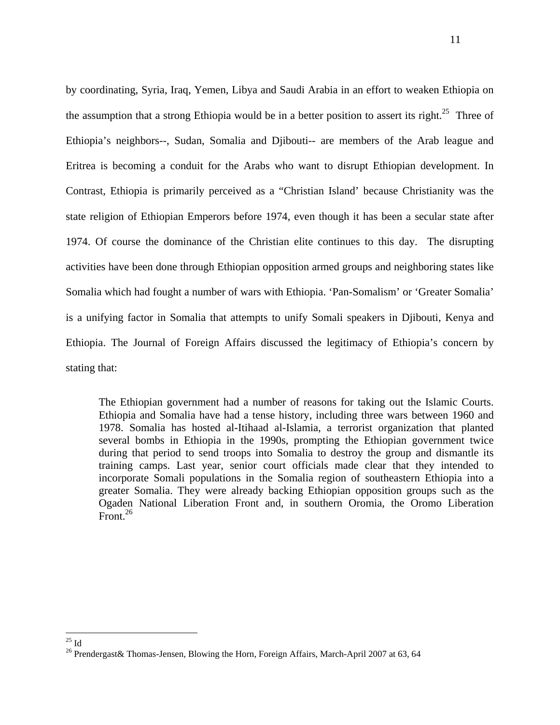by coordinating, Syria, Iraq, Yemen, Libya and Saudi Arabia in an effort to weaken Ethiopia on the assumption that a strong Ethiopia would be in a better position to assert its right.<sup>25</sup> Three of Ethiopia's neighbors--, Sudan, Somalia and Djibouti-- are members of the Arab league and Eritrea is becoming a conduit for the Arabs who want to disrupt Ethiopian development. In Contrast, Ethiopia is primarily perceived as a "Christian Island' because Christianity was the state religion of Ethiopian Emperors before 1974, even though it has been a secular state after 1974. Of course the dominance of the Christian elite continues to this day. The disrupting activities have been done through Ethiopian opposition armed groups and neighboring states like Somalia which had fought a number of wars with Ethiopia. 'Pan-Somalism' or 'Greater Somalia' is a unifying factor in Somalia that attempts to unify Somali speakers in Djibouti, Kenya and Ethiopia. The Journal of Foreign Affairs discussed the legitimacy of Ethiopia's concern by stating that:

The Ethiopian government had a number of reasons for taking out the Islamic Courts. Ethiopia and Somalia have had a tense history, including three wars between 1960 and 1978. Somalia has hosted al-Itihaad al-Islamia, a terrorist organization that planted several bombs in Ethiopia in the 1990s, prompting the Ethiopian government twice during that period to send troops into Somalia to destroy the group and dismantle its training camps. Last year, senior court officials made clear that they intended to incorporate Somali populations in the Somalia region of southeastern Ethiopia into a greater Somalia. They were already backing Ethiopian opposition groups such as the Ogaden National Liberation Front and, in southern Oromia, the Oromo Liberation Front  $^{26}$ 

 $^{25}$  Id

<sup>&</sup>lt;sup>26</sup> Prendergast& Thomas-Jensen, Blowing the Horn, Foreign Affairs, March-April 2007 at 63, 64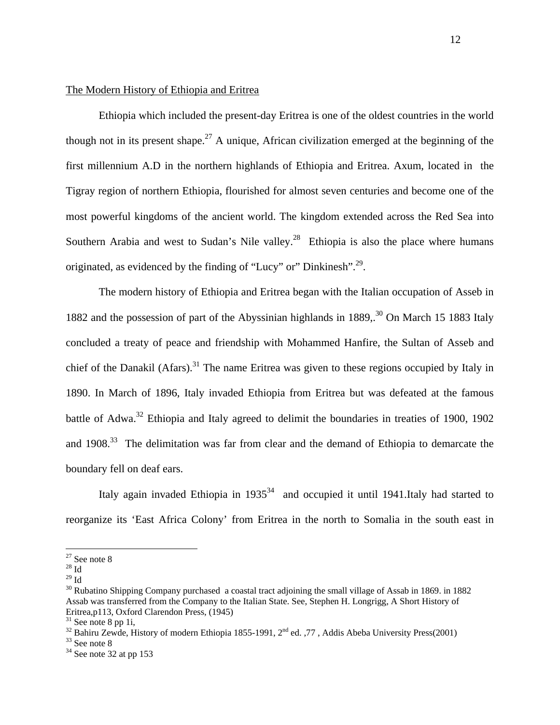### The Modern History of Ethiopia and Eritrea

Ethiopia which included the present-day Eritrea is one of the oldest countries in the world though not in its present shape.<sup>27</sup> A unique, African civilization emerged at the beginning of the first millennium A.D in the northern highlands of Ethiopia and Eritrea. Axum, located in the Tigray region of northern Ethiopia, flourished for almost seven centuries and become one of the most powerful kingdoms of the ancient world. The kingdom extended across the Red Sea into Southern Arabia and west to Sudan's Nile valley.<sup>28</sup> Ethiopia is also the place where humans originated, as evidenced by the finding of "Lucy" or" Dinkinesh".<sup>29</sup>.

The modern history of Ethiopia and Eritrea began with the Italian occupation of Asseb in 1882 and the possession of part of the Abyssinian highlands in  $1889$ <sup>30</sup> On March 15 1883 Italy concluded a treaty of peace and friendship with Mohammed Hanfire, the Sultan of Asseb and chief of the Danakil (Afars).<sup>31</sup> The name Eritrea was given to these regions occupied by Italy in 1890. In March of 1896, Italy invaded Ethiopia from Eritrea but was defeated at the famous battle of Adwa.<sup>32</sup> Ethiopia and Italy agreed to delimit the boundaries in treaties of 1900, 1902 and  $1908<sup>33</sup>$ . The delimitation was far from clear and the demand of Ethiopia to demarcate the boundary fell on deaf ears.

Italy again invaded Ethiopia in  $1935^{34}$  and occupied it until 1941.Italy had started to reorganize its 'East Africa Colony' from Eritrea in the north to Somalia in the south east in

 $27$  See note 8

 $^{\rm 28}$  Id

 $29$  Id

<sup>&</sup>lt;sup>30</sup> Rubatino Shipping Company purchased a coastal tract adjoining the small village of Assab in 1869. in 1882 Assab was transferred from the Company to the Italian State. See, Stephen H. Longrigg, A Short History of Eritrea,p113, Oxford Clarendon Press, (1945)

 $31$  See note 8 pp 1i,

<sup>&</sup>lt;sup>32</sup> Bahiru Zewde, History of modern Ethiopia 1855-1991, 2<sup>nd</sup> ed. ,77, Addis Abeba University Press(2001) <sup>33</sup> See note 8

 $34$  See note 32 at pp 153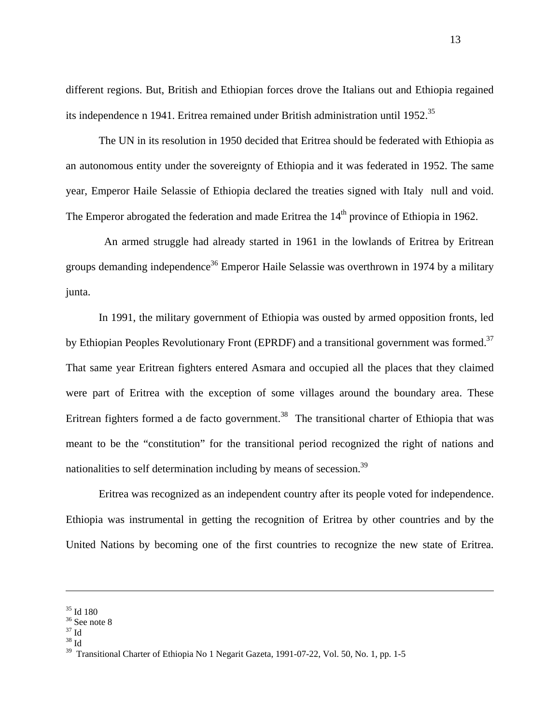different regions. But, British and Ethiopian forces drove the Italians out and Ethiopia regained its independence n 1941. Eritrea remained under British administration until 1952.<sup>35</sup>

The UN in its resolution in 1950 decided that Eritrea should be federated with Ethiopia as an autonomous entity under the sovereignty of Ethiopia and it was federated in 1952. The same year, Emperor Haile Selassie of Ethiopia declared the treaties signed with Italy null and void. The Emperor abrogated the federation and made Eritrea the 14<sup>th</sup> province of Ethiopia in 1962.

 An armed struggle had already started in 1961 in the lowlands of Eritrea by Eritrean groups demanding independence<sup>36</sup> Emperor Haile Selassie was overthrown in 1974 by a military junta.

 In 1991, the military government of Ethiopia was ousted by armed opposition fronts, led by Ethiopian Peoples Revolutionary Front (EPRDF) and a transitional government was formed.<sup>37</sup> That same year Eritrean fighters entered Asmara and occupied all the places that they claimed were part of Eritrea with the exception of some villages around the boundary area. These Eritrean fighters formed a de facto government.<sup>38</sup> The transitional charter of Ethiopia that was meant to be the "constitution" for the transitional period recognized the right of nations and nationalities to self determination including by means of secession.<sup>39</sup>

Eritrea was recognized as an independent country after its people voted for independence. Ethiopia was instrumental in getting the recognition of Eritrea by other countries and by the United Nations by becoming one of the first countries to recognize the new state of Eritrea.

 $\overline{a}$ 

38 Id

<sup>35</sup> Id 180

<sup>&</sup>lt;sup>36</sup> See note 8

 $37$  Id

<sup>&</sup>lt;sup>39</sup> Transitional Charter of Ethiopia No 1 Negarit Gazeta, 1991-07-22, Vol. 50, No. 1, pp. 1-5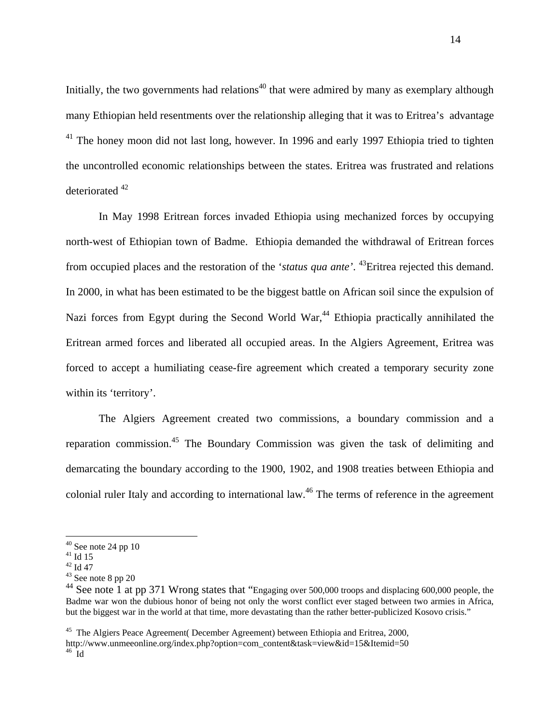Initially, the two governments had relations<sup>40</sup> that were admired by many as exemplary although many Ethiopian held resentments over the relationship alleging that it was to Eritrea's advantage <sup>41</sup> The honey moon did not last long, however. In 1996 and early 1997 Ethiopia tried to tighten the uncontrolled economic relationships between the states. Eritrea was frustrated and relations deteriorated 42

In May 1998 Eritrean forces invaded Ethiopia using mechanized forces by occupying north-west of Ethiopian town of Badme. Ethiopia demanded the withdrawal of Eritrean forces from occupied places and the restoration of the '*status qua ante'*. 43Eritrea rejected this demand. In 2000, in what has been estimated to be the biggest battle on African soil since the expulsion of Nazi forces from Egypt during the Second World War,<sup>44</sup> Ethiopia practically annihilated the Eritrean armed forces and liberated all occupied areas. In the Algiers Agreement, Eritrea was forced to accept a humiliating cease-fire agreement which created a temporary security zone within its 'territory'.

The Algiers Agreement created two commissions, a boundary commission and a reparation commission.<sup>45</sup> The Boundary Commission was given the task of delimiting and demarcating the boundary according to the 1900, 1902, and 1908 treaties between Ethiopia and colonial ruler Italy and according to international law.<sup>46</sup> The terms of reference in the agreement

 $40$  See note 24 pp 10

 $41$  Id 15

<sup>42</sup> Id 47

 $43$  See note 8 pp 20

<sup>&</sup>lt;sup>44</sup> See note 1 at pp 371 Wrong states that "Engaging over 500,000 troops and displacing 600,000 people, the Badme war won the dubious honor of being not only the worst conflict ever staged between two armies in Africa, but the biggest war in the world at that time, more devastating than the rather better-publicized Kosovo crisis."

<sup>&</sup>lt;sup>45</sup> The Algiers Peace Agreement (December Agreement) between Ethiopia and Eritrea, 2000, [http://www.unmeeonline.org/index.php?option=com\\_content&task=view&id=15&Itemid=50 46](http://www.unmeeonline.org/index.php?option=com_content&task=view&id=15&Itemid=50) Id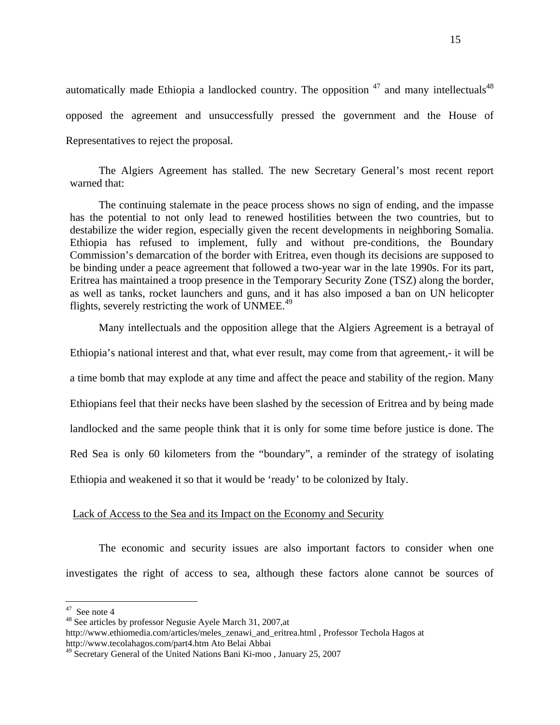automatically made Ethiopia a landlocked country. The opposition  $47$  and many intellectuals  $48$ opposed the agreement and unsuccessfully pressed the government and the House of Representatives to reject the proposal.

The Algiers Agreement has stalled. The new Secretary General's most recent report warned that:

 The continuing stalemate in the peace process shows no sign of ending, and the impasse has the potential to not only lead to renewed hostilities between the two countries, but to destabilize the wider region, especially given the recent developments in neighboring Somalia. Ethiopia has refused to implement, fully and without pre-conditions, the Boundary Commission's demarcation of the border with Eritrea, even though its decisions are supposed to be binding under a peace agreement that followed a two-year war in the late 1990s. For its part, Eritrea has maintained a troop presence in the Temporary Security Zone (TSZ) along the border, as well as tanks, rocket launchers and guns, and it has also imposed a ban on UN helicopter flights, severely restricting the work of UNMEE.<sup>49</sup>

Many intellectuals and the opposition allege that the Algiers Agreement is a betrayal of Ethiopia's national interest and that, what ever result, may come from that agreement,- it will be a time bomb that may explode at any time and affect the peace and stability of the region. Many Ethiopians feel that their necks have been slashed by the secession of Eritrea and by being made landlocked and the same people think that it is only for some time before justice is done. The Red Sea is only 60 kilometers from the "boundary", a reminder of the strategy of isolating Ethiopia and weakened it so that it would be 'ready' to be colonized by Italy.

### Lack of Access to the Sea and its Impact on the Economy and Security

The economic and security issues are also important factors to consider when one investigates the right of access to sea, although these factors alone cannot be sources of

 $47$  See note 4

<sup>&</sup>lt;sup>48</sup> See articles by professor Negusie Ayele March 31, 2007, at

[http://www.ethiomedia.com/articles/meles\\_zenawi\\_and\\_eritrea.html](http://www.ethiomedia.com/articles/meles_zenawi_and_eritrea.html) , Professor Techola Hagos at <http://www.tecolahagos.com/part4.htm> Ato Belai Abbai

 $49$  Secretary General of the United Nations Bani Ki-moo, January 25, 2007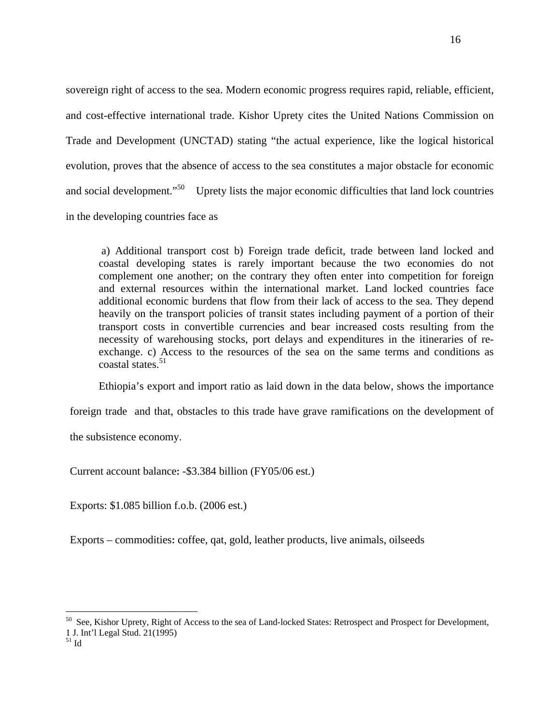sovereign right of access to the sea. Modern economic progress requires rapid, reliable, efficient, and cost-effective international trade. Kishor Uprety cites the United Nations Commission on Trade and Development (UNCTAD) stating "the actual experience, like the logical historical evolution, proves that the absence of access to the sea constitutes a major obstacle for economic and social development."<sup>50</sup> Uprety lists the major economic difficulties that land lock countries in the developing countries face as

 a) Additional transport cost b) Foreign trade deficit, trade between land locked and coastal developing states is rarely important because the two economies do not complement one another; on the contrary they often enter into competition for foreign and external resources within the international market. Land locked countries face additional economic burdens that flow from their lack of access to the sea. They depend heavily on the transport policies of transit states including payment of a portion of their transport costs in convertible currencies and bear increased costs resulting from the necessity of warehousing stocks, port delays and expenditures in the itineraries of reexchange. c) Access to the resources of the sea on the same terms and conditions as coastal states.<sup>51</sup>

Ethiopia's export and import ratio as laid down in the data below, shows the importance

foreign trade and that, obstacles to this trade have grave ramifications on the development of

the subsistence economy.

Current account balance**:** -\$3.384 billion (FY05/06 est.)

Exports: \$1.085 billion f.o.b. (2006 est.)

Exports – commodities**:** coffee, qat, gold, leather products, live animals, oilseeds

1 J. Int'l Legal Stud. 21(1995)

 $51$  Id

<sup>&</sup>lt;sup>50</sup> See, Kishor Uprety, Right of Access to the sea of Land-locked States: Retrospect and Prospect for Development,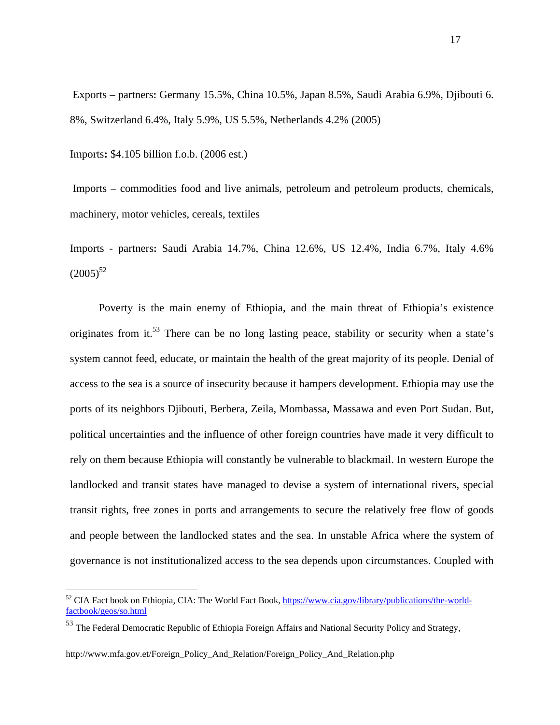Exports – partners**:** Germany 15.5%, China 10.5%, Japan 8.5%, Saudi Arabia 6.9%, Djibouti 6. 8%, Switzerland 6.4%, Italy 5.9%, US 5.5%, Netherlands 4.2% (2005)

Imports**:** \$4.105 billion f.o.b. (2006 est.)

 Imports – commodities food and live animals, petroleum and petroleum products, chemicals, machinery, motor vehicles, cereals, textiles

Imports - partners**:** Saudi Arabia 14.7%, China 12.6%, US 12.4%, India 6.7%, Italy 4.6%  $(2005)^{52}$ 

Poverty is the main enemy of Ethiopia, and the main threat of Ethiopia's existence originates from it.<sup>53</sup> There can be no long lasting peace, stability or security when a state's system cannot feed, educate, or maintain the health of the great majority of its people. Denial of access to the sea is a source of insecurity because it hampers development. Ethiopia may use the ports of its neighbors Djibouti, Berbera, Zeila, Mombassa, Massawa and even Port Sudan. But, political uncertainties and the influence of other foreign countries have made it very difficult to rely on them because Ethiopia will constantly be vulnerable to blackmail. In western Europe the landlocked and transit states have managed to devise a system of international rivers, special transit rights, free zones in ports and arrangements to secure the relatively free flow of goods and people between the landlocked states and the sea. In unstable Africa where the system of governance is not institutionalized access to the sea depends upon circumstances. Coupled with

<sup>&</sup>lt;sup>52</sup> CIA Fact book on Ethiopia, CIA: The World Fact Book, https://www.cia.gov/library/publications/the-worldfactbook/geos/so.html

<sup>&</sup>lt;sup>53</sup> The Federal Democratic Republic of Ethiopia Foreign Affairs and National Security Policy and Strategy,

[http://www.mfa.gov.et/Foreign\\_Policy\\_And\\_Relation/Foreign\\_Policy\\_And\\_Relation.php](http://www.mfa.gov.et/Foreign_Policy_And_Relation/Foreign_Policy_And_Relation.php)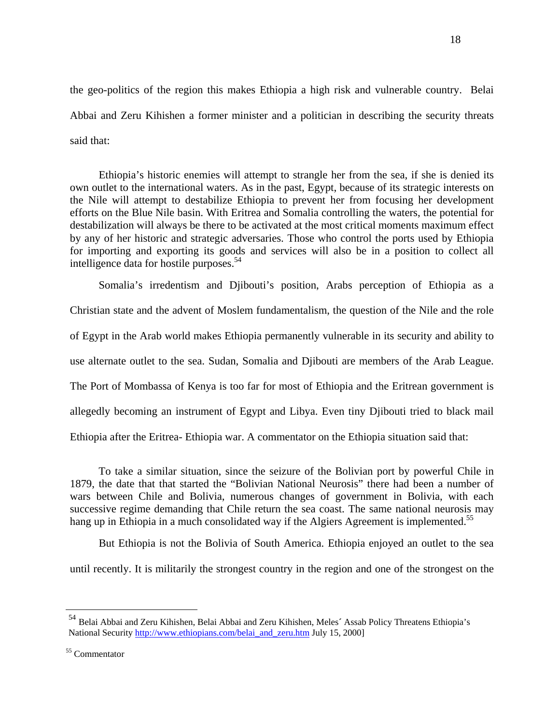the geo-politics of the region this makes Ethiopia a high risk and vulnerable country. Belai Abbai and Zeru Kihishen a former minister and a politician in describing the security threats said that:

 Ethiopia's historic enemies will attempt to strangle her from the sea, if she is denied its own outlet to the international waters. As in the past, Egypt, because of its strategic interests on the Nile will attempt to destabilize Ethiopia to prevent her from focusing her development efforts on the Blue Nile basin. With Eritrea and Somalia controlling the waters, the potential for destabilization will always be there to be activated at the most critical moments maximum effect by any of her historic and strategic adversaries. Those who control the ports used by Ethiopia for importing and exporting its goods and services will also be in a position to collect all intelligence data for hostile purposes.<sup>54</sup>

Somalia's irredentism and Djibouti's position, Arabs perception of Ethiopia as a Christian state and the advent of Moslem fundamentalism, the question of the Nile and the role of Egypt in the Arab world makes Ethiopia permanently vulnerable in its security and ability to use alternate outlet to the sea. Sudan, Somalia and Djibouti are members of the Arab League. The Port of Mombassa of Kenya is too far for most of Ethiopia and the Eritrean government is allegedly becoming an instrument of Egypt and Libya. Even tiny Djibouti tried to black mail Ethiopia after the Eritrea- Ethiopia war. A commentator on the Ethiopia situation said that:

 To take a similar situation, since the seizure of the Bolivian port by powerful Chile in 1879, the date that that started the "Bolivian National Neurosis" there had been a number of wars between Chile and Bolivia, numerous changes of government in Bolivia, with each successive regime demanding that Chile return the sea coast. The same national neurosis may hang up in Ethiopia in a much consolidated way if the Algiers Agreement is implemented.<sup>55</sup>

 But Ethiopia is not the Bolivia of South America. Ethiopia enjoyed an outlet to the sea until recently. It is militarily the strongest country in the region and one of the strongest on the

<sup>54</sup> Belai Abbai and Zeru Kihishen, Belai Abbai and Zeru Kihishen, Meles**´** Assab Policy Threatens Ethiopia's National Security [http://www.ethiopians.com/belai\\_and\\_zeru.htm](http://www.ethiopians.com/belai_and_zeru.htm) July 15, 2000]

 <sup>18</sup> 

<sup>55</sup> Commentator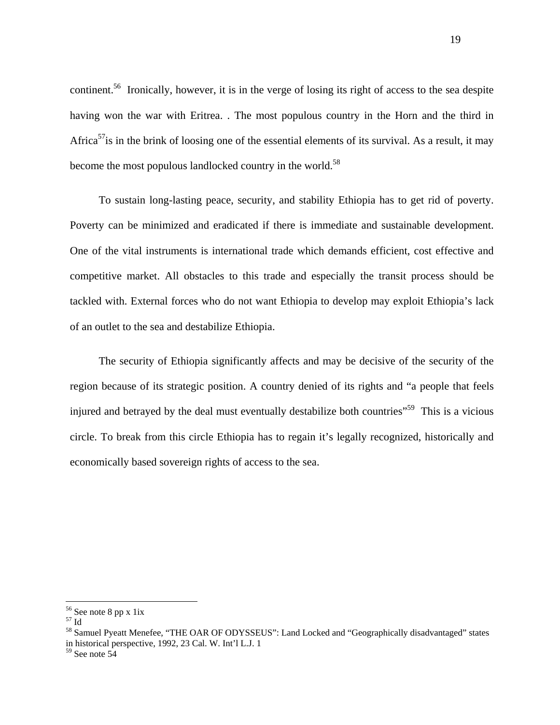continent.56 Ironically, however, it is in the verge of losing its right of access to the sea despite having won the war with Eritrea. . The most populous country in the Horn and the third in Africa<sup>57</sup>is in the brink of loosing one of the essential elements of its survival. As a result, it may become the most populous landlocked country in the world.<sup>58</sup>

 To sustain long-lasting peace, security, and stability Ethiopia has to get rid of poverty. Poverty can be minimized and eradicated if there is immediate and sustainable development. One of the vital instruments is international trade which demands efficient, cost effective and competitive market. All obstacles to this trade and especially the transit process should be tackled with. External forces who do not want Ethiopia to develop may exploit Ethiopia's lack of an outlet to the sea and destabilize Ethiopia.

The security of Ethiopia significantly affects and may be decisive of the security of the region because of its strategic position. A country denied of its rights and "a people that feels injured and betrayed by the deal must eventually destabilize both countries<sup>559</sup> This is a vicious circle. To break from this circle Ethiopia has to regain it's legally recognized, historically and economically based sovereign rights of access to the sea.

<sup>&</sup>lt;sup>56</sup> See note 8 pp x 1ix

<sup>57</sup> Id

<sup>&</sup>lt;sup>58</sup> Samuel Pyeatt Menefee, "THE OAR OF ODYSSEUS": Land Locked and "Geographically disadvantaged" states in historical perspective, 1992, 23 Cal. W. Int'l L.J. 1

 $59$  See note  $54$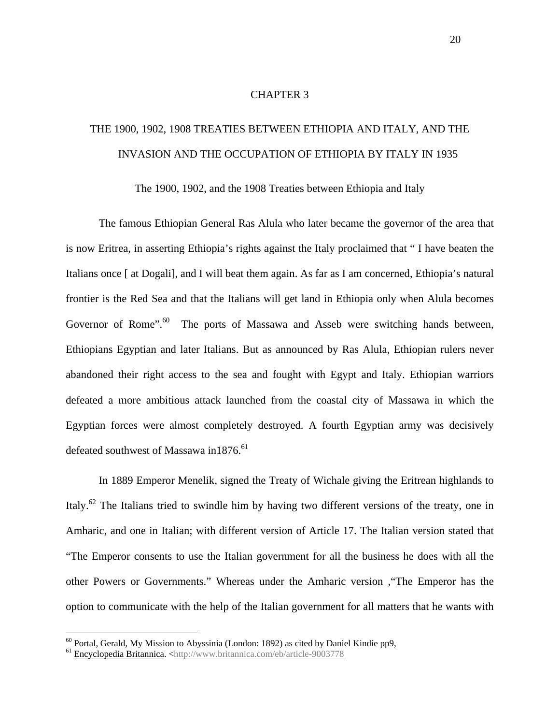#### CHAPTER 3

# THE 1900, 1902, 1908 TREATIES BETWEEN ETHIOPIA AND ITALY, AND THE INVASION AND THE OCCUPATION OF ETHIOPIA BY ITALY IN 1935

The 1900, 1902, and the 1908 Treaties between Ethiopia and Italy

The famous Ethiopian General Ras Alula who later became the governor of the area that is now Eritrea, in asserting Ethiopia's rights against the Italy proclaimed that " I have beaten the Italians once [ at Dogali], and I will beat them again. As far as I am concerned, Ethiopia's natural frontier is the Red Sea and that the Italians will get land in Ethiopia only when Alula becomes Governor of Rome".<sup>60</sup> The ports of Massawa and Asseb were switching hands between, Ethiopians Egyptian and later Italians. But as announced by Ras Alula, Ethiopian rulers never abandoned their right access to the sea and fought with Egypt and Italy. Ethiopian warriors defeated a more ambitious attack launched from the coastal city of Massawa in which the Egyptian forces were almost completely destroyed. A fourth Egyptian army was decisively defeated southwest of Massawa in1876.<sup>61</sup>

In 1889 Emperor Menelik, signed the Treaty of Wichale giving the Eritrean highlands to Italy.62 The Italians tried to swindle him by having two different versions of the treaty, one in Amharic, and one in Italian; with different version of Article 17. The Italian version stated that "The Emperor consents to use the Italian government for all the business he does with all the other Powers or Governments." Whereas under the Amharic version ,"The Emperor has the option to communicate with the help of the Italian government for all matters that he wants with

 $60$  Portal, Gerald, My Mission to Abyssinia (London: 1892) as cited by Daniel Kindie pp9,

<sup>&</sup>lt;sup>61</sup> Encyclopedia Britannica. [<http://www.britannica.com/eb/article-9003778](http://www.britannica.com/eb/article-9003778)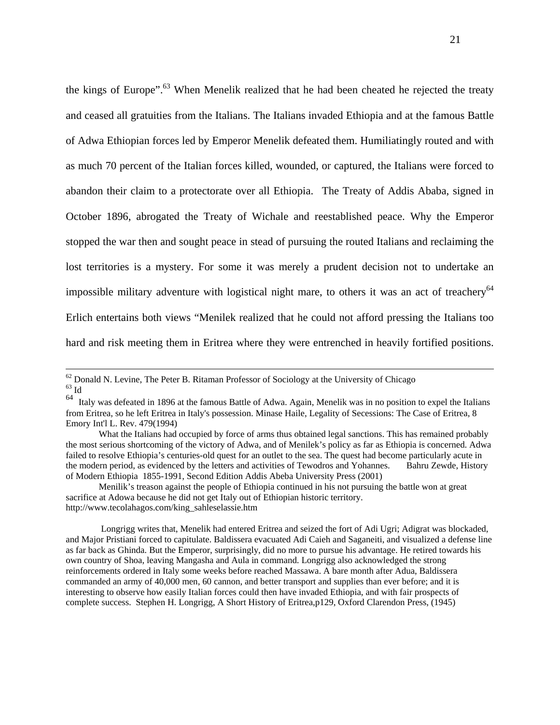the kings of Europe".<sup>63</sup> When Menelik realized that he had been cheated he rejected the treaty and ceased all gratuities from the Italians. The Italians invaded Ethiopia and at the famous Battle of Adwa Ethiopian forces led by Emperor Menelik defeated them. Humiliatingly routed and with as much 70 percent of the Italian forces killed, wounded, or captured, the Italians were forced to abandon their claim to a protectorate over all Ethiopia. The Treaty of Addis Ababa, signed in October 1896, abrogated the Treaty of Wichale and reestablished peace. Why the Emperor stopped the war then and sought peace in stead of pursuing the routed Italians and reclaiming the lost territories is a mystery. For some it was merely a prudent decision not to undertake an impossible military adventure with logistical night mare, to others it was an act of treachery<sup>64</sup> Erlich entertains both views "Menilek realized that he could not afford pressing the Italians too hard and risk meeting them in Eritrea where they were entrenched in heavily fortified positions.

 Longrigg writes that, Menelik had entered Eritrea and seized the fort of Adi Ugri; Adigrat was blockaded, and Major Pristiani forced to capitulate. Baldissera evacuated Adi Caieh and Saganeiti, and visualized a defense line as far back as Ghinda. But the Emperor, surprisingly, did no more to pursue his advantage. He retired towards his own country of Shoa, leaving Mangasha and Aula in command. Longrigg also acknowledged the strong reinforcements ordered in Italy some weeks before reached Massawa. A bare month after Adua, Baldissera commanded an army of 40,000 men, 60 cannon, and better transport and supplies than ever before; and it is interesting to observe how easily Italian forces could then have invaded Ethiopia, and with fair prospects of complete success. Stephen H. Longrigg, A Short History of Eritrea,p129, Oxford Clarendon Press, (1945)

 $62$  Donald N. Levine, The Peter B. Ritaman Professor of Sociology at the University of Chicago  $63$  Id

<sup>&</sup>lt;sup>64</sup> Italy was defeated in 1896 at the famous Battle of Adwa. Again, Menelik was in no position to expel the Italians from Eritrea, so he left Eritrea in Italy's possession. Minase Haile, Legality of Secessions: The Case of Eritrea, 8 Emory Int'l L. Rev. 479(1994)

What the Italians had occupied by force of arms thus obtained legal sanctions. This has remained probably the most serious shortcoming of the victory of Adwa, and of Menilek's policy as far as Ethiopia is concerned. Adwa failed to resolve Ethiopia's centuries-old quest for an outlet to the sea. The quest had become particularly acute in the modern period, as evidenced by the letters and activities of Tewodros and Yohannes. Bahru Zewde, History of Modern Ethiopia 1855-1991, Second Edition Addis Abeba University Press (2001)

Menilik's treason against the people of Ethiopia continued in his not pursuing the battle won at great sacrifice at Adowa because he did not get Italy out of Ethiopian historic territory. [http://www.tecolahagos.com/king\\_sahleselassie.htm](http://www.tecolahagos.com/king_sahleselassie.htm)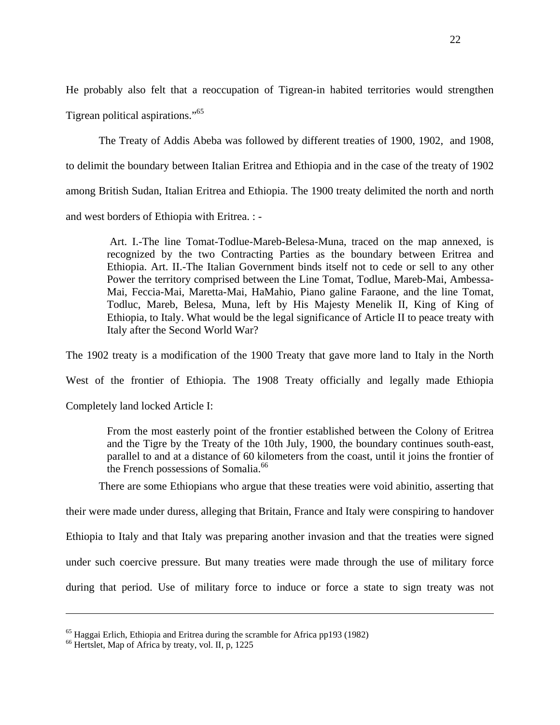He probably also felt that a reoccupation of Tigrean-in habited territories would strengthen Tigrean political aspirations."65

The Treaty of Addis Abeba was followed by different treaties of 1900, 1902, and 1908, to delimit the boundary between Italian Eritrea and Ethiopia and in the case of the treaty of 1902 among British Sudan, Italian Eritrea and Ethiopia. The 1900 treaty delimited the north and north and west borders of Ethiopia with Eritrea. : -

 Art. I.-The line Tomat-Todlue-Mareb-Belesa-Muna, traced on the map annexed, is recognized by the two Contracting Parties as the boundary between Eritrea and Ethiopia. Art. II.-The Italian Government binds itself not to cede or sell to any other Power the territory comprised between the Line Tomat, Todlue, Mareb-Mai, Ambessa-Mai, Feccia-Mai, Maretta-Mai, HaMahio, Piano galine Faraone, and the line Tomat, Todluc, Mareb, Belesa, Muna, left by His Majesty Menelik II, King of King of Ethiopia, to Italy. What would be the legal significance of Article II to peace treaty with Italy after the Second World War?

The 1902 treaty is a modification of the 1900 Treaty that gave more land to Italy in the North

West of the frontier of Ethiopia. The 1908 Treaty officially and legally made Ethiopia

Completely land locked Article I:

 From the most easterly point of the frontier established between the Colony of Eritrea and the Tigre by the Treaty of the 10th July, 1900, the boundary continues south-east, parallel to and at a distance of 60 kilometers from the coast, until it joins the frontier of the French possessions of Somalia.<sup>66</sup>

There are some Ethiopians who argue that these treaties were void abinitio, asserting that

their were made under duress, alleging that Britain, France and Italy were conspiring to handover

Ethiopia to Italy and that Italy was preparing another invasion and that the treaties were signed

under such coercive pressure. But many treaties were made through the use of military force

during that period. Use of military force to induce or force a state to sign treaty was not

<sup>&</sup>lt;sup>65</sup> Haggai Erlich, Ethiopia and Eritrea during the scramble for Africa pp193 (1982)

<sup>&</sup>lt;sup>66</sup> Hertslet, Map of Africa by treaty, vol. II, p, 1225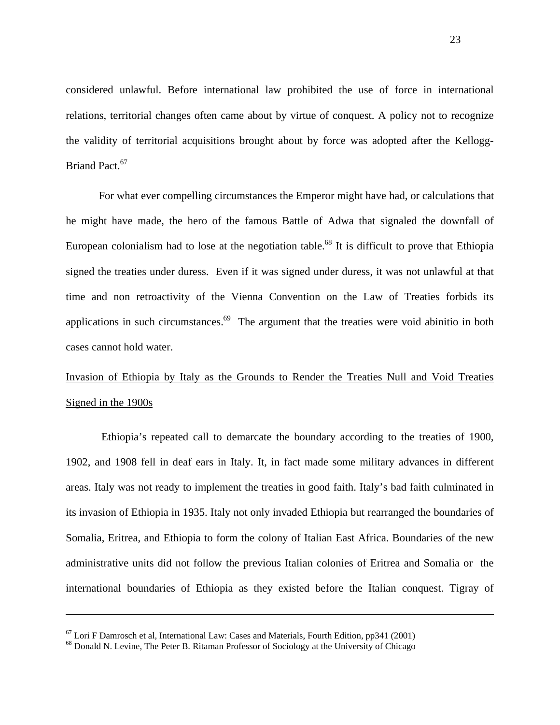considered unlawful. Before international law prohibited the use of force in international relations, territorial changes often came about by virtue of conquest. A policy not to recognize the validity of territorial acquisitions brought about by force was adopted after the Kellogg-Briand Pact.<sup>67</sup>

For what ever compelling circumstances the Emperor might have had, or calculations that he might have made, the hero of the famous Battle of Adwa that signaled the downfall of European colonialism had to lose at the negotiation table.<sup>68</sup> It is difficult to prove that Ethiopia signed the treaties under duress. Even if it was signed under duress, it was not unlawful at that time and non retroactivity of the Vienna Convention on the Law of Treaties forbids its applications in such circumstances.<sup>69</sup> The argument that the treaties were void abinitio in both cases cannot hold water.

# Invasion of Ethiopia by Italy as the Grounds to Render the Treaties Null and Void Treaties Signed in the 1900s

 Ethiopia's repeated call to demarcate the boundary according to the treaties of 1900, 1902, and 1908 fell in deaf ears in Italy. It, in fact made some military advances in different areas. Italy was not ready to implement the treaties in good faith. Italy's bad faith culminated in its invasion of Ethiopia in 1935. Italy not only invaded Ethiopia but rearranged the boundaries of Somalia, Eritrea, and Ethiopia to form the colony of Italian East Africa. Boundaries of the new administrative units did not follow the previous Italian colonies of Eritrea and Somalia or the international boundaries of Ethiopia as they existed before the Italian conquest. Tigray of

<u>.</u>

 $67$  Lori F Damrosch et al, International Law: Cases and Materials, Fourth Edition, pp341 (2001)

<sup>&</sup>lt;sup>68</sup> Donald N. Levine, The Peter B. Ritaman Professor of Sociology at the University of Chicago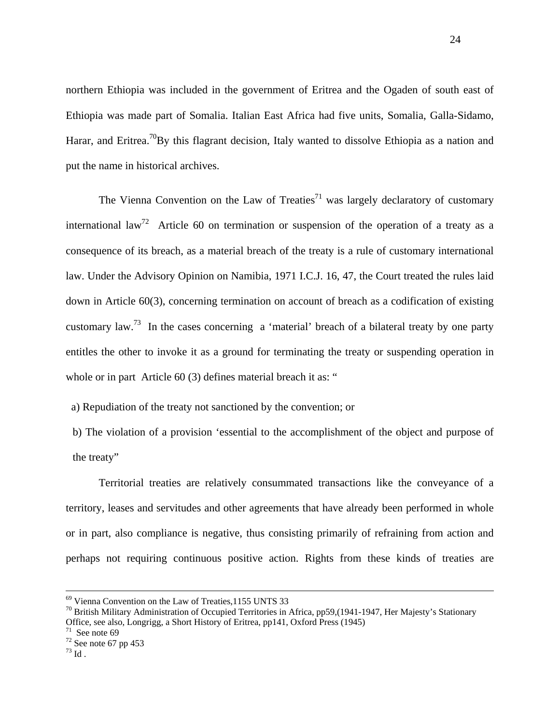northern Ethiopia was included in the government of Eritrea and the Ogaden of south east of Ethiopia was made part of Somalia. Italian East Africa had five units, Somalia, Galla-Sidamo, Harar, and Eritrea.<sup>70</sup>By this flagrant decision, Italy wanted to dissolve Ethiopia as a nation and put the name in historical archives.

The Vienna Convention on the Law of Treaties<sup>71</sup> was largely declaratory of customary international law<sup>72</sup> Article 60 on termination or suspension of the operation of a treaty as a consequence of its breach, as a material breach of the treaty is a rule of customary international law. Under the Advisory Opinion on Namibia, 1971 I.C.J. 16, 47, the Court treated the rules laid down in Article 60(3), concerning termination on account of breach as a codification of existing customary law.<sup>73</sup> In the cases concerning a 'material' breach of a bilateral treaty by one party entitles the other to invoke it as a ground for terminating the treaty or suspending operation in whole or in part Article 60 (3) defines material breach it as: "

a) Repudiation of the treaty not sanctioned by the convention; or

b) The violation of a provision 'essential to the accomplishment of the object and purpose of the treaty"

Territorial treaties are relatively consummated transactions like the conveyance of a territory, leases and servitudes and other agreements that have already been performed in whole or in part, also compliance is negative, thus consisting primarily of refraining from action and perhaps not requiring continuous positive action. Rights from these kinds of treaties are

 <sup>69</sup> Vienna Convention on the Law of Treaties,1155 UNTS 33

 $^{70}$  British Military Administration of Occupied Territories in Africa, pp59, (1941-1947, Her Majesty's Stationary Office, see also, Longrigg, a Short History of Eritrea, pp141, Oxford Press (1945)

 $71$  See note 69

 $72$  See note 67 pp 453

 $^{\rm 73}$  Id .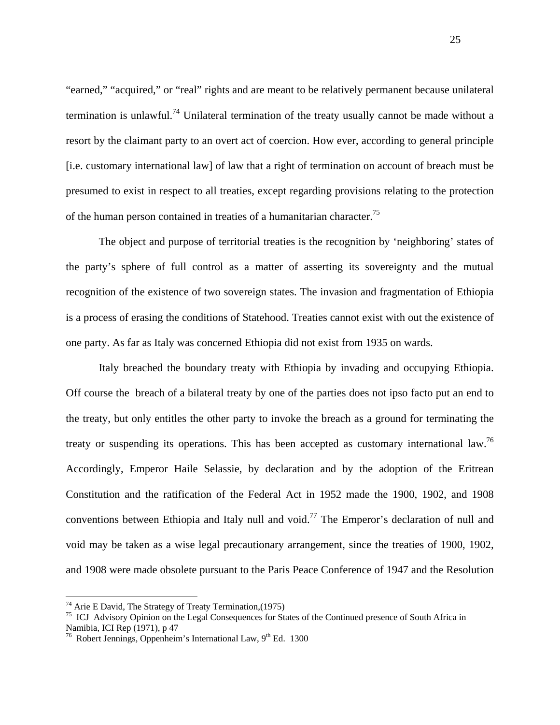"earned," "acquired," or "real" rights and are meant to be relatively permanent because unilateral termination is unlawful.<sup>74</sup> Unilateral termination of the treaty usually cannot be made without a resort by the claimant party to an overt act of coercion. How ever, according to general principle [i.e. customary international law] of law that a right of termination on account of breach must be presumed to exist in respect to all treaties, except regarding provisions relating to the protection of the human person contained in treaties of a humanitarian character.<sup>75</sup>

 The object and purpose of territorial treaties is the recognition by 'neighboring' states of the party's sphere of full control as a matter of asserting its sovereignty and the mutual recognition of the existence of two sovereign states. The invasion and fragmentation of Ethiopia is a process of erasing the conditions of Statehood. Treaties cannot exist with out the existence of one party. As far as Italy was concerned Ethiopia did not exist from 1935 on wards.

Italy breached the boundary treaty with Ethiopia by invading and occupying Ethiopia. Off course the breach of a bilateral treaty by one of the parties does not ipso facto put an end to the treaty, but only entitles the other party to invoke the breach as a ground for terminating the treaty or suspending its operations. This has been accepted as customary international law.<sup>76</sup> Accordingly, Emperor Haile Selassie, by declaration and by the adoption of the Eritrean Constitution and the ratification of the Federal Act in 1952 made the 1900, 1902, and 1908 conventions between Ethiopia and Italy null and void.<sup>77</sup> The Emperor's declaration of null and void may be taken as a wise legal precautionary arrangement, since the treaties of 1900, 1902, and 1908 were made obsolete pursuant to the Paris Peace Conference of 1947 and the Resolution

 $74$  Arie E David, The Strategy of Treaty Termination, (1975)

<sup>&</sup>lt;sup>75</sup> ICJ Advisory Opinion on the Legal Consequences for States of the Continued presence of South Africa in Namibia, ICI Rep (1971), p 47

<sup>&</sup>lt;sup>76</sup> Robert Jennings, Oppenheim's International Law,  $9<sup>th</sup>$  Ed. 1300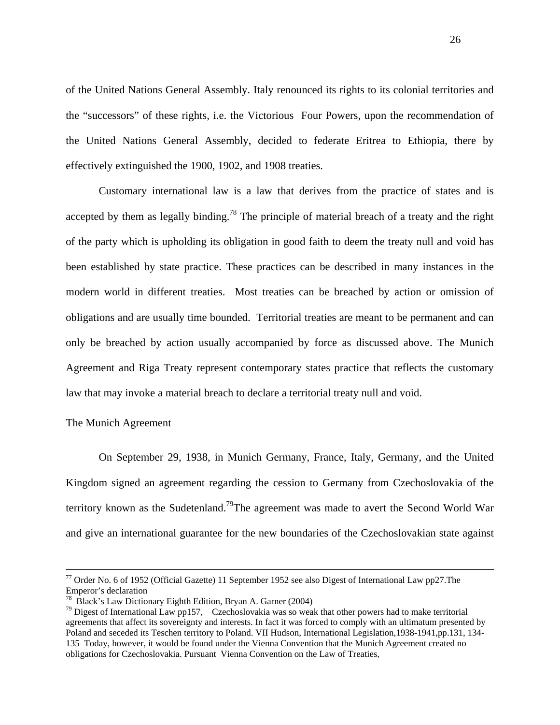of the United Nations General Assembly. Italy renounced its rights to its colonial territories and the "successors" of these rights, i.e. the Victorious Four Powers, upon the recommendation of the United Nations General Assembly, decided to federate Eritrea to Ethiopia, there by effectively extinguished the 1900, 1902, and 1908 treaties.

Customary international law is a law that derives from the practice of states and is accepted by them as legally binding.<sup>78</sup> The principle of material breach of a treaty and the right of the party which is upholding its obligation in good faith to deem the treaty null and void has been established by state practice. These practices can be described in many instances in the modern world in different treaties. Most treaties can be breached by action or omission of obligations and are usually time bounded. Territorial treaties are meant to be permanent and can only be breached by action usually accompanied by force as discussed above. The Munich Agreement and Riga Treaty represent contemporary states practice that reflects the customary law that may invoke a material breach to declare a territorial treaty null and void.

### The Munich Agreement

On September 29, 1938, in Munich Germany, France, Italy, Germany, and the United Kingdom signed an agreement regarding the cession to Germany from Czechoslovakia of the territory known as the Sudetenland.<sup>79</sup>The agreement was made to avert the Second World War and give an international guarantee for the new boundaries of the Czechoslovakian state against

 $77$  Order No. 6 of 1952 (Official Gazette) 11 September 1952 see also Digest of International Law pp27. The Emperor's declaration

<sup>78</sup> Black's Law Dictionary Eighth Edition, Bryan A. Garner (2004)

 $79$  Digest of International Law pp157, Czechoslovakia was so weak that other powers had to make territorial agreements that affect its sovereignty and interests. In fact it was forced to comply with an ultimatum presented by Poland and seceded its Teschen territory to Poland. VII Hudson, International Legislation,1938-1941,pp.131, 134- 135 Today, however, it would be found under the Vienna Convention that the Munich Agreement created no obligations for Czechoslovakia. Pursuant Vienna Convention on the Law of Treaties,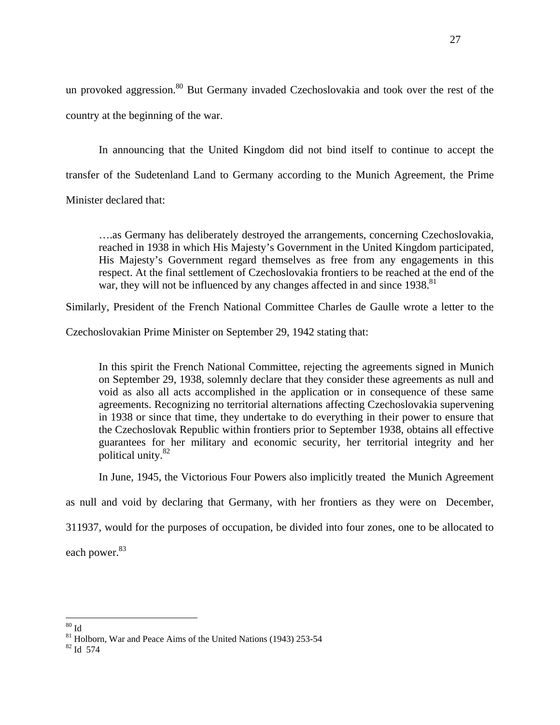un provoked aggression.<sup>80</sup> But Germany invaded Czechoslovakia and took over the rest of the country at the beginning of the war.

In announcing that the United Kingdom did not bind itself to continue to accept the transfer of the Sudetenland Land to Germany according to the Munich Agreement, the Prime

Minister declared that:

….as Germany has deliberately destroyed the arrangements, concerning Czechoslovakia, reached in 1938 in which His Majesty's Government in the United Kingdom participated, His Majesty's Government regard themselves as free from any engagements in this respect. At the final settlement of Czechoslovakia frontiers to be reached at the end of the war, they will not be influenced by any changes affected in and since 1938.<sup>81</sup>

Similarly, President of the French National Committee Charles de Gaulle wrote a letter to the

Czechoslovakian Prime Minister on September 29, 1942 stating that:

 In this spirit the French National Committee, rejecting the agreements signed in Munich on September 29, 1938, solemnly declare that they consider these agreements as null and void as also all acts accomplished in the application or in consequence of these same agreements. Recognizing no territorial alternations affecting Czechoslovakia supervening in 1938 or since that time, they undertake to do everything in their power to ensure that the Czechoslovak Republic within frontiers prior to September 1938, obtains all effective guarantees for her military and economic security, her territorial integrity and her political unity.82

In June, 1945, the Victorious Four Powers also implicitly treated the Munich Agreement

as null and void by declaring that Germany, with her frontiers as they were on December,

311937, would for the purposes of occupation, be divided into four zones, one to be allocated to

each power.<sup>83</sup>

 $\overline{a}$  $80 \text{ Id}$ 

 $\frac{81}{82}$  Holborn, War and Peace Aims of the United Nations (1943) 253-54  $\frac{82}{10}$  Id 574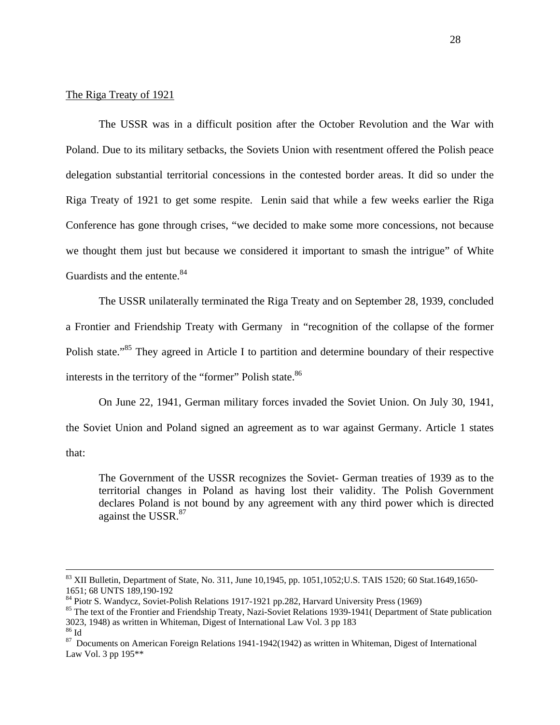#### The Riga Treaty of 1921

 The USSR was in a difficult position after the October Revolution and the War with Poland. Due to its military setbacks, the Soviets Union with resentment offered the Polish peace delegation substantial territorial concessions in the contested border areas. It did so under the Riga Treaty of 1921 to get some respite. Lenin said that while a few weeks earlier the Riga Conference has gone through crises, "we decided to make some more concessions, not because we thought them just but because we considered it important to smash the intrigue" of White Guardists and the entente.<sup>84</sup>

The USSR unilaterally terminated the Riga Treaty and on September 28, 1939, concluded a Frontier and Friendship Treaty with Germany in "recognition of the collapse of the former Polish state."<sup>85</sup> They agreed in Article I to partition and determine boundary of their respective interests in the territory of the "former" Polish state.<sup>86</sup>

On June 22, 1941, German military forces invaded the Soviet Union. On July 30, 1941, the Soviet Union and Poland signed an agreement as to war against Germany. Article 1 states that:

The Government of the USSR recognizes the Soviet- German treaties of 1939 as to the territorial changes in Poland as having lost their validity. The Polish Government declares Poland is not bound by any agreement with any third power which is directed against the USSR.<sup>87</sup>

 $83$  XII Bulletin, Department of State, No. 311, June 10,1945, pp. 1051,1052;U.S. TAIS 1520; 60 Stat.1649,1650-1651; 68 UNTS 189,190-192

<sup>&</sup>lt;sup>84</sup> Piotr S. Wandycz, Soviet-Polish Relations 1917-1921 pp.282, Harvard University Press (1969)

<sup>&</sup>lt;sup>85</sup> The text of the Frontier and Friendship Treaty, Nazi-Soviet Relations 1939-1941( Department of State publication 3023, 1948) as written in Whiteman, Digest of International Law Vol. 3 pp 183  $^{86}$  Id

<sup>&</sup>lt;sup>87</sup> Documents on American Foreign Relations 1941-1942(1942) as written in Whiteman, Digest of International Law Vol. 3 pp 195\*\*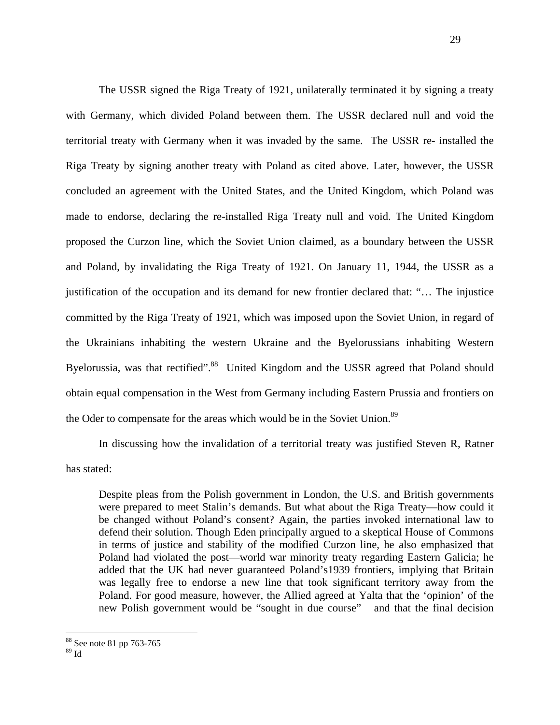The USSR signed the Riga Treaty of 1921, unilaterally terminated it by signing a treaty with Germany, which divided Poland between them. The USSR declared null and void the territorial treaty with Germany when it was invaded by the same. The USSR re- installed the Riga Treaty by signing another treaty with Poland as cited above. Later, however, the USSR concluded an agreement with the United States, and the United Kingdom, which Poland was made to endorse, declaring the re-installed Riga Treaty null and void. The United Kingdom proposed the Curzon line, which the Soviet Union claimed, as a boundary between the USSR and Poland, by invalidating the Riga Treaty of 1921. On January 11, 1944, the USSR as a justification of the occupation and its demand for new frontier declared that: "… The injustice committed by the Riga Treaty of 1921, which was imposed upon the Soviet Union, in regard of the Ukrainians inhabiting the western Ukraine and the Byelorussians inhabiting Western Byelorussia, was that rectified".<sup>88</sup> United Kingdom and the USSR agreed that Poland should obtain equal compensation in the West from Germany including Eastern Prussia and frontiers on the Oder to compensate for the areas which would be in the Soviet Union.<sup>89</sup>

In discussing how the invalidation of a territorial treaty was justified Steven R, Ratner has stated:

Despite pleas from the Polish government in London, the U.S. and British governments were prepared to meet Stalin's demands. But what about the Riga Treaty—how could it be changed without Poland's consent? Again, the parties invoked international law to defend their solution. Though Eden principally argued to a skeptical House of Commons in terms of justice and stability of the modified Curzon line, he also emphasized that Poland had violated the post—world war minority treaty regarding Eastern Galicia; he added that the UK had never guaranteed Poland's1939 frontiers, implying that Britain was legally free to endorse a new line that took significant territory away from the Poland. For good measure, however, the Allied agreed at Yalta that the 'opinion' of the new Polish government would be "sought in due course" and that the final decision

<sup>88</sup> See note 81 pp 763-765

 $^{89}$  Id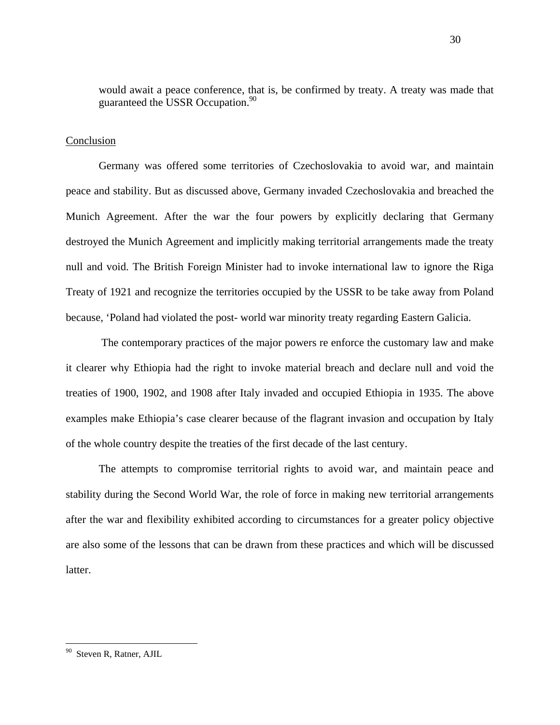would await a peace conference, that is, be confirmed by treaty. A treaty was made that guaranteed the USSR Occupation.<sup>90</sup>

## **Conclusion**

Germany was offered some territories of Czechoslovakia to avoid war, and maintain peace and stability. But as discussed above, Germany invaded Czechoslovakia and breached the Munich Agreement. After the war the four powers by explicitly declaring that Germany destroyed the Munich Agreement and implicitly making territorial arrangements made the treaty null and void. The British Foreign Minister had to invoke international law to ignore the Riga Treaty of 1921 and recognize the territories occupied by the USSR to be take away from Poland because, 'Poland had violated the post- world war minority treaty regarding Eastern Galicia.

 The contemporary practices of the major powers re enforce the customary law and make it clearer why Ethiopia had the right to invoke material breach and declare null and void the treaties of 1900, 1902, and 1908 after Italy invaded and occupied Ethiopia in 1935. The above examples make Ethiopia's case clearer because of the flagrant invasion and occupation by Italy of the whole country despite the treaties of the first decade of the last century.

 The attempts to compromise territorial rights to avoid war, and maintain peace and stability during the Second World War, the role of force in making new territorial arrangements after the war and flexibility exhibited according to circumstances for a greater policy objective are also some of the lessons that can be drawn from these practices and which will be discussed latter.

Steven R, Ratner, AJIL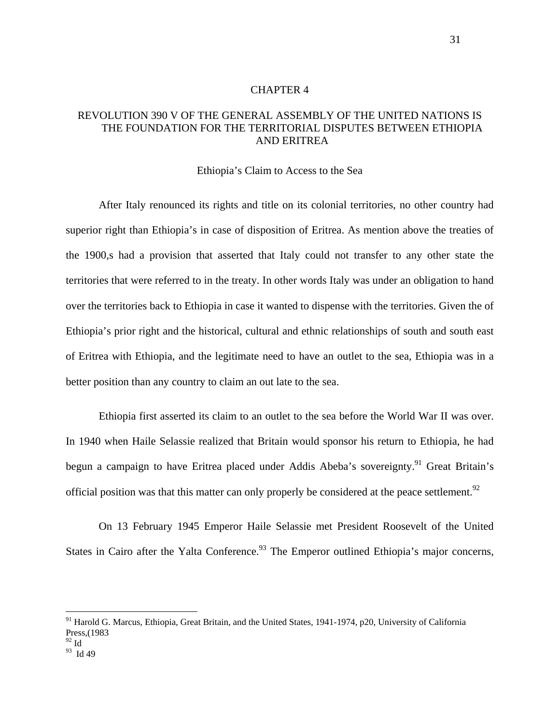### CHAPTER 4

# REVOLUTION 390 V OF THE GENERAL ASSEMBLY OF THE UNITED NATIONS IS THE FOUNDATION FOR THE TERRITORIAL DISPUTES BETWEEN ETHIOPIA AND ERITREA

### Ethiopia's Claim to Access to the Sea

 After Italy renounced its rights and title on its colonial territories, no other country had superior right than Ethiopia's in case of disposition of Eritrea. As mention above the treaties of the 1900,s had a provision that asserted that Italy could not transfer to any other state the territories that were referred to in the treaty. In other words Italy was under an obligation to hand over the territories back to Ethiopia in case it wanted to dispense with the territories. Given the of Ethiopia's prior right and the historical, cultural and ethnic relationships of south and south east of Eritrea with Ethiopia, and the legitimate need to have an outlet to the sea, Ethiopia was in a better position than any country to claim an out late to the sea.

Ethiopia first asserted its claim to an outlet to the sea before the World War II was over. In 1940 when Haile Selassie realized that Britain would sponsor his return to Ethiopia, he had begun a campaign to have Eritrea placed under Addis Abeba's sovereignty.<sup>91</sup> Great Britain's official position was that this matter can only properly be considered at the peace settlement.<sup>92</sup>

 On 13 February 1945 Emperor Haile Selassie met President Roosevelt of the United States in Cairo after the Yalta Conference.<sup>93</sup> The Emperor outlined Ethiopia's major concerns,

<u>.</u>

<sup>&</sup>lt;sup>91</sup> Harold G. Marcus, Ethiopia, Great Britain, and the United States, 1941-1974, p20, University of California Press,(1983

<sup>93</sup> Id 49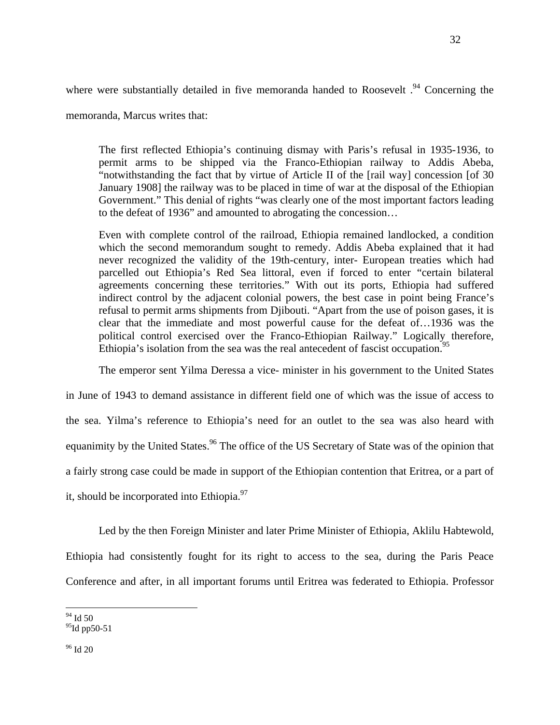where were substantially detailed in five memoranda handed to Roosevelt.<sup>94</sup> Concerning the

memoranda, Marcus writes that:

The first reflected Ethiopia's continuing dismay with Paris's refusal in 1935-1936, to permit arms to be shipped via the Franco-Ethiopian railway to Addis Abeba, "notwithstanding the fact that by virtue of Article II of the [rail way] concession [of 30 January 1908] the railway was to be placed in time of war at the disposal of the Ethiopian Government." This denial of rights "was clearly one of the most important factors leading to the defeat of 1936" and amounted to abrogating the concession…

Even with complete control of the railroad, Ethiopia remained landlocked, a condition which the second memorandum sought to remedy. Addis Abeba explained that it had never recognized the validity of the 19th-century, inter- European treaties which had parcelled out Ethiopia's Red Sea littoral, even if forced to enter "certain bilateral agreements concerning these territories." With out its ports, Ethiopia had suffered indirect control by the adjacent colonial powers, the best case in point being France's refusal to permit arms shipments from Djibouti. "Apart from the use of poison gases, it is clear that the immediate and most powerful cause for the defeat of…1936 was the political control exercised over the Franco-Ethiopian Railway." Logically therefore, Ethiopia's isolation from the sea was the real antecedent of fascist occupation.<sup>95</sup>

The emperor sent Yilma Deressa a vice- minister in his government to the United States

in June of 1943 to demand assistance in different field one of which was the issue of access to the sea. Yilma's reference to Ethiopia's need for an outlet to the sea was also heard with equanimity by the United States.<sup>96</sup> The office of the US Secretary of State was of the opinion that a fairly strong case could be made in support of the Ethiopian contention that Eritrea, or a part of it, should be incorporated into Ethiopia. $^{97}$ 

Led by the then Foreign Minister and later Prime Minister of Ethiopia, Aklilu Habtewold, Ethiopia had consistently fought for its right to access to the sea, during the Paris Peace Conference and after, in all important forums until Eritrea was federated to Ethiopia. Professor

 $94$  Id 50

 $95$ Id pp50-51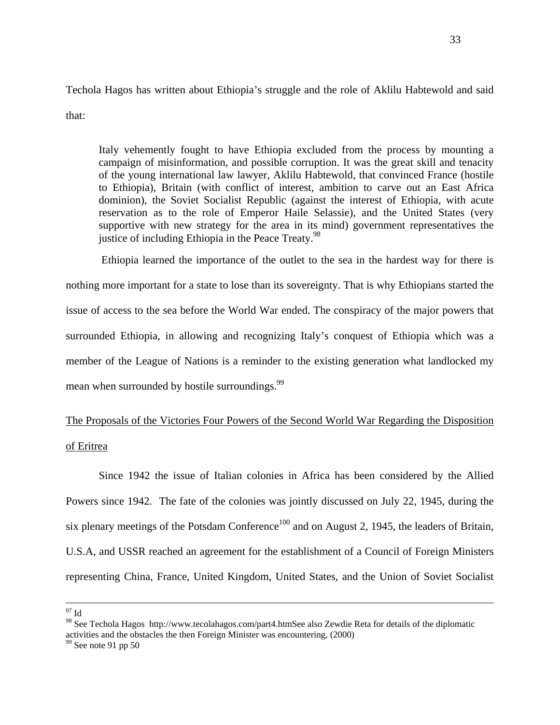Techola Hagos has written about Ethiopia's struggle and the role of Aklilu Habtewold and said that:

Italy vehemently fought to have Ethiopia excluded from the process by mounting a campaign of misinformation, and possible corruption. It was the great skill and tenacity of the young international law lawyer, Aklilu Habtewold, that convinced France (hostile to Ethiopia), Britain (with conflict of interest, ambition to carve out an East Africa dominion), the Soviet Socialist Republic (against the interest of Ethiopia, with acute reservation as to the role of Emperor Haile Selassie), and the United States (very supportive with new strategy for the area in its mind) government representatives the justice of including Ethiopia in the Peace Treaty.<sup>98</sup>

 Ethiopia learned the importance of the outlet to the sea in the hardest way for there is nothing more important for a state to lose than its sovereignty. That is why Ethiopians started the issue of access to the sea before the World War ended. The conspiracy of the major powers that surrounded Ethiopia, in allowing and recognizing Italy's conquest of Ethiopia which was a member of the League of Nations is a reminder to the existing generation what landlocked my mean when surrounded by hostile surroundings.<sup>99</sup>

# The Proposals of the Victories Four Powers of the Second World War Regarding the Disposition of Eritrea

Since 1942 the issue of Italian colonies in Africa has been considered by the Allied Powers since 1942. The fate of the colonies was jointly discussed on July 22, 1945, during the six plenary meetings of the Potsdam Conference<sup>100</sup> and on August 2, 1945, the leaders of Britain, U.S.A, and USSR reached an agreement for the establishment of a Council of Foreign Ministers representing China, France, United Kingdom, United States, and the Union of Soviet Socialist

 $^{97}$  Id

<sup>98</sup> See Techola Hagos <http://www.tecolahagos.com/part4.htmSee>also Zewdie Reta for details of the diplomatic activities and the obstacles the then Foreign Minister was encountering, (2000)

 $99$  See note 91 pp 50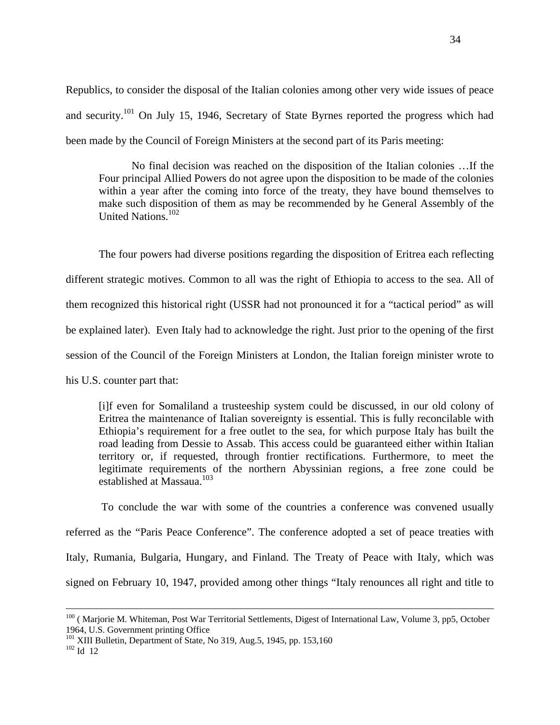Republics, to consider the disposal of the Italian colonies among other very wide issues of peace and security.<sup>101</sup> On July 15, 1946, Secretary of State Byrnes reported the progress which had been made by the Council of Foreign Ministers at the second part of its Paris meeting:

No final decision was reached on the disposition of the Italian colonies …If the Four principal Allied Powers do not agree upon the disposition to be made of the colonies within a year after the coming into force of the treaty, they have bound themselves to make such disposition of them as may be recommended by he General Assembly of the United Nations.102

The four powers had diverse positions regarding the disposition of Eritrea each reflecting different strategic motives. Common to all was the right of Ethiopia to access to the sea. All of them recognized this historical right (USSR had not pronounced it for a "tactical period" as will be explained later). Even Italy had to acknowledge the right. Just prior to the opening of the first session of the Council of the Foreign Ministers at London, the Italian foreign minister wrote to his U.S. counter part that:

[i]f even for Somaliland a trusteeship system could be discussed, in our old colony of Eritrea the maintenance of Italian sovereignty is essential. This is fully reconcilable with Ethiopia's requirement for a free outlet to the sea, for which purpose Italy has built the road leading from Dessie to Assab. This access could be guaranteed either within Italian territory or, if requested, through frontier rectifications. Furthermore, to meet the legitimate requirements of the northern Abyssinian regions, a free zone could be established at Massaua.<sup>103</sup>

 To conclude the war with some of the countries a conference was convened usually referred as the "Paris Peace Conference". The conference adopted a set of peace treaties with Italy, Rumania, Bulgaria, Hungary, and Finland. The Treaty of Peace with Italy, which was signed on February 10, 1947, provided among other things "Italy renounces all right and title to

<sup>&</sup>lt;sup>100</sup> (Marjorie M. Whiteman, Post War Territorial Settlements, Digest of International Law, Volume 3, pp5, October 1964, U.S. Government printing Office

<sup>&</sup>lt;sup>101</sup> XIII Bulletin, Department of State, No 319, Aug.5, 1945, pp. 153,160<br><sup>102</sup> Id 12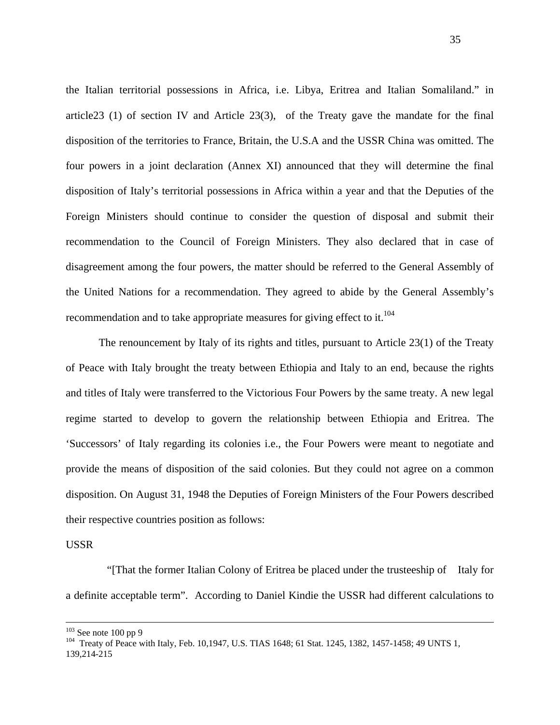the Italian territorial possessions in Africa, i.e. Libya, Eritrea and Italian Somaliland." in article23 (1) of section IV and Article 23(3), of the Treaty gave the mandate for the final disposition of the territories to France, Britain, the U.S.A and the USSR China was omitted. The four powers in a joint declaration (Annex XI) announced that they will determine the final disposition of Italy's territorial possessions in Africa within a year and that the Deputies of the Foreign Ministers should continue to consider the question of disposal and submit their recommendation to the Council of Foreign Ministers. They also declared that in case of disagreement among the four powers, the matter should be referred to the General Assembly of the United Nations for a recommendation. They agreed to abide by the General Assembly's recommendation and to take appropriate measures for giving effect to it.<sup>104</sup>

 The renouncement by Italy of its rights and titles, pursuant to Article 23(1) of the Treaty of Peace with Italy brought the treaty between Ethiopia and Italy to an end, because the rights and titles of Italy were transferred to the Victorious Four Powers by the same treaty. A new legal regime started to develop to govern the relationship between Ethiopia and Eritrea. The 'Successors' of Italy regarding its colonies i.e., the Four Powers were meant to negotiate and provide the means of disposition of the said colonies. But they could not agree on a common disposition. On August 31, 1948 the Deputies of Foreign Ministers of the Four Powers described their respective countries position as follows:

### USSR

 "[That the former Italian Colony of Eritrea be placed under the trusteeship of Italy for a definite acceptable term". According to Daniel Kindie the USSR had different calculations to

<sup>&</sup>lt;sup>103</sup> See note 100 pp 9<br><sup>104</sup> Treaty of Peace with Italy, Feb. 10,1947, U.S. TIAS 1648; 61 Stat. 1245, 1382, 1457-1458; 49 UNTS 1, 139,214-215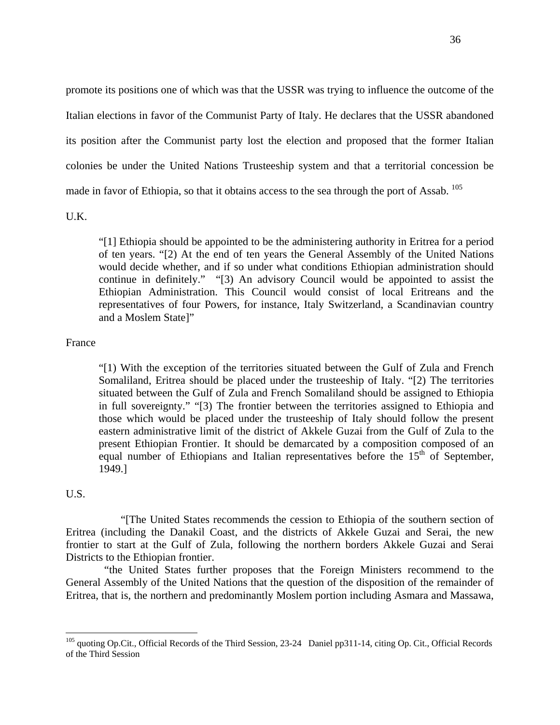promote its positions one of which was that the USSR was trying to influence the outcome of the Italian elections in favor of the Communist Party of Italy. He declares that the USSR abandoned its position after the Communist party lost the election and proposed that the former Italian colonies be under the United Nations Trusteeship system and that a territorial concession be made in favor of Ethiopia, so that it obtains access to the sea through the port of Assab. <sup>105</sup>

U.K.

"[1] Ethiopia should be appointed to be the administering authority in Eritrea for a period of ten years. "[2) At the end of ten years the General Assembly of the United Nations would decide whether, and if so under what conditions Ethiopian administration should continue in definitely." "[3) An advisory Council would be appointed to assist the Ethiopian Administration. This Council would consist of local Eritreans and the representatives of four Powers, for instance, Italy Switzerland, a Scandinavian country and a Moslem State]"

## France

 "[1) With the exception of the territories situated between the Gulf of Zula and French Somaliland, Eritrea should be placed under the trusteeship of Italy. "[2) The territories situated between the Gulf of Zula and French Somaliland should be assigned to Ethiopia in full sovereignty." "[3) The frontier between the territories assigned to Ethiopia and those which would be placed under the trusteeship of Italy should follow the present eastern administrative limit of the district of Akkele Guzai from the Gulf of Zula to the present Ethiopian Frontier. It should be demarcated by a composition composed of an equal number of Ethiopians and Italian representatives before the  $15<sup>th</sup>$  of September, 1949.]

## U.S.

1

 "[The United States recommends the cession to Ethiopia of the southern section of Eritrea (including the Danakil Coast, and the districts of Akkele Guzai and Serai, the new frontier to start at the Gulf of Zula, following the northern borders Akkele Guzai and Serai Districts to the Ethiopian frontier.

 "the United States further proposes that the Foreign Ministers recommend to the General Assembly of the United Nations that the question of the disposition of the remainder of Eritrea, that is, the northern and predominantly Moslem portion including Asmara and Massawa,

<sup>&</sup>lt;sup>105</sup> quoting Op.Cit., Official Records of the Third Session, 23-24 Daniel pp311-14, citing Op. Cit., Official Records of the Third Session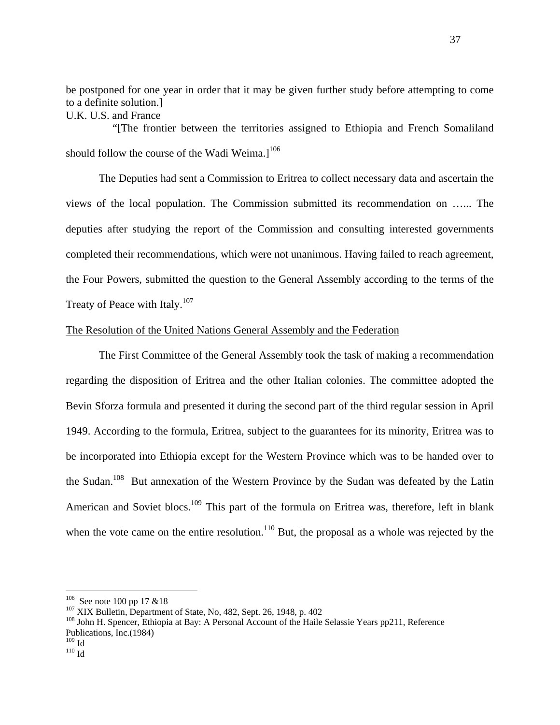be postponed for one year in order that it may be given further study before attempting to come to a definite solution.] U.K. U.S. and France

 "[The frontier between the territories assigned to Ethiopia and French Somaliland should follow the course of the Wadi Weima. $l^{106}$ 

The Deputies had sent a Commission to Eritrea to collect necessary data and ascertain the views of the local population. The Commission submitted its recommendation on …... The deputies after studying the report of the Commission and consulting interested governments completed their recommendations, which were not unanimous. Having failed to reach agreement, the Four Powers, submitted the question to the General Assembly according to the terms of the Treaty of Peace with Italy.<sup>107</sup>

## The Resolution of the United Nations General Assembly and the Federation

The First Committee of the General Assembly took the task of making a recommendation regarding the disposition of Eritrea and the other Italian colonies. The committee adopted the Bevin Sforza formula and presented it during the second part of the third regular session in April 1949. According to the formula, Eritrea, subject to the guarantees for its minority, Eritrea was to be incorporated into Ethiopia except for the Western Province which was to be handed over to the Sudan.<sup>108</sup> But annexation of the Western Province by the Sudan was defeated by the Latin American and Soviet blocs.<sup>109</sup> This part of the formula on Eritrea was, therefore, left in blank when the vote came on the entire resolution. $110$  But, the proposal as a whole was rejected by the

<sup>&</sup>lt;sup>106</sup> See note 100 pp 17 &18<br><sup>107</sup> XIX Bulletin, Department of State, No, 482, Sept. 26, 1948, p. 402<br><sup>108</sup> John H. Spencer, Ethiopia at Bay: A Personal Account of the Haile Selassie Years pp211, Reference Publications, Inc.(1984)<br> $\frac{109}{10}$  Id

 $110 \overline{Id}$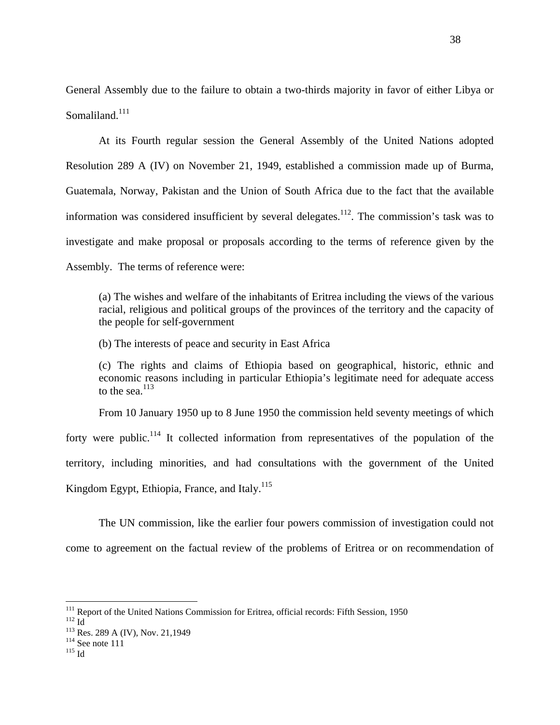General Assembly due to the failure to obtain a two-thirds majority in favor of either Libya or Somaliland. $111$ 

At its Fourth regular session the General Assembly of the United Nations adopted Resolution 289 A (IV) on November 21, 1949, established a commission made up of Burma, Guatemala, Norway, Pakistan and the Union of South Africa due to the fact that the available information was considered insufficient by several delegates.<sup>112</sup>. The commission's task was to investigate and make proposal or proposals according to the terms of reference given by the Assembly. The terms of reference were:

(a) The wishes and welfare of the inhabitants of Eritrea including the views of the various racial, religious and political groups of the provinces of the territory and the capacity of the people for self-government

(b) The interests of peace and security in East Africa

(c) The rights and claims of Ethiopia based on geographical, historic, ethnic and economic reasons including in particular Ethiopia's legitimate need for adequate access to the sea. $113$ 

From 10 January 1950 up to 8 June 1950 the commission held seventy meetings of which

forty were public.<sup>114</sup> It collected information from representatives of the population of the territory, including minorities, and had consultations with the government of the United Kingdom Egypt, Ethiopia, France, and Italy.<sup>115</sup>

The UN commission, like the earlier four powers commission of investigation could not come to agreement on the factual review of the problems of Eritrea or on recommendation of

<sup>&</sup>lt;sup>111</sup> Report of the United Nations Commission for Eritrea, official records: Fifth Session, 1950<br><sup>112</sup> Id<br><sup>113</sup> Res. 289 A (IV), Nov. 21,1949<br><sup>114</sup> See note 111<br><sup>115</sup> Id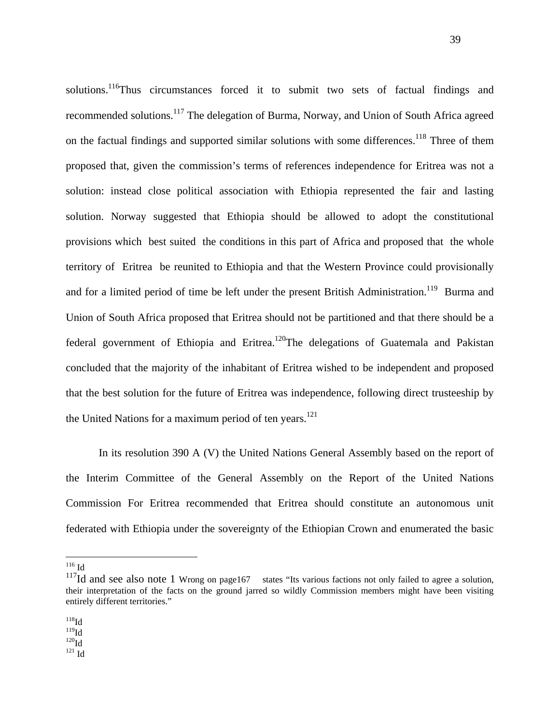solutions.<sup>116</sup>Thus circumstances forced it to submit two sets of factual findings and recommended solutions.117 The delegation of Burma, Norway, and Union of South Africa agreed on the factual findings and supported similar solutions with some differences.<sup>118</sup> Three of them proposed that, given the commission's terms of references independence for Eritrea was not a solution: instead close political association with Ethiopia represented the fair and lasting solution. Norway suggested that Ethiopia should be allowed to adopt the constitutional provisions which best suited the conditions in this part of Africa and proposed that the whole territory of Eritrea be reunited to Ethiopia and that the Western Province could provisionally and for a limited period of time be left under the present British Administration.<sup>119</sup> Burma and Union of South Africa proposed that Eritrea should not be partitioned and that there should be a federal government of Ethiopia and Eritrea.<sup>120</sup>The delegations of Guatemala and Pakistan concluded that the majority of the inhabitant of Eritrea wished to be independent and proposed that the best solution for the future of Eritrea was independence, following direct trusteeship by the United Nations for a maximum period of ten years.<sup>121</sup>

 In its resolution 390 A (V) the United Nations General Assembly based on the report of the Interim Committee of the General Assembly on the Report of the United Nations Commission For Eritrea recommended that Eritrea should constitute an autonomous unit federated with Ethiopia under the sovereignty of the Ethiopian Crown and enumerated the basic

 $^{116}$  Id

 $\overline{a}$ 

 $\frac{^{119}\mathrm{Id}}{^{120}\mathrm{Id}}$ <br> $\frac{^{121}\mathrm{Id}}{^{121}\mathrm{Id}}$ 

 $117$ Id and see also note 1 Wrong on page167 states "Its various factions not only failed to agree a solution, their interpretation of the facts on the ground jarred so wildly Commission members might have been visiting entirely different territories."

 $^{118}$ Id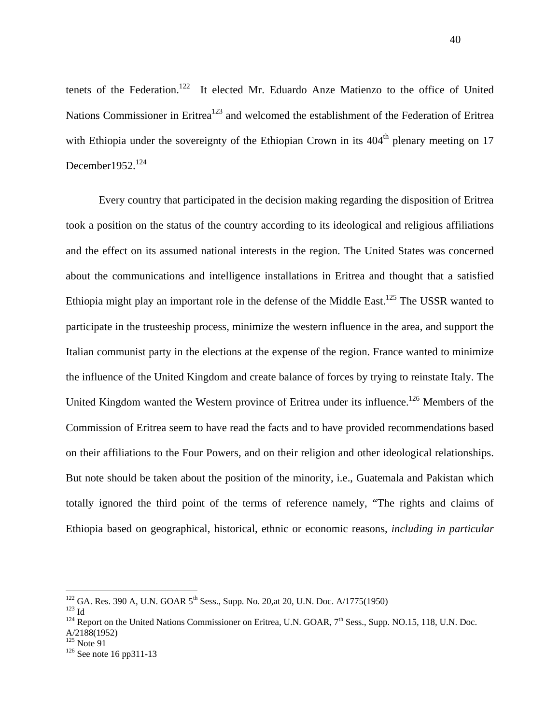tenets of the Federation.<sup>122</sup> It elected Mr. Eduardo Anze Matienzo to the office of United Nations Commissioner in Eritrea<sup>123</sup> and welcomed the establishment of the Federation of Eritrea with Ethiopia under the sovereignty of the Ethiopian Crown in its  $404<sup>th</sup>$  plenary meeting on 17 December  $1952.<sup>124</sup>$ 

Every country that participated in the decision making regarding the disposition of Eritrea took a position on the status of the country according to its ideological and religious affiliations and the effect on its assumed national interests in the region. The United States was concerned about the communications and intelligence installations in Eritrea and thought that a satisfied Ethiopia might play an important role in the defense of the Middle East.<sup>125</sup> The USSR wanted to participate in the trusteeship process, minimize the western influence in the area, and support the Italian communist party in the elections at the expense of the region. France wanted to minimize the influence of the United Kingdom and create balance of forces by trying to reinstate Italy. The United Kingdom wanted the Western province of Eritrea under its influence.<sup>126</sup> Members of the Commission of Eritrea seem to have read the facts and to have provided recommendations based on their affiliations to the Four Powers, and on their religion and other ideological relationships. But note should be taken about the position of the minority, i.e., Guatemala and Pakistan which totally ignored the third point of the terms of reference namely, "The rights and claims of Ethiopia based on geographical, historical, ethnic or economic reasons, *including in particular* 

<sup>&</sup>lt;sup>122</sup> GA, Res. 390 A, U.N. GOAR 5<sup>th</sup> Sess., Supp. No. 20.at 20, U.N. Doc. A/1775(1950)

<sup>&</sup>lt;sup>123</sup> Id<br><sup>124</sup> Report on the United Nations Commissioner on Eritrea, U.N. GOAR, 7<sup>th</sup> Sess., Supp. NO.15, 118, U.N. Doc. A/2188(1952)<br><sup>125</sup> Note 91

 $126$  See note 16 pp311-13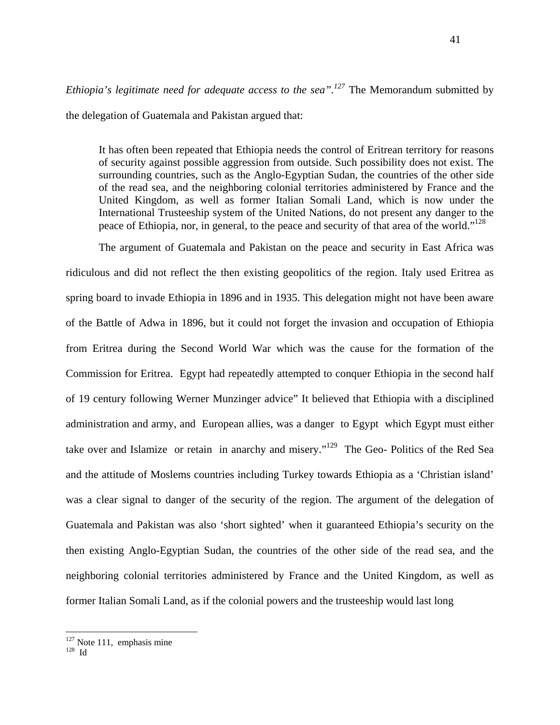*Ethiopia's legitimate need for adequate access to the sea".<sup>127</sup> The Memorandum submitted by* the delegation of Guatemala and Pakistan argued that:

It has often been repeated that Ethiopia needs the control of Eritrean territory for reasons of security against possible aggression from outside. Such possibility does not exist. The surrounding countries, such as the Anglo-Egyptian Sudan, the countries of the other side of the read sea, and the neighboring colonial territories administered by France and the United Kingdom, as well as former Italian Somali Land, which is now under the International Trusteeship system of the United Nations, do not present any danger to the peace of Ethiopia, nor, in general, to the peace and security of that area of the world."<sup>128</sup>

The argument of Guatemala and Pakistan on the peace and security in East Africa was ridiculous and did not reflect the then existing geopolitics of the region. Italy used Eritrea as spring board to invade Ethiopia in 1896 and in 1935. This delegation might not have been aware of the Battle of Adwa in 1896, but it could not forget the invasion and occupation of Ethiopia from Eritrea during the Second World War which was the cause for the formation of the Commission for Eritrea. Egypt had repeatedly attempted to conquer Ethiopia in the second half of 19 century following Werner Munzinger advice" It believed that Ethiopia with a disciplined administration and army, and European allies, was a danger to Egypt which Egypt must either take over and Islamize or retain in anarchy and misery."<sup>129</sup> The Geo- Politics of the Red Sea and the attitude of Moslems countries including Turkey towards Ethiopia as a 'Christian island' was a clear signal to danger of the security of the region. The argument of the delegation of Guatemala and Pakistan was also 'short sighted' when it guaranteed Ethiopia's security on the then existing Anglo-Egyptian Sudan, the countries of the other side of the read sea, and the neighboring colonial territories administered by France and the United Kingdom, as well as former Italian Somali Land, as if the colonial powers and the trusteeship would last long

 $127$  Note 111, emphasis mine  $128$  Id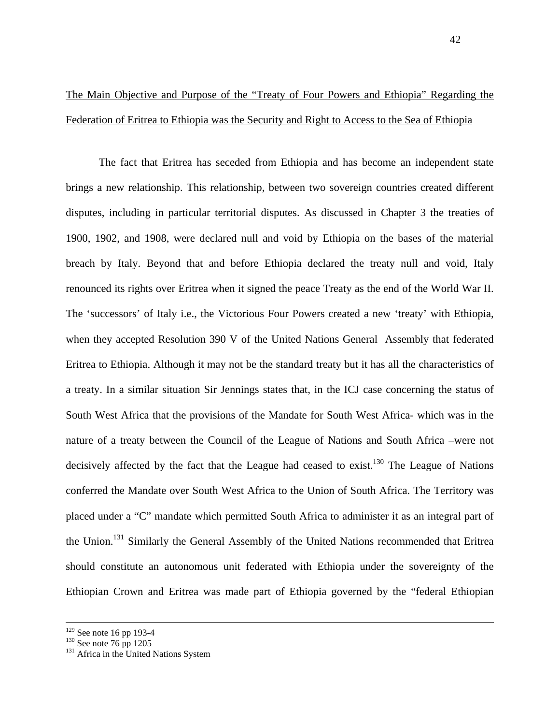# The Main Objective and Purpose of the "Treaty of Four Powers and Ethiopia" Regarding the Federation of Eritrea to Ethiopia was the Security and Right to Access to the Sea of Ethiopia

The fact that Eritrea has seceded from Ethiopia and has become an independent state brings a new relationship. This relationship, between two sovereign countries created different disputes, including in particular territorial disputes. As discussed in Chapter 3 the treaties of 1900, 1902, and 1908, were declared null and void by Ethiopia on the bases of the material breach by Italy. Beyond that and before Ethiopia declared the treaty null and void, Italy renounced its rights over Eritrea when it signed the peace Treaty as the end of the World War II. The 'successors' of Italy i.e., the Victorious Four Powers created a new 'treaty' with Ethiopia, when they accepted Resolution 390 V of the United Nations General Assembly that federated Eritrea to Ethiopia. Although it may not be the standard treaty but it has all the characteristics of a treaty. In a similar situation Sir Jennings states that, in the ICJ case concerning the status of South West Africa that the provisions of the Mandate for South West Africa- which was in the nature of a treaty between the Council of the League of Nations and South Africa –were not decisively affected by the fact that the League had ceased to exist.<sup>130</sup> The League of Nations conferred the Mandate over South West Africa to the Union of South Africa. The Territory was placed under a "C" mandate which permitted South Africa to administer it as an integral part of the Union.<sup>131</sup> Similarly the General Assembly of the United Nations recommended that Eritrea should constitute an autonomous unit federated with Ethiopia under the sovereignty of the Ethiopian Crown and Eritrea was made part of Ethiopia governed by the "federal Ethiopian

<sup>&</sup>lt;sup>129</sup> See note 16 pp 193-4<br><sup>130</sup> See note 76 pp 1205<br><sup>131</sup> Africa in the United Nations System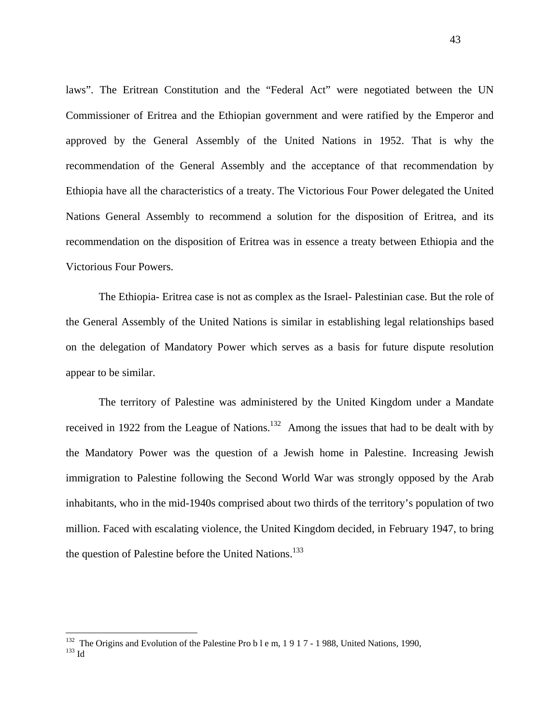laws". The Eritrean Constitution and the "Federal Act" were negotiated between the UN Commissioner of Eritrea and the Ethiopian government and were ratified by the Emperor and approved by the General Assembly of the United Nations in 1952. That is why the recommendation of the General Assembly and the acceptance of that recommendation by Ethiopia have all the characteristics of a treaty. The Victorious Four Power delegated the United Nations General Assembly to recommend a solution for the disposition of Eritrea, and its recommendation on the disposition of Eritrea was in essence a treaty between Ethiopia and the Victorious Four Powers.

The Ethiopia- Eritrea case is not as complex as the Israel- Palestinian case. But the role of the General Assembly of the United Nations is similar in establishing legal relationships based on the delegation of Mandatory Power which serves as a basis for future dispute resolution appear to be similar.

The territory of Palestine was administered by the United Kingdom under a Mandate received in 1922 from the League of Nations.<sup>132</sup> Among the issues that had to be dealt with by the Mandatory Power was the question of a Jewish home in Palestine. Increasing Jewish immigration to Palestine following the Second World War was strongly opposed by the Arab inhabitants, who in the mid-1940s comprised about two thirds of the territory's population of two million. Faced with escalating violence, the United Kingdom decided, in February 1947, to bring the question of Palestine before the United Nations.<sup>133</sup>

<sup>&</sup>lt;sup>132</sup> The Origins and Evolution of the Palestine Pro b l e m, 1 9 1 7 - 1 988, United Nations, 1990,  $\frac{133}{10}$  Id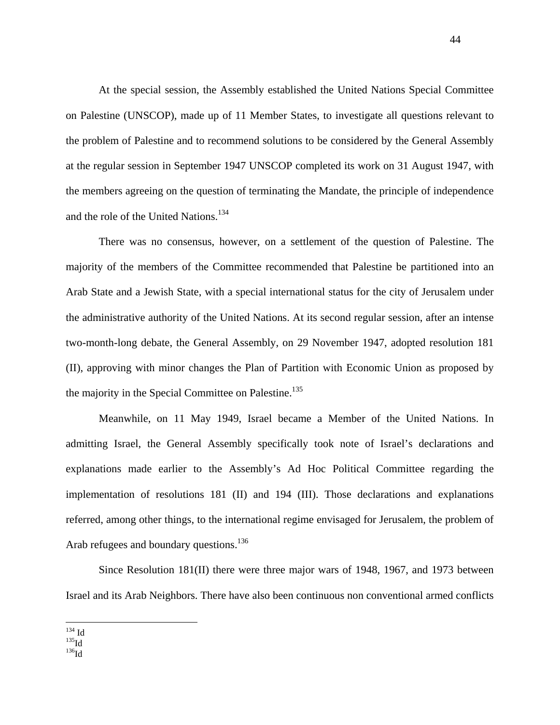At the special session, the Assembly established the United Nations Special Committee on Palestine (UNSCOP), made up of 11 Member States, to investigate all questions relevant to the problem of Palestine and to recommend solutions to be considered by the General Assembly at the regular session in September 1947 UNSCOP completed its work on 31 August 1947, with the members agreeing on the question of terminating the Mandate, the principle of independence and the role of the United Nations.<sup>134</sup>

 There was no consensus, however, on a settlement of the question of Palestine. The majority of the members of the Committee recommended that Palestine be partitioned into an Arab State and a Jewish State, with a special international status for the city of Jerusalem under the administrative authority of the United Nations. At its second regular session, after an intense two-month-long debate, the General Assembly, on 29 November 1947, adopted resolution 181 (II), approving with minor changes the Plan of Partition with Economic Union as proposed by the majority in the Special Committee on Palestine.<sup>135</sup>

Meanwhile, on 11 May 1949, Israel became a Member of the United Nations. In admitting Israel, the General Assembly specifically took note of Israel's declarations and explanations made earlier to the Assembly's Ad Hoc Political Committee regarding the implementation of resolutions 181 (II) and 194 (III). Those declarations and explanations referred, among other things, to the international regime envisaged for Jerusalem, the problem of Arab refugees and boundary questions.<sup>136</sup>

Since Resolution 181(II) there were three major wars of 1948, 1967, and 1973 between Israel and its Arab Neighbors. There have also been continuous non conventional armed conflicts

 $134$  Id

 $\mathrm{^{135}Id}\ \mathrm{^{136}Id}$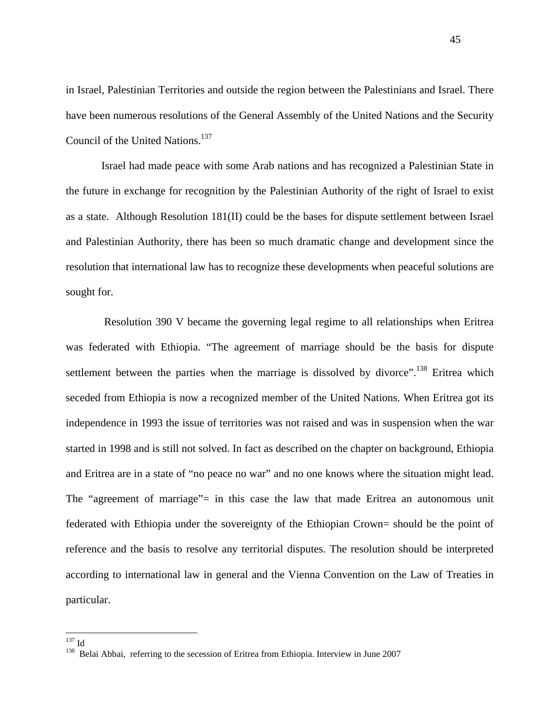in Israel, Palestinian Territories and outside the region between the Palestinians and Israel. There have been numerous resolutions of the General Assembly of the United Nations and the Security Council of the United Nations.<sup>137</sup>

 Israel had made peace with some Arab nations and has recognized a Palestinian State in the future in exchange for recognition by the Palestinian Authority of the right of Israel to exist as a state. Although Resolution 181(II) could be the bases for dispute settlement between Israel and Palestinian Authority, there has been so much dramatic change and development since the resolution that international law has to recognize these developments when peaceful solutions are sought for.

 Resolution 390 V became the governing legal regime to all relationships when Eritrea was federated with Ethiopia. "The agreement of marriage should be the basis for dispute settlement between the parties when the marriage is dissolved by divorce".<sup>138</sup> Eritrea which seceded from Ethiopia is now a recognized member of the United Nations. When Eritrea got its independence in 1993 the issue of territories was not raised and was in suspension when the war started in 1998 and is still not solved. In fact as described on the chapter on background, Ethiopia and Eritrea are in a state of "no peace no war" and no one knows where the situation might lead. The "agreement of marriage"= in this case the law that made Eritrea an autonomous unit federated with Ethiopia under the sovereignty of the Ethiopian Crown= should be the point of reference and the basis to resolve any territorial disputes. The resolution should be interpreted according to international law in general and the Vienna Convention on the Law of Treaties in particular.

 $137$  Id

<sup>&</sup>lt;sup>138</sup> Belai Abbai, referring to the secession of Eritrea from Ethiopia. Interview in June 2007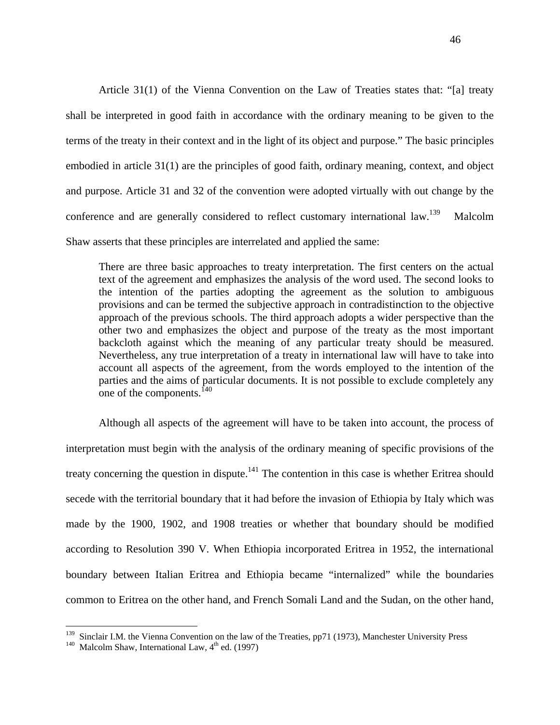Article 31(1) of the Vienna Convention on the Law of Treaties states that: "[a] treaty shall be interpreted in good faith in accordance with the ordinary meaning to be given to the terms of the treaty in their context and in the light of its object and purpose." The basic principles embodied in article 31(1) are the principles of good faith, ordinary meaning, context, and object and purpose. Article 31 and 32 of the convention were adopted virtually with out change by the conference and are generally considered to reflect customary international law.<sup>139</sup> Malcolm Shaw asserts that these principles are interrelated and applied the same:

 There are three basic approaches to treaty interpretation. The first centers on the actual text of the agreement and emphasizes the analysis of the word used. The second looks to the intention of the parties adopting the agreement as the solution to ambiguous provisions and can be termed the subjective approach in contradistinction to the objective approach of the previous schools. The third approach adopts a wider perspective than the other two and emphasizes the object and purpose of the treaty as the most important backcloth against which the meaning of any particular treaty should be measured. Nevertheless, any true interpretation of a treaty in international law will have to take into account all aspects of the agreement, from the words employed to the intention of the parties and the aims of particular documents. It is not possible to exclude completely any one of the components.<sup>140</sup>

Although all aspects of the agreement will have to be taken into account, the process of interpretation must begin with the analysis of the ordinary meaning of specific provisions of the treaty concerning the question in dispute.<sup>141</sup> The contention in this case is whether Eritrea should secede with the territorial boundary that it had before the invasion of Ethiopia by Italy which was made by the 1900, 1902, and 1908 treaties or whether that boundary should be modified according to Resolution 390 V. When Ethiopia incorporated Eritrea in 1952, the international boundary between Italian Eritrea and Ethiopia became "internalized" while the boundaries common to Eritrea on the other hand, and French Somali Land and the Sudan, on the other hand,

<sup>&</sup>lt;sup>139</sup> Sinclair I.M. the Vienna Convention on the law of the Treaties, pp71 (1973), Manchester University Press <sup>140</sup> Malcolm Shaw, International Law, 4<sup>th</sup> ed. (1997)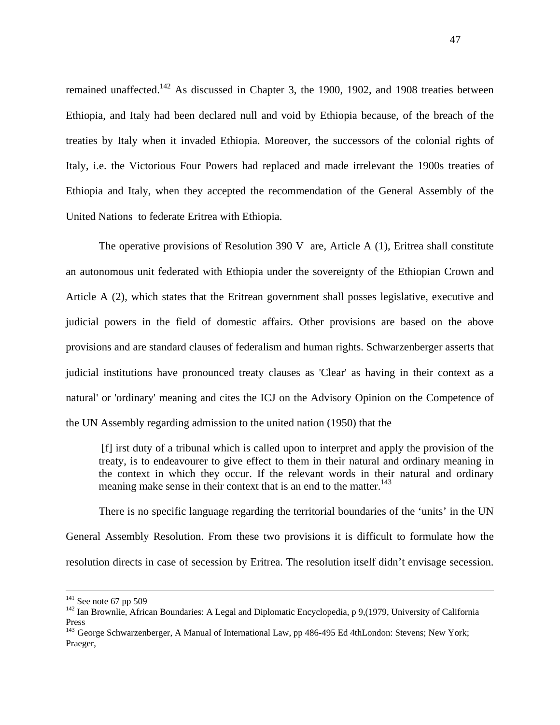remained unaffected.<sup>142</sup> As discussed in Chapter 3, the 1900, 1902, and 1908 treaties between Ethiopia, and Italy had been declared null and void by Ethiopia because, of the breach of the treaties by Italy when it invaded Ethiopia. Moreover, the successors of the colonial rights of Italy, i.e. the Victorious Four Powers had replaced and made irrelevant the 1900s treaties of Ethiopia and Italy, when they accepted the recommendation of the General Assembly of the United Nations to federate Eritrea with Ethiopia.

The operative provisions of Resolution 390 V are, Article A  $(1)$ , Eritrea shall constitute an autonomous unit federated with Ethiopia under the sovereignty of the Ethiopian Crown and Article A (2), which states that the Eritrean government shall posses legislative, executive and judicial powers in the field of domestic affairs. Other provisions are based on the above provisions and are standard clauses of federalism and human rights. Schwarzenberger asserts that judicial institutions have pronounced treaty clauses as 'Clear' as having in their context as a natural' or 'ordinary' meaning and cites the ICJ on the Advisory Opinion on the Competence of the UN Assembly regarding admission to the united nation (1950) that the

 [f] irst duty of a tribunal which is called upon to interpret and apply the provision of the treaty, is to endeavourer to give effect to them in their natural and ordinary meaning in the context in which they occur. If the relevant words in their natural and ordinary meaning make sense in their context that is an end to the matter.<sup>143</sup>

There is no specific language regarding the territorial boundaries of the 'units' in the UN General Assembly Resolution. From these two provisions it is difficult to formulate how the resolution directs in case of secession by Eritrea. The resolution itself didn't envisage secession.

<sup>&</sup>lt;sup>141</sup> See note 67 pp 509<br><sup>142</sup> Ian Brownlie, African Boundaries: A Legal and Diplomatic Encyclopedia, p 9,(1979, University of California Press

<sup>&</sup>lt;sup>143</sup> George Schwarzenberger, A Manual of International Law, pp 486-495 Ed 4thLondon: Stevens; New York; Praeger,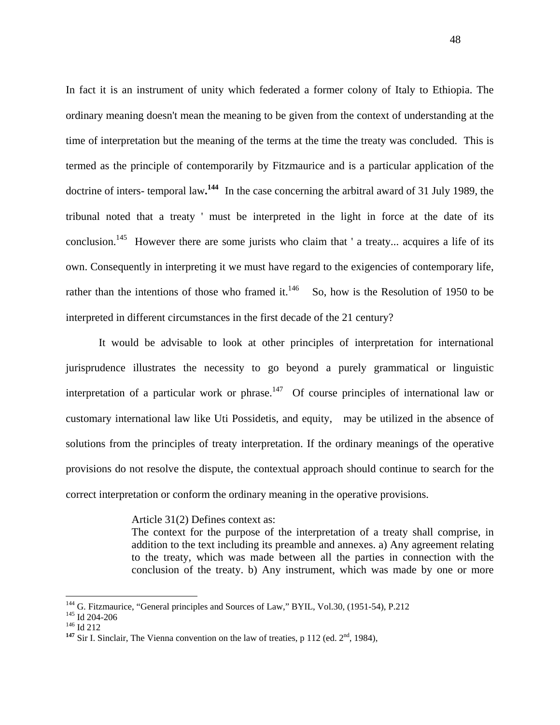In fact it is an instrument of unity which federated a former colony of Italy to Ethiopia. The ordinary meaning doesn't mean the meaning to be given from the context of understanding at the time of interpretation but the meaning of the terms at the time the treaty was concluded. This is termed as the principle of contemporarily by Fitzmaurice and is a particular application of the doctrine of inters- temporal law**. <sup>144</sup>** In the case concerning the arbitral award of 31 July 1989, the tribunal noted that a treaty ' must be interpreted in the light in force at the date of its conclusion.<sup>145</sup> However there are some jurists who claim that ' a treaty... acquires a life of its own. Consequently in interpreting it we must have regard to the exigencies of contemporary life, rather than the intentions of those who framed it.<sup>146</sup> So, how is the Resolution of 1950 to be interpreted in different circumstances in the first decade of the 21 century?

 It would be advisable to look at other principles of interpretation for international jurisprudence illustrates the necessity to go beyond a purely grammatical or linguistic interpretation of a particular work or phrase.<sup>147</sup> Of course principles of international law or customary international law like Uti Possidetis, and equity, may be utilized in the absence of solutions from the principles of treaty interpretation. If the ordinary meanings of the operative provisions do not resolve the dispute, the contextual approach should continue to search for the correct interpretation or conform the ordinary meaning in the operative provisions.

Article 31(2) Defines context as:

The context for the purpose of the interpretation of a treaty shall comprise, in addition to the text including its preamble and annexes. a) Any agreement relating to the treaty, which was made between all the parties in connection with the conclusion of the treaty. b) Any instrument, which was made by one or more

<sup>&</sup>lt;sup>144</sup> G. Fitzmaurice, "General principles and Sources of Law," BYIL, Vol.30, (1951-54), P.212<br><sup>145</sup> Id 204-206<br><sup>146</sup> Id 212<br><sup>147</sup> Sir I. Sinclair, The Vienna convention on the law of treaties, p 112 (ed. 2<sup>nd</sup>, 1984),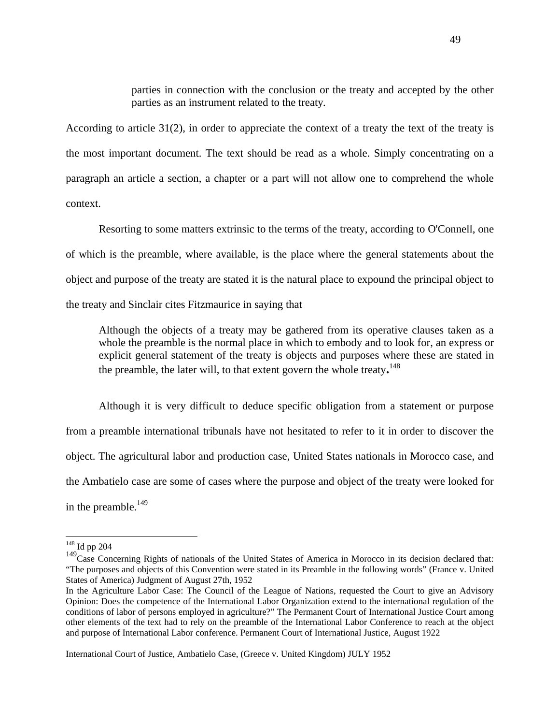parties in connection with the conclusion or the treaty and accepted by the other parties as an instrument related to the treaty*.* 

According to article 31(2), in order to appreciate the context of a treaty the text of the treaty is the most important document. The text should be read as a whole. Simply concentrating on a paragraph an article a section, a chapter or a part will not allow one to comprehend the whole context.

 Resorting to some matters extrinsic to the terms of the treaty, according to O'Connell, one of which is the preamble, where available, is the place where the general statements about the object and purpose of the treaty are stated it is the natural place to expound the principal object to the treaty and Sinclair cites Fitzmaurice in saying that

Although the objects of a treaty may be gathered from its operative clauses taken as a whole the preamble is the normal place in which to embody and to look for, an express or explicit general statement of the treaty is objects and purposes where these are stated in the preamble, the later will, to that extent govern the whole treaty**.** <sup>148</sup>

Although it is very difficult to deduce specific obligation from a statement or purpose from a preamble international tribunals have not hesitated to refer to it in order to discover the object. The agricultural labor and production case, United States nationals in Morocco case, and the Ambatielo case are some of cases where the purpose and object of the treaty were looked for in the preamble.<sup>149</sup>

<sup>148</sup> Id pp 204

<sup>&</sup>lt;sup>149</sup>Case Concerning Rights of nationals of the United States of America in Morocco in its decision declared that: "The purposes and objects of this Convention were stated in its Preamble in the following words" (France v. United States of America) Judgment of August 27th, 1952

In the Agriculture Labor Case: The Council of the League of Nations, requested the Court to give an Advisory Opinion: Does the competence of the International Labor Organization extend to the international regulation of the conditions of labor of persons employed in agriculture?" The Permanent Court of International Justice Court among other elements of the text had to rely on the preamble of the International Labor Conference to reach at the object and purpose of International Labor conference. Permanent Court of International Justice, August 1922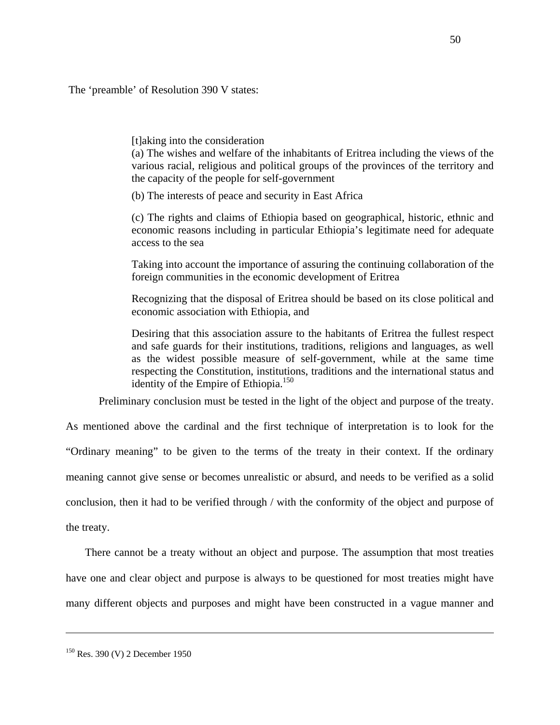The 'preamble' of Resolution 390 V states:

[t]aking into the consideration

(a) The wishes and welfare of the inhabitants of Eritrea including the views of the various racial, religious and political groups of the provinces of the territory and the capacity of the people for self-government

(b) The interests of peace and security in East Africa

(c) The rights and claims of Ethiopia based on geographical, historic, ethnic and economic reasons including in particular Ethiopia's legitimate need for adequate access to the sea

Taking into account the importance of assuring the continuing collaboration of the foreign communities in the economic development of Eritrea

Recognizing that the disposal of Eritrea should be based on its close political and economic association with Ethiopia, and

Desiring that this association assure to the habitants of Eritrea the fullest respect and safe guards for their institutions, traditions, religions and languages, as well as the widest possible measure of self-government, while at the same time respecting the Constitution, institutions, traditions and the international status and identity of the Empire of Ethiopia. $150$ 

Preliminary conclusion must be tested in the light of the object and purpose of the treaty.

As mentioned above the cardinal and the first technique of interpretation is to look for the "Ordinary meaning" to be given to the terms of the treaty in their context. If the ordinary meaning cannot give sense or becomes unrealistic or absurd, and needs to be verified as a solid conclusion, then it had to be verified through / with the conformity of the object and purpose of the treaty.

 There cannot be a treaty without an object and purpose. The assumption that most treaties have one and clear object and purpose is always to be questioned for most treaties might have many different objects and purposes and might have been constructed in a vague manner and

<sup>&</sup>lt;sup>150</sup> Res. 390 (V) 2 December 1950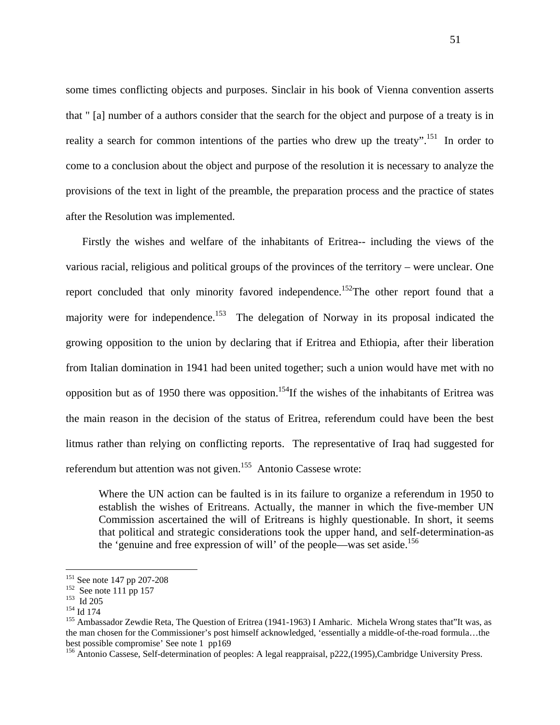some times conflicting objects and purposes. Sinclair in his book of Vienna convention asserts that " [a] number of a authors consider that the search for the object and purpose of a treaty is in reality a search for common intentions of the parties who drew up the treaty".<sup>151</sup> In order to come to a conclusion about the object and purpose of the resolution it is necessary to analyze the provisions of the text in light of the preamble, the preparation process and the practice of states after the Resolution was implemented.

Firstly the wishes and welfare of the inhabitants of Eritrea-- including the views of the various racial, religious and political groups of the provinces of the territory – were unclear. One report concluded that only minority favored independence.<sup>152</sup>The other report found that a majority were for independence.<sup>153</sup> The delegation of Norway in its proposal indicated the growing opposition to the union by declaring that if Eritrea and Ethiopia, after their liberation from Italian domination in 1941 had been united together; such a union would have met with no opposition but as of 1950 there was opposition.<sup>154</sup>If the wishes of the inhabitants of Eritrea was the main reason in the decision of the status of Eritrea, referendum could have been the best litmus rather than relying on conflicting reports. The representative of Iraq had suggested for referendum but attention was not given.<sup>155</sup> Antonio Cassese wrote:

Where the UN action can be faulted is in its failure to organize a referendum in 1950 to establish the wishes of Eritreans. Actually, the manner in which the five-member UN Commission ascertained the will of Eritreans is highly questionable. In short, it seems that political and strategic considerations took the upper hand, and self-determination-as the 'genuine and free expression of will' of the people—was set aside.<sup>156</sup>

<sup>&</sup>lt;sup>151</sup> See note 147 pp 207-208<br>
<sup>152</sup> See note 111 pp 157<br>
<sup>153</sup> Id 205<br>
<sup>154</sup> Id 174<br>
<sup>155</sup> Ambassador Zewdie Reta, The Question of Eritrea (1941-1963) I Amharic. Michela Wrong states that"It was, as the man chosen for the Commissioner's post himself acknowledged, 'essentially a middle-of-the-road formula…the best possible compromise' See note 1 pp169

<sup>&</sup>lt;sup>156</sup> Antonio Cassese, Self-determination of peoples: A legal reappraisal, p222,(1995),Cambridge University Press.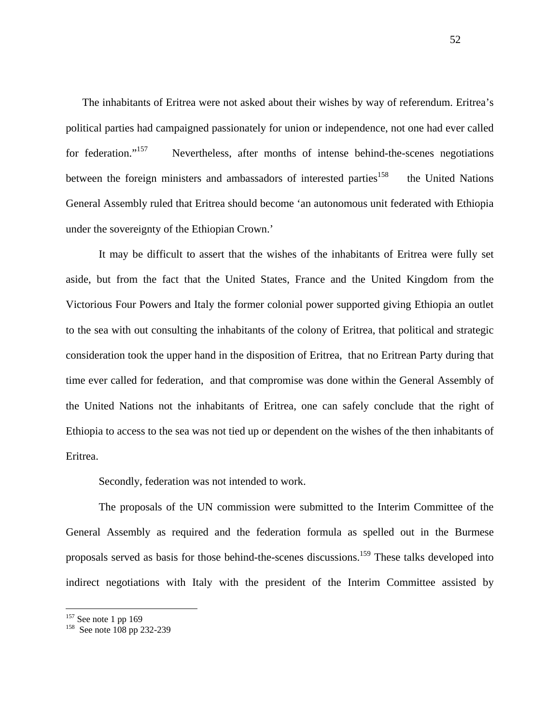The inhabitants of Eritrea were not asked about their wishes by way of referendum. Eritrea's political parties had campaigned passionately for union or independence, not one had ever called for federation."<sup>157</sup> Nevertheless, after months of intense behind-the-scenes negotiations between the foreign ministers and ambassadors of interested parties<sup>158</sup> the United Nations General Assembly ruled that Eritrea should become 'an autonomous unit federated with Ethiopia under the sovereignty of the Ethiopian Crown.'

It may be difficult to assert that the wishes of the inhabitants of Eritrea were fully set aside, but from the fact that the United States, France and the United Kingdom from the Victorious Four Powers and Italy the former colonial power supported giving Ethiopia an outlet to the sea with out consulting the inhabitants of the colony of Eritrea, that political and strategic consideration took the upper hand in the disposition of Eritrea, that no Eritrean Party during that time ever called for federation, and that compromise was done within the General Assembly of the United Nations not the inhabitants of Eritrea, one can safely conclude that the right of Ethiopia to access to the sea was not tied up or dependent on the wishes of the then inhabitants of Eritrea.

Secondly, federation was not intended to work.

The proposals of the UN commission were submitted to the Interim Committee of the General Assembly as required and the federation formula as spelled out in the Burmese proposals served as basis for those behind-the-scenes discussions.<sup>159</sup> These talks developed into indirect negotiations with Italy with the president of the Interim Committee assisted by

<sup>&</sup>lt;sup>157</sup> See note 1 pp 169<br><sup>158</sup> See note 108 pp 232-239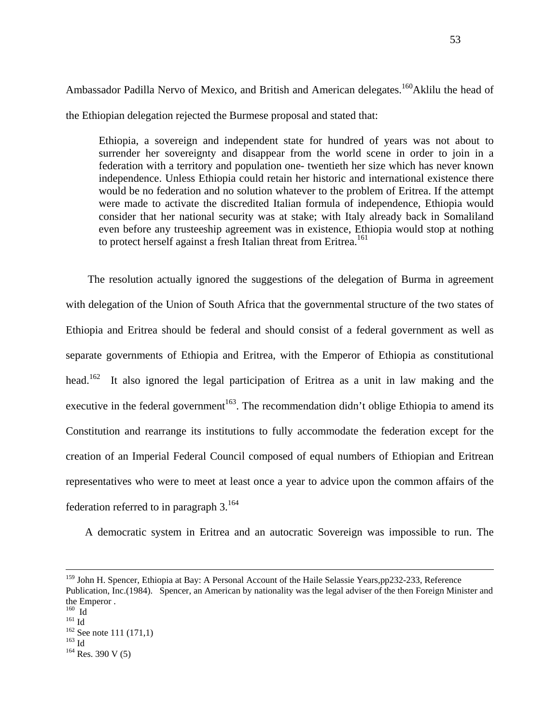Ambassador Padilla Nervo of Mexico, and British and American delegates.<sup>160</sup>Aklilu the head of the Ethiopian delegation rejected the Burmese proposal and stated that:

Ethiopia, a sovereign and independent state for hundred of years was not about to surrender her sovereignty and disappear from the world scene in order to join in a federation with a territory and population one- twentieth her size which has never known independence. Unless Ethiopia could retain her historic and international existence there would be no federation and no solution whatever to the problem of Eritrea. If the attempt were made to activate the discredited Italian formula of independence, Ethiopia would consider that her national security was at stake; with Italy already back in Somaliland even before any trusteeship agreement was in existence, Ethiopia would stop at nothing to protect herself against a fresh Italian threat from Eritrea.<sup>161</sup>

 The resolution actually ignored the suggestions of the delegation of Burma in agreement with delegation of the Union of South Africa that the governmental structure of the two states of Ethiopia and Eritrea should be federal and should consist of a federal government as well as separate governments of Ethiopia and Eritrea, with the Emperor of Ethiopia as constitutional head.<sup>162</sup> It also ignored the legal participation of Eritrea as a unit in law making and the executive in the federal government<sup>163</sup>. The recommendation didn't oblige Ethiopia to amend its Constitution and rearrange its institutions to fully accommodate the federation except for the creation of an Imperial Federal Council composed of equal numbers of Ethiopian and Eritrean representatives who were to meet at least once a year to advice upon the common affairs of the federation referred to in paragraph  $3^{164}$ 

A democratic system in Eritrea and an autocratic Sovereign was impossible to run. The

<sup>&</sup>lt;sup>159</sup> John H. Spencer, Ethiopia at Bay: A Personal Account of the Haile Selassie Years,pp232-233, Reference

Publication, Inc.(1984). Spencer, an American by nationality was the legal adviser of the then Foreign Minister and the Emperor .<br> $^{160}$  Id

<sup>&</sup>lt;sup>161</sup> Id<br><sup>162</sup> See note 111 (171,1)<br><sup>163</sup> Id<br><sup>164</sup> Res. 390 V (5)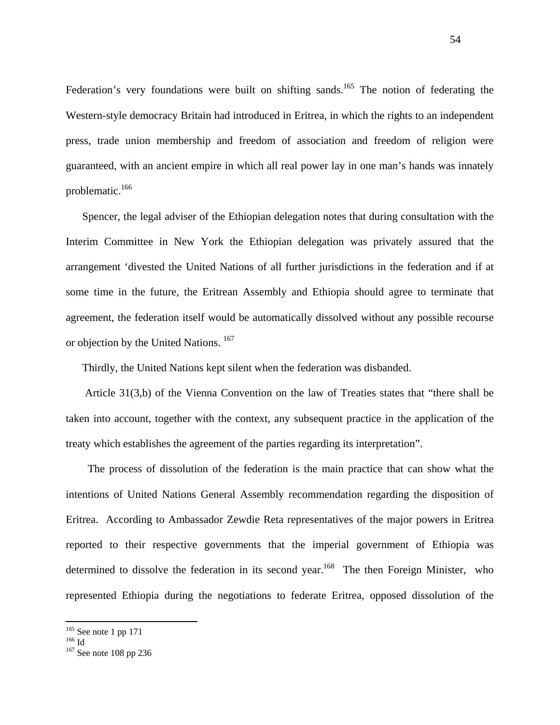Federation's very foundations were built on shifting sands.<sup>165</sup> The notion of federating the Western-style democracy Britain had introduced in Eritrea, in which the rights to an independent press, trade union membership and freedom of association and freedom of religion were guaranteed, with an ancient empire in which all real power lay in one man's hands was innately problematic.<sup>166</sup>

Spencer, the legal adviser of the Ethiopian delegation notes that during consultation with the Interim Committee in New York the Ethiopian delegation was privately assured that the arrangement 'divested the United Nations of all further jurisdictions in the federation and if at some time in the future, the Eritrean Assembly and Ethiopia should agree to terminate that agreement, the federation itself would be automatically dissolved without any possible recourse or objection by the United Nations.  $167$ 

Thirdly, the United Nations kept silent when the federation was disbanded.

 Article 31(3,b) of the Vienna Convention on the law of Treaties states that "there shall be taken into account, together with the context, any subsequent practice in the application of the treaty which establishes the agreement of the parties regarding its interpretation".

 The process of dissolution of the federation is the main practice that can show what the intentions of United Nations General Assembly recommendation regarding the disposition of Eritrea. According to Ambassador Zewdie Reta representatives of the major powers in Eritrea reported to their respective governments that the imperial government of Ethiopia was determined to dissolve the federation in its second year.<sup>168</sup> The then Foreign Minister, who represented Ethiopia during the negotiations to federate Eritrea, opposed dissolution of the

<sup>&</sup>lt;sup>165</sup> See note 1 pp 171<br><sup>166</sup> Id <sup>167</sup> See note 108 pp 236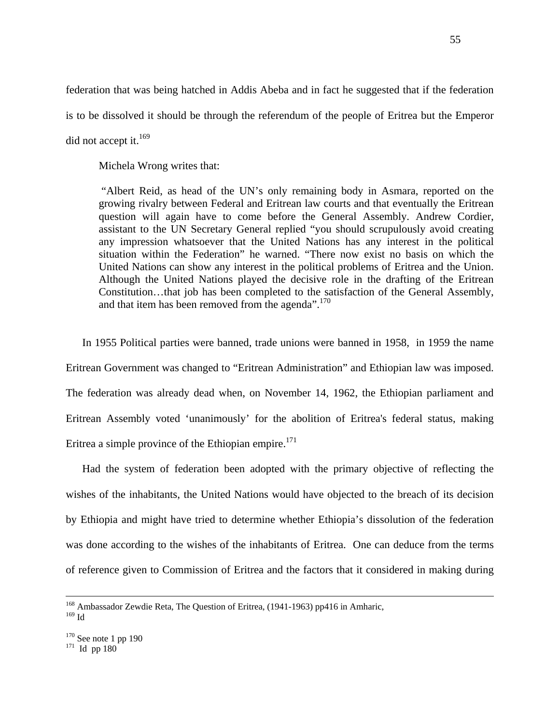federation that was being hatched in Addis Abeba and in fact he suggested that if the federation is to be dissolved it should be through the referendum of the people of Eritrea but the Emperor did not accept it. $169$ 

Michela Wrong writes that:

 "Albert Reid, as head of the UN's only remaining body in Asmara, reported on the growing rivalry between Federal and Eritrean law courts and that eventually the Eritrean question will again have to come before the General Assembly. Andrew Cordier, assistant to the UN Secretary General replied "you should scrupulously avoid creating any impression whatsoever that the United Nations has any interest in the political situation within the Federation" he warned. "There now exist no basis on which the United Nations can show any interest in the political problems of Eritrea and the Union. Although the United Nations played the decisive role in the drafting of the Eritrean Constitution…that job has been completed to the satisfaction of the General Assembly, and that item has been removed from the agenda".<sup>170</sup>

In 1955 Political parties were banned, trade unions were banned in 1958, in 1959 the name Eritrean Government was changed to "Eritrean Administration" and Ethiopian law was imposed. The federation was already dead when, on November 14, 1962, the Ethiopian parliament and Eritrean Assembly voted 'unanimously' for the abolition of Eritrea's federal status, making Eritrea a simple province of the Ethiopian empire.<sup>171</sup>

Had the system of federation been adopted with the primary objective of reflecting the wishes of the inhabitants, the United Nations would have objected to the breach of its decision by Ethiopia and might have tried to determine whether Ethiopia's dissolution of the federation was done according to the wishes of the inhabitants of Eritrea. One can deduce from the terms of reference given to Commission of Eritrea and the factors that it considered in making during

 $^{169}\mbox{Id}$ 

<sup>&</sup>lt;sup>168</sup> Ambassador Zewdie Reta, The Question of Eritrea, (1941-1963) pp416 in Amharic,

 $^{170}$  See note 1 pp 190<br> $^{171}$  Id pp 180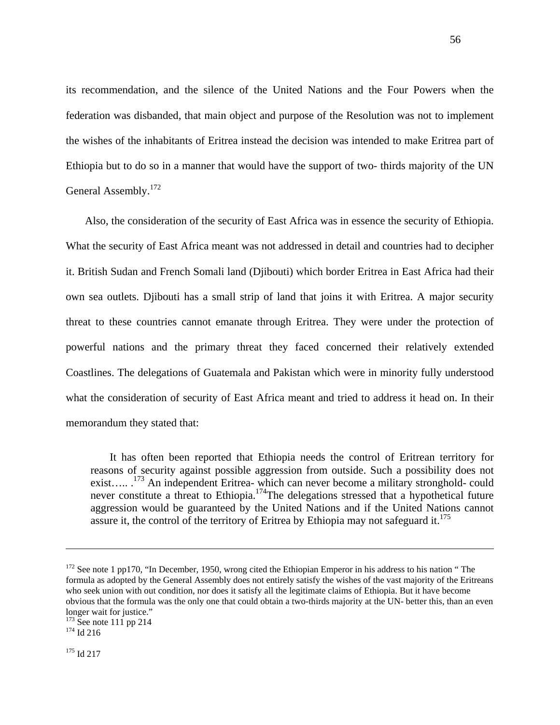its recommendation, and the silence of the United Nations and the Four Powers when the federation was disbanded, that main object and purpose of the Resolution was not to implement the wishes of the inhabitants of Eritrea instead the decision was intended to make Eritrea part of Ethiopia but to do so in a manner that would have the support of two- thirds majority of the UN General Assembly.<sup>172</sup>

 Also, the consideration of the security of East Africa was in essence the security of Ethiopia. What the security of East Africa meant was not addressed in detail and countries had to decipher it. British Sudan and French Somali land (Djibouti) which border Eritrea in East Africa had their own sea outlets. Djibouti has a small strip of land that joins it with Eritrea. A major security threat to these countries cannot emanate through Eritrea. They were under the protection of powerful nations and the primary threat they faced concerned their relatively extended Coastlines. The delegations of Guatemala and Pakistan which were in minority fully understood what the consideration of security of East Africa meant and tried to address it head on. In their memorandum they stated that:

 It has often been reported that Ethiopia needs the control of Eritrean territory for reasons of security against possible aggression from outside. Such a possibility does not exist….. <sup>173</sup> An independent Eritrea- which can never become a military stronghold- could never constitute a threat to Ethiopia.<sup>174</sup>The delegations stressed that a hypothetical future aggression would be guaranteed by the United Nations and if the United Nations cannot assure it, the control of the territory of Eritrea by Ethiopia may not safeguard it.<sup>175</sup>

<sup>&</sup>lt;sup>172</sup> See note 1 pp170, "In December, 1950, wrong cited the Ethiopian Emperor in his address to his nation " The formula as adopted by the General Assembly does not entirely satisfy the wishes of the vast majority of the Eritreans who seek union with out condition, nor does it satisfy all the legitimate claims of Ethiopia. But it have become obvious that the formula was the only one that could obtain a two-thirds majority at the UN- better this, than an even longer wait for justice."

 $173$  See note 111 pp 214<br> $174$  Id 216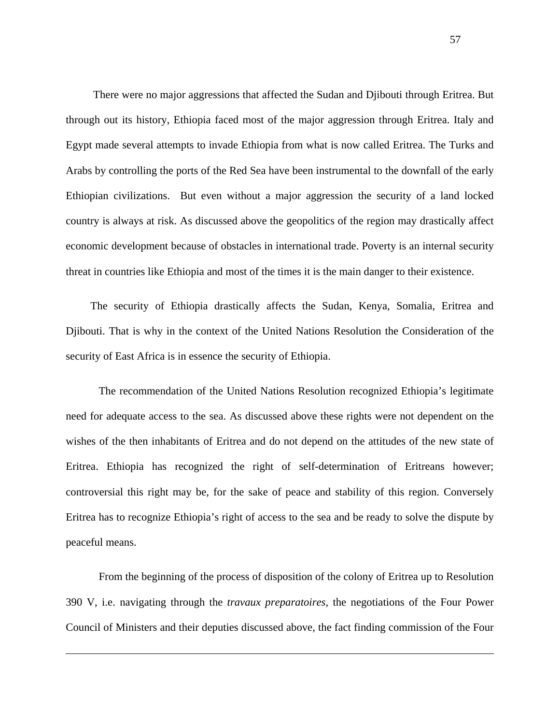There were no major aggressions that affected the Sudan and Djibouti through Eritrea. But through out its history, Ethiopia faced most of the major aggression through Eritrea. Italy and Egypt made several attempts to invade Ethiopia from what is now called Eritrea. The Turks and Arabs by controlling the ports of the Red Sea have been instrumental to the downfall of the early Ethiopian civilizations. But even without a major aggression the security of a land locked country is always at risk. As discussed above the geopolitics of the region may drastically affect economic development because of obstacles in international trade. Poverty is an internal security threat in countries like Ethiopia and most of the times it is the main danger to their existence.

The security of Ethiopia drastically affects the Sudan, Kenya, Somalia, Eritrea and Djibouti. That is why in the context of the United Nations Resolution the Consideration of the security of East Africa is in essence the security of Ethiopia.

The recommendation of the United Nations Resolution recognized Ethiopia's legitimate need for adequate access to the sea. As discussed above these rights were not dependent on the wishes of the then inhabitants of Eritrea and do not depend on the attitudes of the new state of Eritrea. Ethiopia has recognized the right of self-determination of Eritreans however; controversial this right may be, for the sake of peace and stability of this region. Conversely Eritrea has to recognize Ethiopia's right of access to the sea and be ready to solve the dispute by peaceful means.

From the beginning of the process of disposition of the colony of Eritrea up to Resolution 390 V, i.e. navigating through the *travaux preparatoires,* the negotiations of the Four Power Council of Ministers and their deputies discussed above, the fact finding commission of the Four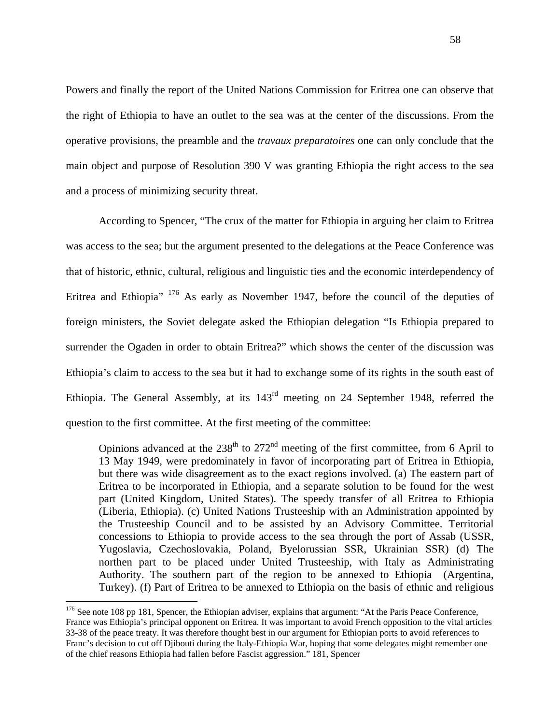Powers and finally the report of the United Nations Commission for Eritrea one can observe that the right of Ethiopia to have an outlet to the sea was at the center of the discussions. From the operative provisions, the preamble and the *travaux preparatoires* one can only conclude that the main object and purpose of Resolution 390 V was granting Ethiopia the right access to the sea and a process of minimizing security threat.

According to Spencer, "The crux of the matter for Ethiopia in arguing her claim to Eritrea was access to the sea; but the argument presented to the delegations at the Peace Conference was that of historic, ethnic, cultural, religious and linguistic ties and the economic interdependency of Eritrea and Ethiopia" <sup>176</sup> As early as November 1947, before the council of the deputies of foreign ministers, the Soviet delegate asked the Ethiopian delegation "Is Ethiopia prepared to surrender the Ogaden in order to obtain Eritrea?" which shows the center of the discussion was Ethiopia's claim to access to the sea but it had to exchange some of its rights in the south east of Ethiopia. The General Assembly, at its 143rd meeting on 24 September 1948, referred the question to the first committee. At the first meeting of the committee:

Opinions advanced at the  $238<sup>th</sup>$  to  $272<sup>nd</sup>$  meeting of the first committee, from 6 April to 13 May 1949, were predominately in favor of incorporating part of Eritrea in Ethiopia, but there was wide disagreement as to the exact regions involved. (a) The eastern part of Eritrea to be incorporated in Ethiopia, and a separate solution to be found for the west part (United Kingdom, United States). The speedy transfer of all Eritrea to Ethiopia (Liberia, Ethiopia). (c) United Nations Trusteeship with an Administration appointed by the Trusteeship Council and to be assisted by an Advisory Committee. Territorial concessions to Ethiopia to provide access to the sea through the port of Assab (USSR, Yugoslavia, Czechoslovakia, Poland, Byelorussian SSR, Ukrainian SSR) (d) The northen part to be placed under United Trusteeship, with Italy as Administrating Authority. The southern part of the region to be annexed to Ethiopia (Argentina, Turkey). (f) Part of Eritrea to be annexed to Ethiopia on the basis of ethnic and religious

<sup>&</sup>lt;sup>176</sup> See note 108 pp 181, Spencer, the Ethiopian adviser, explains that argument: "At the Paris Peace Conference, France was Ethiopia's principal opponent on Eritrea. It was important to avoid French opposition to the vital articles 33-38 of the peace treaty. It was therefore thought best in our argument for Ethiopian ports to avoid references to Franc's decision to cut off Djibouti during the Italy-Ethiopia War, hoping that some delegates might remember one of the chief reasons Ethiopia had fallen before Fascist aggression." 181, Spencer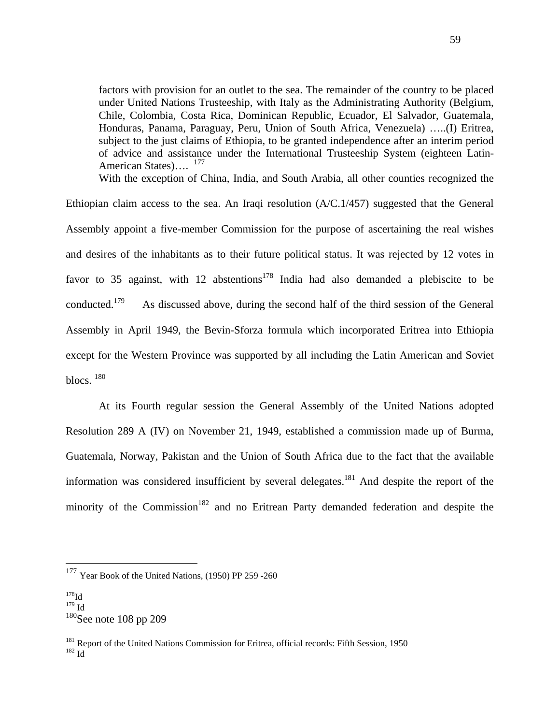factors with provision for an outlet to the sea. The remainder of the country to be placed under United Nations Trusteeship, with Italy as the Administrating Authority (Belgium, Chile, Colombia, Costa Rica, Dominican Republic, Ecuador, El Salvador, Guatemala, Honduras, Panama, Paraguay, Peru, Union of South Africa, Venezuela) …..(I) Eritrea, subject to the just claims of Ethiopia, to be granted independence after an interim period of advice and assistance under the International Trusteeship System (eighteen Latin-American States)....<sup>177</sup>

With the exception of China, India, and South Arabia, all other counties recognized the

Ethiopian claim access to the sea. An Iraqi resolution (A/C.1/457) suggested that the General Assembly appoint a five-member Commission for the purpose of ascertaining the real wishes and desires of the inhabitants as to their future political status. It was rejected by 12 votes in favor to 35 against, with 12 abstentions<sup>178</sup> India had also demanded a plebiscite to be conducted.<sup>179</sup> As discussed above, during the second half of the third session of the General Assembly in April 1949, the Bevin-Sforza formula which incorporated Eritrea into Ethiopia except for the Western Province was supported by all including the Latin American and Soviet blocs. 180

At its Fourth regular session the General Assembly of the United Nations adopted Resolution 289 A (IV) on November 21, 1949, established a commission made up of Burma, Guatemala, Norway, Pakistan and the Union of South Africa due to the fact that the available information was considered insufficient by several delegates.<sup>181</sup> And despite the report of the minority of the Commission<sup>182</sup> and no Eritrean Party demanded federation and despite the

<sup>177</sup> Year Book of the United Nations, (1950) PP 259 -260

 $178$ Id

 $^{179}$  Id

 $180$ See note 108 pp 209

<sup>&</sup>lt;sup>181</sup> Report of the United Nations Commission for Eritrea, official records: Fifth Session, 1950<br><sup>182</sup> Id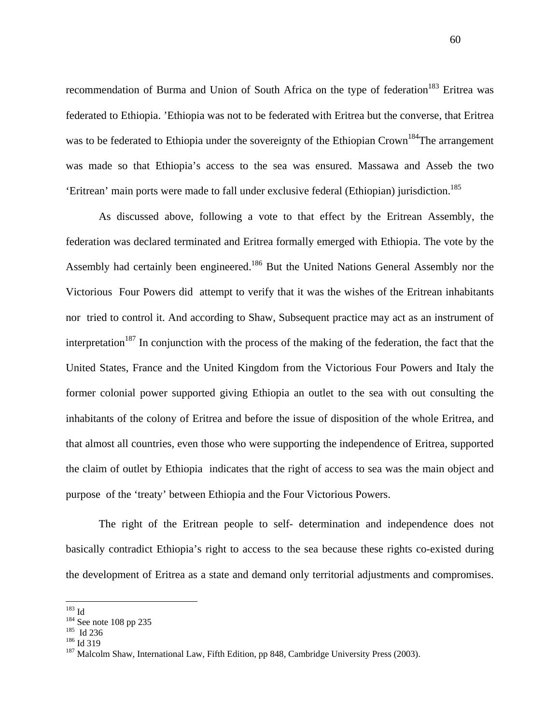recommendation of Burma and Union of South Africa on the type of federation<sup>183</sup> Eritrea was federated to Ethiopia. 'Ethiopia was not to be federated with Eritrea but the converse, that Eritrea was to be federated to Ethiopia under the sovereignty of the Ethiopian Crown<sup>184</sup>The arrangement was made so that Ethiopia's access to the sea was ensured. Massawa and Asseb the two 'Eritrean' main ports were made to fall under exclusive federal (Ethiopian) jurisdiction.<sup>185</sup>

As discussed above, following a vote to that effect by the Eritrean Assembly, the federation was declared terminated and Eritrea formally emerged with Ethiopia. The vote by the Assembly had certainly been engineered.<sup>186</sup> But the United Nations General Assembly nor the Victorious Four Powers did attempt to verify that it was the wishes of the Eritrean inhabitants nor tried to control it. And according to Shaw, Subsequent practice may act as an instrument of interpretation<sup>187</sup> In conjunction with the process of the making of the federation, the fact that the United States, France and the United Kingdom from the Victorious Four Powers and Italy the former colonial power supported giving Ethiopia an outlet to the sea with out consulting the inhabitants of the colony of Eritrea and before the issue of disposition of the whole Eritrea, and that almost all countries, even those who were supporting the independence of Eritrea, supported the claim of outlet by Ethiopia indicates that the right of access to sea was the main object and purpose of the 'treaty' between Ethiopia and the Four Victorious Powers.

The right of the Eritrean people to self- determination and independence does not basically contradict Ethiopia's right to access to the sea because these rights co-existed during the development of Eritrea as a state and demand only territorial adjustments and compromises.

 $^{183}\mbox{Id}$ 

<sup>&</sup>lt;sup>184</sup> See note 108 pp 235<br><sup>185</sup> Id 236<br><sup>186</sup> Id 319<br><sup>187</sup> Malcolm Shaw, International Law, Fifth Edition, pp 848, Cambridge University Press (2003).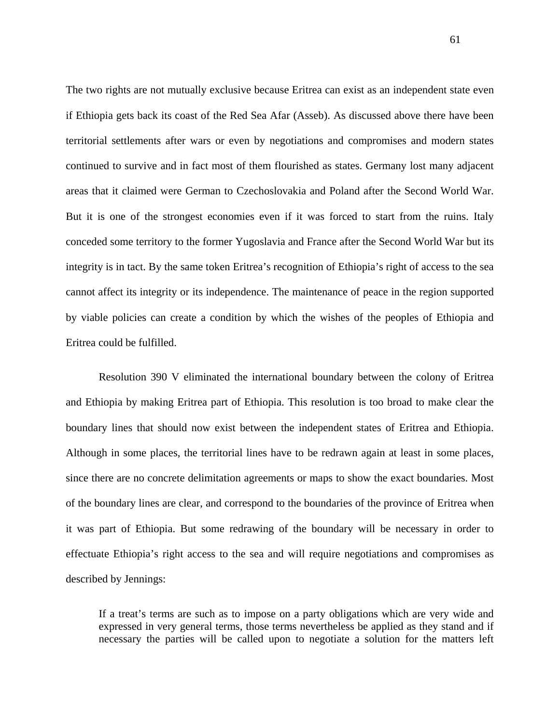The two rights are not mutually exclusive because Eritrea can exist as an independent state even if Ethiopia gets back its coast of the Red Sea Afar (Asseb). As discussed above there have been territorial settlements after wars or even by negotiations and compromises and modern states continued to survive and in fact most of them flourished as states. Germany lost many adjacent areas that it claimed were German to Czechoslovakia and Poland after the Second World War. But it is one of the strongest economies even if it was forced to start from the ruins. Italy conceded some territory to the former Yugoslavia and France after the Second World War but its integrity is in tact. By the same token Eritrea's recognition of Ethiopia's right of access to the sea cannot affect its integrity or its independence. The maintenance of peace in the region supported by viable policies can create a condition by which the wishes of the peoples of Ethiopia and Eritrea could be fulfilled.

 Resolution 390 V eliminated the international boundary between the colony of Eritrea and Ethiopia by making Eritrea part of Ethiopia. This resolution is too broad to make clear the boundary lines that should now exist between the independent states of Eritrea and Ethiopia. Although in some places, the territorial lines have to be redrawn again at least in some places, since there are no concrete delimitation agreements or maps to show the exact boundaries. Most of the boundary lines are clear, and correspond to the boundaries of the province of Eritrea when it was part of Ethiopia. But some redrawing of the boundary will be necessary in order to effectuate Ethiopia's right access to the sea and will require negotiations and compromises as described by Jennings:

If a treat's terms are such as to impose on a party obligations which are very wide and expressed in very general terms, those terms nevertheless be applied as they stand and if necessary the parties will be called upon to negotiate a solution for the matters left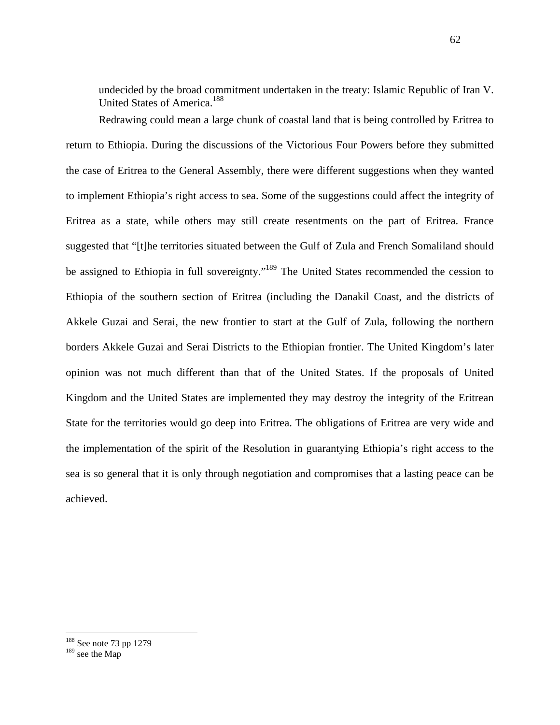undecided by the broad commitment undertaken in the treaty: Islamic Republic of Iran V. United States of America.<sup>188</sup>

Redrawing could mean a large chunk of coastal land that is being controlled by Eritrea to return to Ethiopia. During the discussions of the Victorious Four Powers before they submitted the case of Eritrea to the General Assembly, there were different suggestions when they wanted to implement Ethiopia's right access to sea. Some of the suggestions could affect the integrity of Eritrea as a state, while others may still create resentments on the part of Eritrea. France suggested that "[t]he territories situated between the Gulf of Zula and French Somaliland should be assigned to Ethiopia in full sovereignty."<sup>189</sup> The United States recommended the cession to Ethiopia of the southern section of Eritrea (including the Danakil Coast, and the districts of Akkele Guzai and Serai, the new frontier to start at the Gulf of Zula, following the northern borders Akkele Guzai and Serai Districts to the Ethiopian frontier. The United Kingdom's later opinion was not much different than that of the United States. If the proposals of United Kingdom and the United States are implemented they may destroy the integrity of the Eritrean State for the territories would go deep into Eritrea. The obligations of Eritrea are very wide and the implementation of the spirit of the Resolution in guarantying Ethiopia's right access to the sea is so general that it is only through negotiation and compromises that a lasting peace can be achieved.

<sup>&</sup>lt;sup>188</sup> See note 73 pp 1279

 $189$  see the Map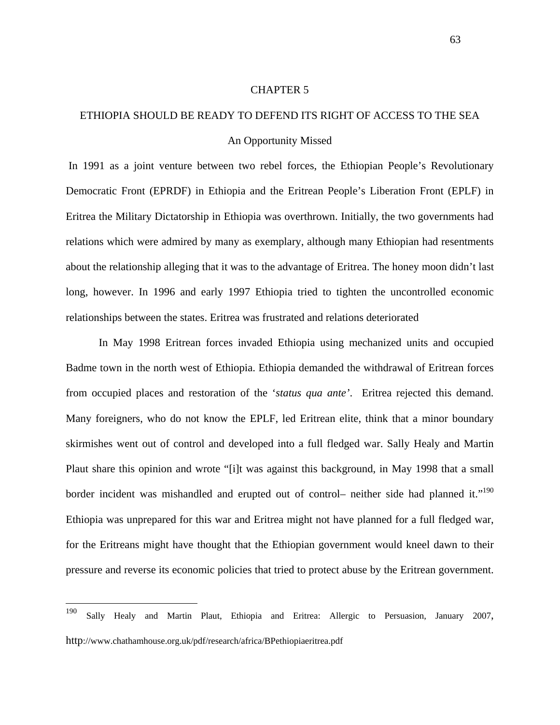#### CHAPTER 5

# ETHIOPIA SHOULD BE READY TO DEFEND ITS RIGHT OF ACCESS TO THE SEA An Opportunity Missed

 In 1991 as a joint venture between two rebel forces, the Ethiopian People's Revolutionary Democratic Front (EPRDF) in Ethiopia and the Eritrean People's Liberation Front (EPLF) in Eritrea the Military Dictatorship in Ethiopia was overthrown. Initially, the two governments had relations which were admired by many as exemplary, although many Ethiopian had resentments about the relationship alleging that it was to the advantage of Eritrea. The honey moon didn't last long, however. In 1996 and early 1997 Ethiopia tried to tighten the uncontrolled economic relationships between the states. Eritrea was frustrated and relations deteriorated

In May 1998 Eritrean forces invaded Ethiopia using mechanized units and occupied Badme town in the north west of Ethiopia. Ethiopia demanded the withdrawal of Eritrean forces from occupied places and restoration of the '*status qua ante'*. Eritrea rejected this demand. Many foreigners, who do not know the EPLF, led Eritrean elite, think that a minor boundary skirmishes went out of control and developed into a full fledged war. Sally Healy and Martin Plaut share this opinion and wrote "[i]t was against this background, in May 1998 that a small border incident was mishandled and erupted out of control– neither side had planned it."<sup>190</sup> Ethiopia was unprepared for this war and Eritrea might not have planned for a full fledged war, for the Eritreans might have thought that the Ethiopian government would kneel dawn to their pressure and reverse its economic policies that tried to protect abuse by the Eritrean government.

<sup>190</sup> <sup>190</sup> Sally Healy and Martin Plaut, Ethiopia and Eritrea: Allergic to Persuasion, January 2007, <http://www.chathamhouse.org.uk/pdf/research/africa/BPethiopiaeritrea.pdf>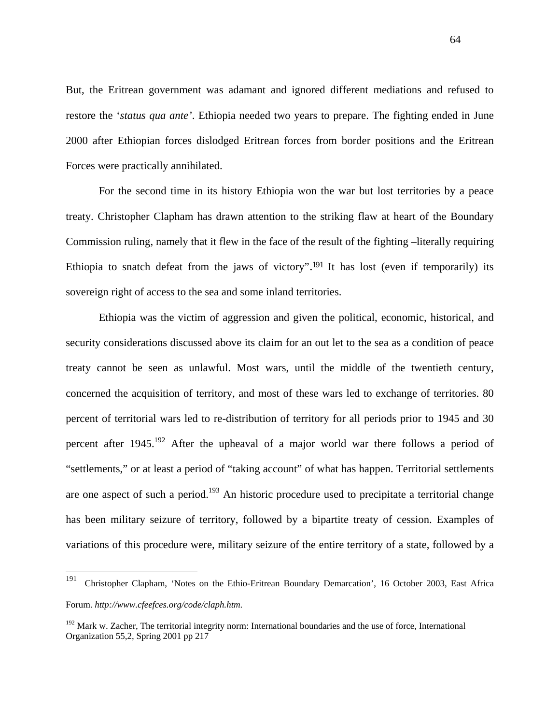But, the Eritrean government was adamant and ignored different mediations and refused to restore the '*status qua ante'*. Ethiopia needed two years to prepare. The fighting ended in June 2000 after Ethiopian forces dislodged Eritrean forces from border positions and the Eritrean Forces were practically annihilated.

 For the second time in its history Ethiopia won the war but lost territories by a peace treaty. Christopher Clapham has drawn attention to the striking flaw at heart of the Boundary Commission ruling, namely that it flew in the face of the result of the fighting –literally requiring Ethiopia to snatch defeat from the jaws of victory".191 It has lost (even if temporarily) its sovereign right of access to the sea and some inland territories.

 Ethiopia was the victim of aggression and given the political, economic, historical, and security considerations discussed above its claim for an out let to the sea as a condition of peace treaty cannot be seen as unlawful. Most wars, until the middle of the twentieth century, concerned the acquisition of territory, and most of these wars led to exchange of territories. 80 percent of territorial wars led to re-distribution of territory for all periods prior to 1945 and 30 percent after  $1945$ <sup>192</sup> After the upheaval of a major world war there follows a period of "settlements," or at least a period of "taking account" of what has happen. Territorial settlements are one aspect of such a period.<sup>193</sup> An historic procedure used to precipitate a territorial change has been military seizure of territory, followed by a bipartite treaty of cession. Examples of variations of this procedure were, military seizure of the entire territory of a state, followed by a

<sup>191</sup> <sup>191</sup> Christopher Clapham, 'Notes on the Ethio-Eritrean Boundary Demarcation', 16 October 2003, East Africa Forum. *<http://www.cfeefces.org/code/claph.htm>*.

<sup>&</sup>lt;sup>192</sup> Mark w. Zacher, The territorial integrity norm: International boundaries and the use of force, International Organization 55,2, Spring 2001 pp 217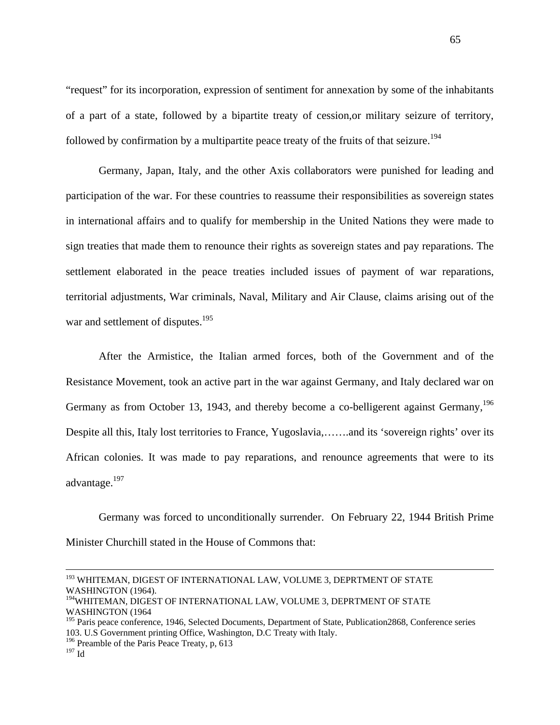"request" for its incorporation, expression of sentiment for annexation by some of the inhabitants of a part of a state, followed by a bipartite treaty of cession,or military seizure of territory, followed by confirmation by a multipartite peace treaty of the fruits of that seizure.<sup>194</sup>

Germany, Japan, Italy, and the other Axis collaborators were punished for leading and participation of the war. For these countries to reassume their responsibilities as sovereign states in international affairs and to qualify for membership in the United Nations they were made to sign treaties that made them to renounce their rights as sovereign states and pay reparations. The settlement elaborated in the peace treaties included issues of payment of war reparations, territorial adjustments, War criminals, Naval, Military and Air Clause, claims arising out of the war and settlement of disputes.<sup>195</sup>

 After the Armistice, the Italian armed forces, both of the Government and of the Resistance Movement, took an active part in the war against Germany, and Italy declared war on Germany as from October 13, 1943, and thereby become a co-belligerent against Germany,<sup>196</sup> Despite all this, Italy lost territories to France, Yugoslavia,…….and its 'sovereign rights' over its African colonies. It was made to pay reparations, and renounce agreements that were to its advantage.<sup>197</sup>

Germany was forced to unconditionally surrender. On February 22, 1944 British Prime Minister Churchill stated in the House of Commons that:

<sup>196</sup> Preamble of the Paris Peace Treaty, p, 613

<sup>&</sup>lt;sup>193</sup> WHITEMAN, DIGEST OF INTERNATIONAL LAW, VOLUME 3, DEPRTMENT OF STATE WASHINGTON (1964).

<sup>&</sup>lt;sup>194</sup>WHITEMAN, DIGEST OF INTERNATIONAL LAW, VOLUME 3, DEPRTMENT OF STATE WASHINGTON (1964

<sup>&</sup>lt;sup>195</sup> Paris peace conference, 1946, Selected Documents, Department of State, Publication2868, Conference series 103. U.S Government printing Office, Washington, D.C Treaty with Italy.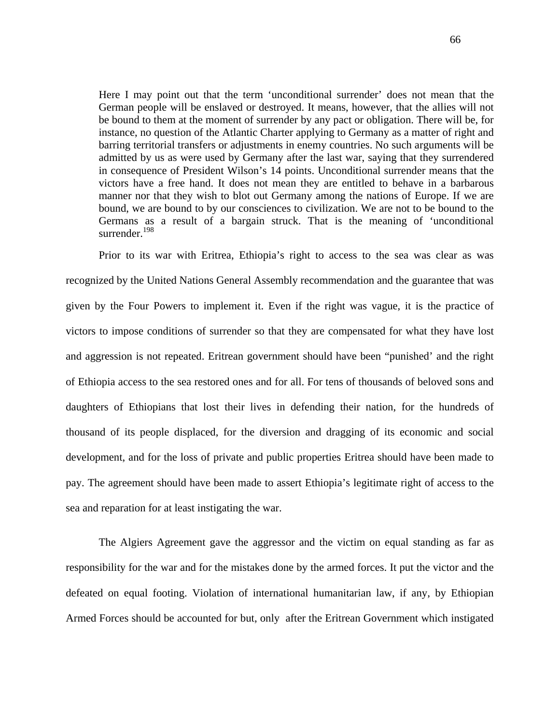Here I may point out that the term 'unconditional surrender' does not mean that the German people will be enslaved or destroyed. It means, however, that the allies will not be bound to them at the moment of surrender by any pact or obligation. There will be, for instance, no question of the Atlantic Charter applying to Germany as a matter of right and barring territorial transfers or adjustments in enemy countries. No such arguments will be admitted by us as were used by Germany after the last war, saying that they surrendered in consequence of President Wilson's 14 points. Unconditional surrender means that the victors have a free hand. It does not mean they are entitled to behave in a barbarous manner nor that they wish to blot out Germany among the nations of Europe. If we are bound, we are bound to by our consciences to civilization. We are not to be bound to the Germans as a result of a bargain struck. That is the meaning of 'unconditional surrender.<sup>198</sup>

 Prior to its war with Eritrea, Ethiopia's right to access to the sea was clear as was recognized by the United Nations General Assembly recommendation and the guarantee that was given by the Four Powers to implement it. Even if the right was vague, it is the practice of victors to impose conditions of surrender so that they are compensated for what they have lost and aggression is not repeated. Eritrean government should have been "punished' and the right of Ethiopia access to the sea restored ones and for all. For tens of thousands of beloved sons and daughters of Ethiopians that lost their lives in defending their nation, for the hundreds of thousand of its people displaced, for the diversion and dragging of its economic and social development, and for the loss of private and public properties Eritrea should have been made to pay. The agreement should have been made to assert Ethiopia's legitimate right of access to the sea and reparation for at least instigating the war.

The Algiers Agreement gave the aggressor and the victim on equal standing as far as responsibility for the war and for the mistakes done by the armed forces. It put the victor and the defeated on equal footing. Violation of international humanitarian law, if any, by Ethiopian Armed Forces should be accounted for but, only after the Eritrean Government which instigated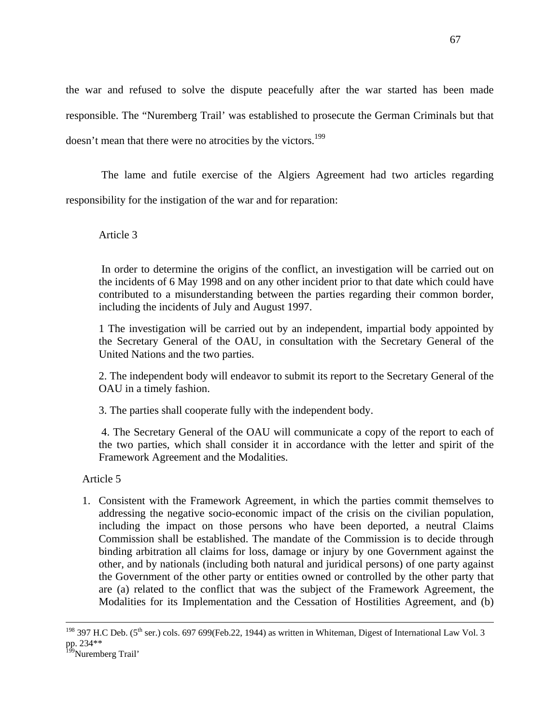the war and refused to solve the dispute peacefully after the war started has been made responsible. The "Nuremberg Trail' was established to prosecute the German Criminals but that doesn't mean that there were no atrocities by the victors.<sup>199</sup>

 The lame and futile exercise of the Algiers Agreement had two articles regarding responsibility for the instigation of the war and for reparation:

Article 3

 In order to determine the origins of the conflict, an investigation will be carried out on the incidents of 6 May 1998 and on any other incident prior to that date which could have contributed to a misunderstanding between the parties regarding their common border, including the incidents of July and August 1997.

1 The investigation will be carried out by an independent, impartial body appointed by the Secretary General of the OAU, in consultation with the Secretary General of the United Nations and the two parties.

2. The independent body will endeavor to submit its report to the Secretary General of the OAU in a timely fashion.

3. The parties shall cooperate fully with the independent body.

 4. The Secretary General of the OAU will communicate a copy of the report to each of the two parties, which shall consider it in accordance with the letter and spirit of the Framework Agreement and the Modalities.

Article 5

1. Consistent with the Framework Agreement, in which the parties commit themselves to addressing the negative socio-economic impact of the crisis on the civilian population, including the impact on those persons who have been deported, a neutral Claims Commission shall be established. The mandate of the Commission is to decide through binding arbitration all claims for loss, damage or injury by one Government against the other, and by nationals (including both natural and juridical persons) of one party against the Government of the other party or entities owned or controlled by the other party that are (a) related to the conflict that was the subject of the Framework Agreement, the Modalities for its Implementation and the Cessation of Hostilities Agreement, and (b)

<sup>&</sup>lt;sup>198</sup> 397 H.C Deb. (5<sup>th</sup> ser.) cols. 697 699(Feb.22, 1944) as written in Whiteman, Digest of International Law Vol. 3 pp. 234\*\*

<sup>&</sup>lt;sup>199</sup>Nuremberg Trail'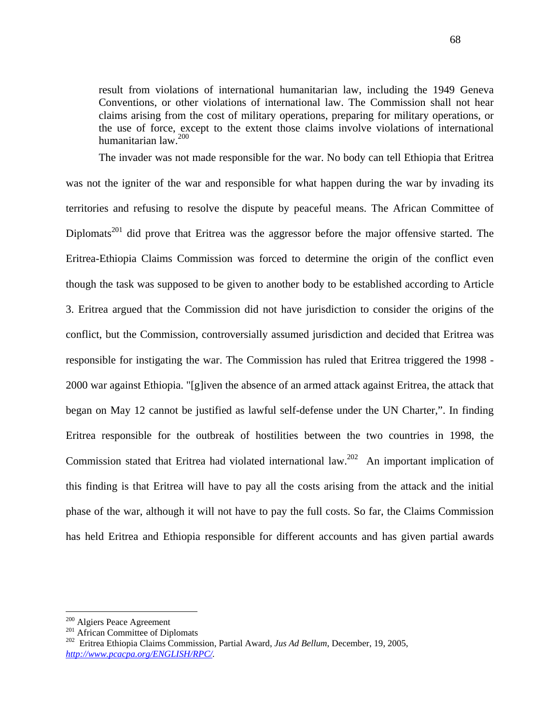result from violations of international humanitarian law, including the 1949 Geneva Conventions, or other violations of international law. The Commission shall not hear claims arising from the cost of military operations, preparing for military operations, or the use of force, except to the extent those claims involve violations of international humanitarian law.200

The invader was not made responsible for the war. No body can tell Ethiopia that Eritrea was not the igniter of the war and responsible for what happen during the war by invading its territories and refusing to resolve the dispute by peaceful means. The African Committee of Diplomats<sup>201</sup> did prove that Eritrea was the aggressor before the major offensive started. The Eritrea-Ethiopia Claims Commission was forced to determine the origin of the conflict even though the task was supposed to be given to another body to be established according to Article 3. Eritrea argued that the Commission did not have jurisdiction to consider the origins of the conflict, but the Commission, controversially assumed jurisdiction and decided that Eritrea was responsible for instigating the war. The Commission has ruled that Eritrea triggered the 1998 - 2000 war against Ethiopia. "[g]iven the absence of an armed attack against Eritrea, the attack that began on May 12 cannot be justified as lawful self-defense under the UN Charter,". In finding Eritrea responsible for the outbreak of hostilities between the two countries in 1998, the Commission stated that Eritrea had violated international law.202An important implication of this finding is that Eritrea will have to pay all the costs arising from the attack and the initial phase of the war, although it will not have to pay the full costs. So far, the Claims Commission has held Eritrea and Ethiopia responsible for different accounts and has given partial awards

 $\overline{a}$ 

<sup>&</sup>lt;sup>200</sup> Algiers Peace Agreement<br><sup>201</sup> African Committee of Diplomats<br><sup>202</sup> Eritrea Ethiopia Claims Commission, Partial Award, *Jus Ad Bellum*, December, 19, 2005, *[http://www.pcacpa.org/ENGLISH/RPC/.](http://www.pcacpa.org/ENGLISH/RPC/)*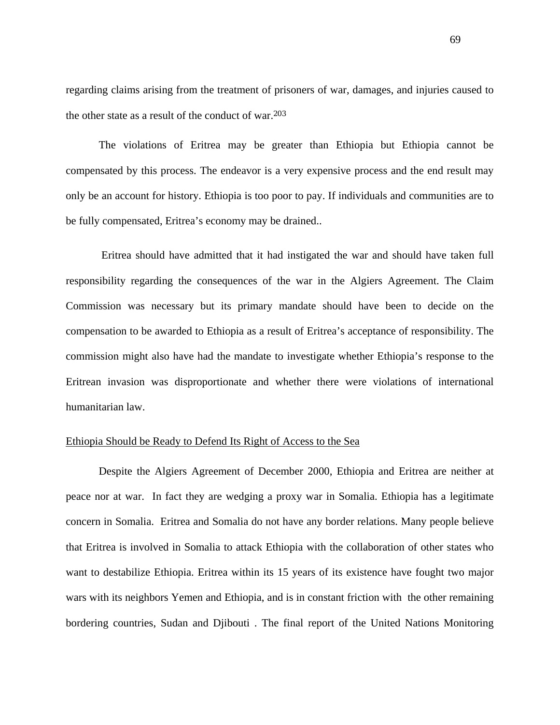regarding claims arising from the treatment of prisoners of war, damages, and injuries caused to the other state as a result of the conduct of war.203

 The violations of Eritrea may be greater than Ethiopia but Ethiopia cannot be compensated by this process. The endeavor is a very expensive process and the end result may only be an account for history. Ethiopia is too poor to pay. If individuals and communities are to be fully compensated, Eritrea's economy may be drained..

 Eritrea should have admitted that it had instigated the war and should have taken full responsibility regarding the consequences of the war in the Algiers Agreement. The Claim Commission was necessary but its primary mandate should have been to decide on the compensation to be awarded to Ethiopia as a result of Eritrea's acceptance of responsibility. The commission might also have had the mandate to investigate whether Ethiopia's response to the Eritrean invasion was disproportionate and whether there were violations of international humanitarian law.

# Ethiopia Should be Ready to Defend Its Right of Access to the Sea

Despite the Algiers Agreement of December 2000, Ethiopia and Eritrea are neither at peace nor at war. In fact they are wedging a proxy war in Somalia. Ethiopia has a legitimate concern in Somalia. Eritrea and Somalia do not have any border relations. Many people believe that Eritrea is involved in Somalia to attack Ethiopia with the collaboration of other states who want to destabilize Ethiopia. Eritrea within its 15 years of its existence have fought two major wars with its neighbors Yemen and Ethiopia, and is in constant friction with the other remaining bordering countries, Sudan and Djibouti . The final report of the United Nations Monitoring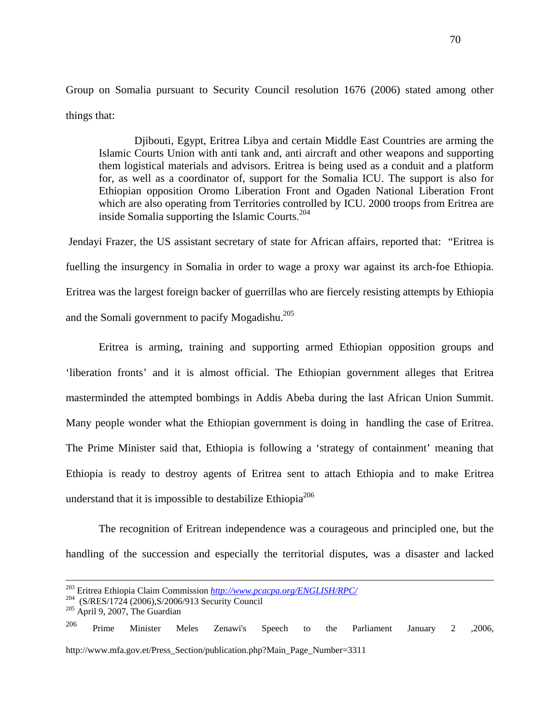Group on Somalia pursuant to Security Council resolution 1676 (2006) stated among other things that:

 Djibouti, Egypt, Eritrea Libya and certain Middle East Countries are arming the Islamic Courts Union with anti tank and, anti aircraft and other weapons and supporting them logistical materials and advisors. Eritrea is being used as a conduit and a platform for, as well as a coordinator of, support for the Somalia ICU. The support is also for Ethiopian opposition Oromo Liberation Front and Ogaden National Liberation Front which are also operating from Territories controlled by ICU. 2000 troops from Eritrea are inside Somalia supporting the Islamic Courts.204

 Jendayi Frazer, the US assistant secretary of state for African affairs, reported that: "Eritrea is fuelling the insurgency in Somalia in order to wage a proxy war against its arch-foe Ethiopia. Eritrea was the largest foreign backer of guerrillas who are fiercely resisting attempts by Ethiopia and the Somali government to pacify Mogadishu.<sup>205</sup>

 Eritrea is arming, training and supporting armed Ethiopian opposition groups and 'liberation fronts' and it is almost official. The Ethiopian government alleges that Eritrea masterminded the attempted bombings in Addis Abeba during the last African Union Summit. Many people wonder what the Ethiopian government is doing in handling the case of Eritrea. The Prime Minister said that, Ethiopia is following a 'strategy of containment' meaning that Ethiopia is ready to destroy agents of Eritrea sent to attach Ethiopia and to make Eritrea understand that it is impossible to destabilize Ethiopia<sup>206</sup>

The recognition of Eritrean independence was a courageous and principled one, but the handling of the succession and especially the territorial disputes, was a disaster and lacked

<sup>206</sup> Prime Minister Meles Zenawi's Speech to the Parliament January 2 , 2006, [http://www.mfa.gov.et/Press\\_Section/publication.php?Main\\_Page\\_Number=3311](http://www.mfa.gov.et/Press_Section/publication.php?Main_Page_Number=3311)

<sup>&</sup>lt;sup>203</sup> Eritrea Ethiopia Claim Commission *<http://www.pcacpa.org/ENGLISH/RPC/>* (S/RES/1724 (2006),S/2006/913 Security Council <sup>205</sup> April 9, 2007, The Guardian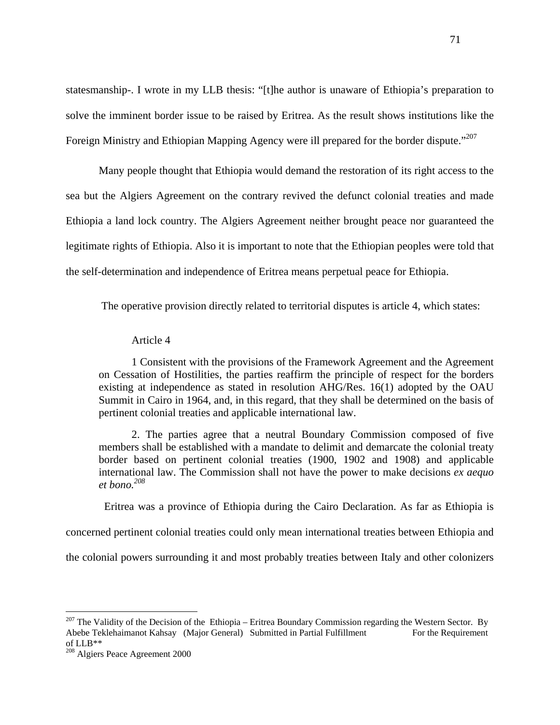statesmanship-. I wrote in my LLB thesis: "[t]he author is unaware of Ethiopia's preparation to solve the imminent border issue to be raised by Eritrea. As the result shows institutions like the Foreign Ministry and Ethiopian Mapping Agency were ill prepared for the border dispute."<sup>207</sup>

 Many people thought that Ethiopia would demand the restoration of its right access to the sea but the Algiers Agreement on the contrary revived the defunct colonial treaties and made Ethiopia a land lock country. The Algiers Agreement neither brought peace nor guaranteed the legitimate rights of Ethiopia. Also it is important to note that the Ethiopian peoples were told that the self-determination and independence of Eritrea means perpetual peace for Ethiopia.

The operative provision directly related to territorial disputes is article 4, which states:

## Article 4

1 Consistent with the provisions of the Framework Agreement and the Agreement on Cessation of Hostilities, the parties reaffirm the principle of respect for the borders existing at independence as stated in resolution AHG/Res. 16(1) adopted by the OAU Summit in Cairo in 1964, and, in this regard, that they shall be determined on the basis of pertinent colonial treaties and applicable international law.

2. The parties agree that a neutral Boundary Commission composed of five members shall be established with a mandate to delimit and demarcate the colonial treaty border based on pertinent colonial treaties (1900, 1902 and 1908) and applicable international law. The Commission shall not have the power to make decisions *ex aequo et bono.208*

Eritrea was a province of Ethiopia during the Cairo Declaration. As far as Ethiopia is

concerned pertinent colonial treaties could only mean international treaties between Ethiopia and

the colonial powers surrounding it and most probably treaties between Italy and other colonizers

<u>.</u>

<sup>&</sup>lt;sup>207</sup> The Validity of the Decision of the Ethiopia – Eritrea Boundary Commission regarding the Western Sector. By Abebe Teklehaimanot Kahsay (Major General) Submitted in Partial Fulfillment For the Requirement of LLB\*\*

<sup>&</sup>lt;sup>208</sup> Algiers Peace Agreement 2000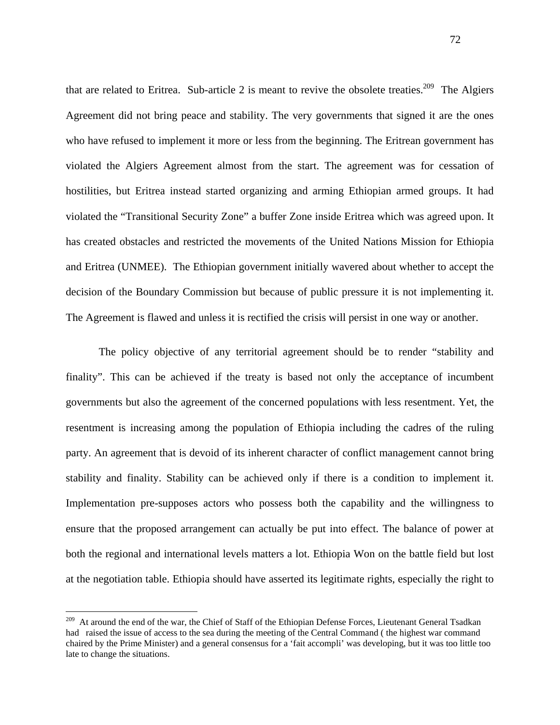that are related to Eritrea. Sub-article 2 is meant to revive the obsolete treaties.<sup>209</sup> The Algiers Agreement did not bring peace and stability. The very governments that signed it are the ones who have refused to implement it more or less from the beginning. The Eritrean government has violated the Algiers Agreement almost from the start. The agreement was for cessation of hostilities, but Eritrea instead started organizing and arming Ethiopian armed groups. It had violated the "Transitional Security Zone" a buffer Zone inside Eritrea which was agreed upon. It has created obstacles and restricted the movements of the United Nations Mission for Ethiopia and Eritrea (UNMEE). The Ethiopian government initially wavered about whether to accept the decision of the Boundary Commission but because of public pressure it is not implementing it. The Agreement is flawed and unless it is rectified the crisis will persist in one way or another.

The policy objective of any territorial agreement should be to render "stability and finality". This can be achieved if the treaty is based not only the acceptance of incumbent governments but also the agreement of the concerned populations with less resentment. Yet, the resentment is increasing among the population of Ethiopia including the cadres of the ruling party. An agreement that is devoid of its inherent character of conflict management cannot bring stability and finality. Stability can be achieved only if there is a condition to implement it. Implementation pre-supposes actors who possess both the capability and the willingness to ensure that the proposed arrangement can actually be put into effect. The balance of power at both the regional and international levels matters a lot. Ethiopia Won on the battle field but lost at the negotiation table. Ethiopia should have asserted its legitimate rights, especially the right to

<u>.</u>

<sup>&</sup>lt;sup>209</sup> At around the end of the war, the Chief of Staff of the Ethiopian Defense Forces, Lieutenant General Tsadkan had raised the issue of access to the sea during the meeting of the Central Command ( the highest war command chaired by the Prime Minister) and a general consensus for a 'fait accompli' was developing, but it was too little too late to change the situations.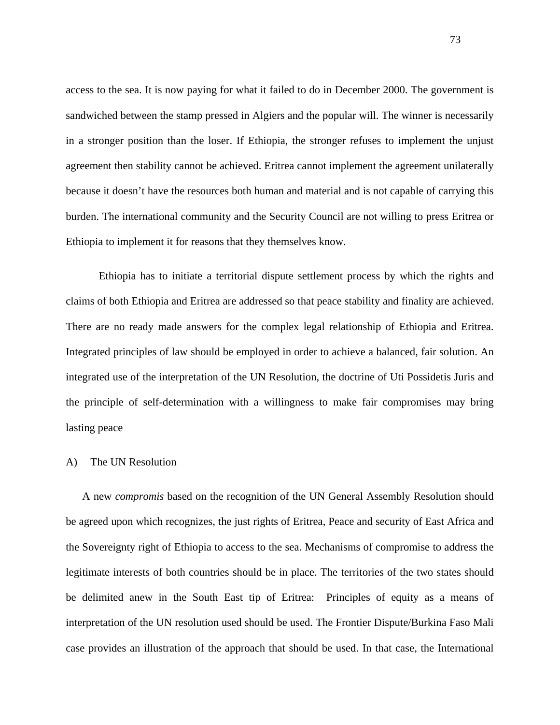access to the sea. It is now paying for what it failed to do in December 2000. The government is sandwiched between the stamp pressed in Algiers and the popular will. The winner is necessarily in a stronger position than the loser. If Ethiopia, the stronger refuses to implement the unjust agreement then stability cannot be achieved. Eritrea cannot implement the agreement unilaterally because it doesn't have the resources both human and material and is not capable of carrying this burden. The international community and the Security Council are not willing to press Eritrea or Ethiopia to implement it for reasons that they themselves know.

Ethiopia has to initiate a territorial dispute settlement process by which the rights and claims of both Ethiopia and Eritrea are addressed so that peace stability and finality are achieved. There are no ready made answers for the complex legal relationship of Ethiopia and Eritrea. Integrated principles of law should be employed in order to achieve a balanced, fair solution. An integrated use of the interpretation of the UN Resolution, the doctrine of Uti Possidetis Juris and the principle of self-determination with a willingness to make fair compromises may bring lasting peace

#### A) The UN Resolution

A new *compromis* based on the recognition of the UN General Assembly Resolution should be agreed upon which recognizes, the just rights of Eritrea, Peace and security of East Africa and the Sovereignty right of Ethiopia to access to the sea. Mechanisms of compromise to address the legitimate interests of both countries should be in place. The territories of the two states should be delimited anew in the South East tip of Eritrea: Principles of equity as a means of interpretation of the UN resolution used should be used. The Frontier Dispute/Burkina Faso Mali case provides an illustration of the approach that should be used. In that case, the International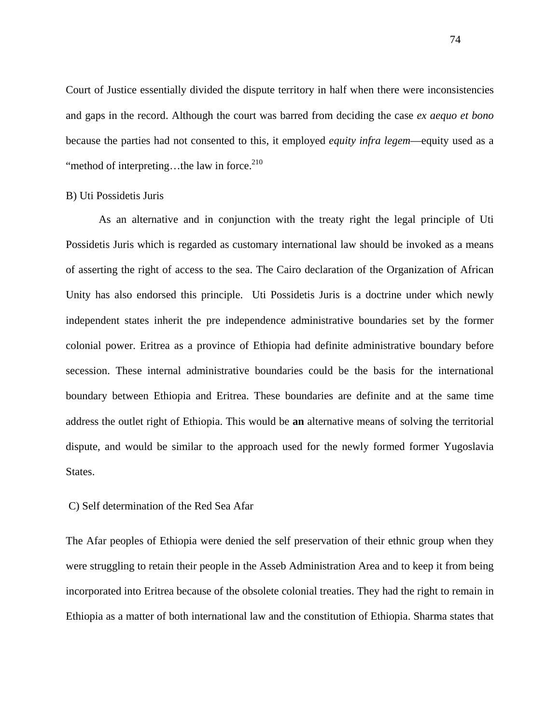Court of Justice essentially divided the dispute territory in half when there were inconsistencies and gaps in the record. Although the court was barred from deciding the case *ex aequo et bono* because the parties had not consented to this, it employed *equity infra legem*—equity used as a "method of interpreting...the law in force. $^{210}$ 

## B) Uti Possidetis Juris

As an alternative and in conjunction with the treaty right the legal principle of Uti Possidetis Juris which is regarded as customary international law should be invoked as a means of asserting the right of access to the sea. The Cairo declaration of the Organization of African Unity has also endorsed this principle. Uti Possidetis Juris is a doctrine under which newly independent states inherit the pre independence administrative boundaries set by the former colonial power. Eritrea as a province of Ethiopia had definite administrative boundary before secession. These internal administrative boundaries could be the basis for the international boundary between Ethiopia and Eritrea. These boundaries are definite and at the same time address the outlet right of Ethiopia. This would be **an** alternative means of solving the territorial dispute, and would be similar to the approach used for the newly formed former Yugoslavia States.

## C) Self determination of the Red Sea Afar

The Afar peoples of Ethiopia were denied the self preservation of their ethnic group when they were struggling to retain their people in the Asseb Administration Area and to keep it from being incorporated into Eritrea because of the obsolete colonial treaties. They had the right to remain in Ethiopia as a matter of both international law and the constitution of Ethiopia. Sharma states that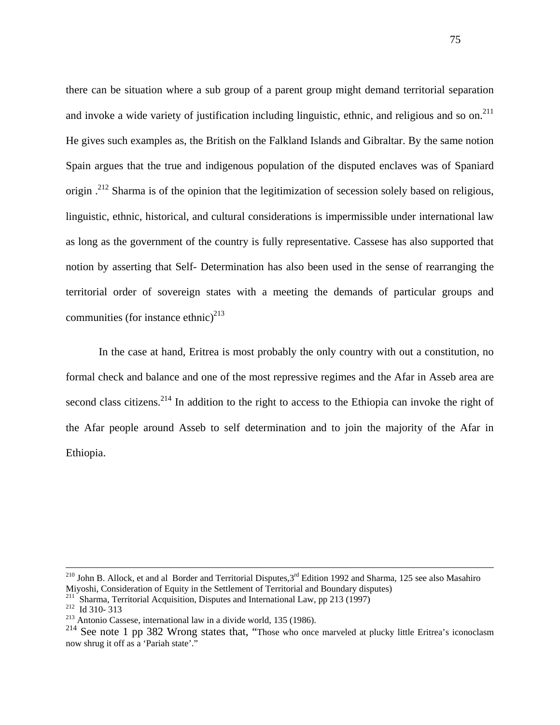there can be situation where a sub group of a parent group might demand territorial separation and invoke a wide variety of justification including linguistic, ethnic, and religious and so on.<sup>211</sup> He gives such examples as, the British on the Falkland Islands and Gibraltar. By the same notion Spain argues that the true and indigenous population of the disputed enclaves was of Spaniard origin .<sup>212</sup> Sharma is of the opinion that the legitimization of secession solely based on religious, linguistic, ethnic, historical, and cultural considerations is impermissible under international law as long as the government of the country is fully representative. Cassese has also supported that notion by asserting that Self- Determination has also been used in the sense of rearranging the territorial order of sovereign states with a meeting the demands of particular groups and communities (for instance ethnic)<sup>213</sup>

In the case at hand, Eritrea is most probably the only country with out a constitution, no formal check and balance and one of the most repressive regimes and the Afar in Asseb area are second class citizens.<sup>214</sup> In addition to the right to access to the Ethiopia can invoke the right of the Afar people around Asseb to self determination and to join the majority of the Afar in Ethiopia.

<sup>&</sup>lt;sup>210</sup> John B. Allock, et and al Border and Territorial Disputes,  $3<sup>rd</sup>$  Edition 1992 and Sharma, 125 see also Masahiro Miyoshi, Consideration of Equity in the Settlement of Territorial and Boundary disputes)

<sup>&</sup>lt;sup>211</sup> Sharma, Territorial Acquisition, Disputes and International Law, pp 213 (1997)<sup>212</sup> Id 310- 313<br><sup>212</sup> Antonio Cassese, international law in a divide world, 135 (1986).

<sup>&</sup>lt;sup>213</sup> Antonio Cassese, international law in a divide world, 135 (1986).<br><sup>214</sup> See note 1 pp 382 Wrong states that, "Those who once marveled at plucky little Eritrea's iconoclasm now shrug it off as a 'Pariah state'."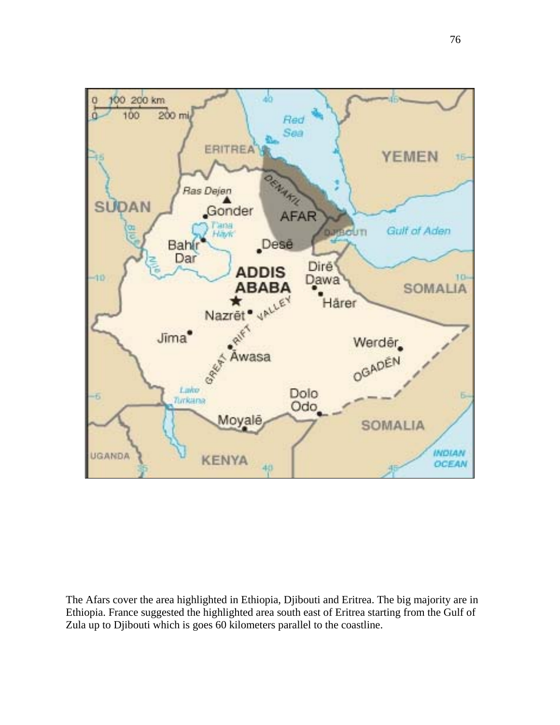

The Afars cover the area highlighted in Ethiopia, Djibouti and Eritrea. The big majority are in Ethiopia. France suggested the highlighted area south east of Eritrea starting from the Gulf of Zula up to Djibouti which is goes 60 kilometers parallel to the coastline.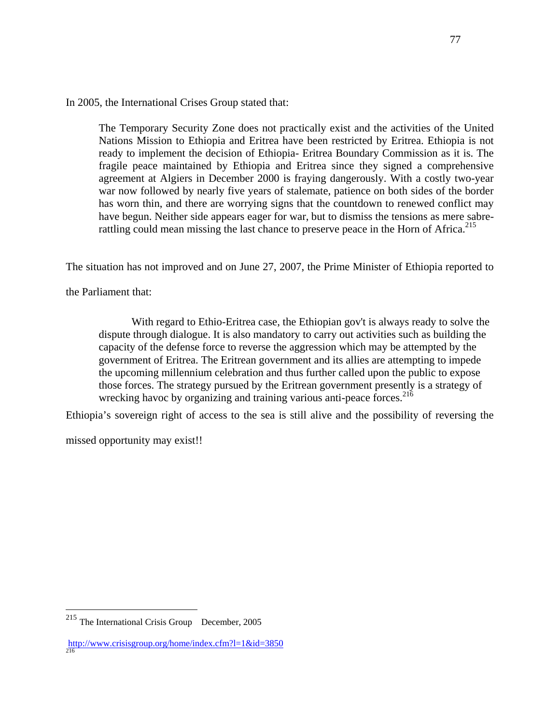In 2005, the International Crises Group stated that:

The Temporary Security Zone does not practically exist and the activities of the United Nations Mission to Ethiopia and Eritrea have been restricted by Eritrea. Ethiopia is not ready to implement the decision of Ethiopia- Eritrea Boundary Commission as it is. The fragile peace maintained by Ethiopia and Eritrea since they signed a comprehensive agreement at Algiers in December 2000 is fraying dangerously. With a costly two-year war now followed by nearly five years of stalemate, patience on both sides of the border has worn thin, and there are worrying signs that the countdown to renewed conflict may have begun. Neither side appears eager for war, but to dismiss the tensions as mere sabrerattling could mean missing the last chance to preserve peace in the Horn of Africa.<sup>215</sup>

The situation has not improved and on June 27, 2007, the Prime Minister of Ethiopia reported to

the Parliament that:

 With regard to Ethio-Eritrea case, the Ethiopian gov't is always ready to solve the dispute through dialogue. It is also mandatory to carry out activities such as building the capacity of the defense force to reverse the aggression which may be attempted by the government of Eritrea. The Eritrean government and its allies are attempting to impede the upcoming millennium celebration and thus further called upon the public to expose those forces. The strategy pursued by the Eritrean government presently is a strategy of wrecking havoc by organizing and training various anti-peace forces.<sup>216</sup>

Ethiopia's sovereign right of access to the sea is still alive and the possibility of reversing the

missed opportunity may exist!!

 $\overline{a}$  $215$  The International Crisis Group December, 2005

<http://www.crisisgroup.org/home/index.cfm?l=1&id=3850> 216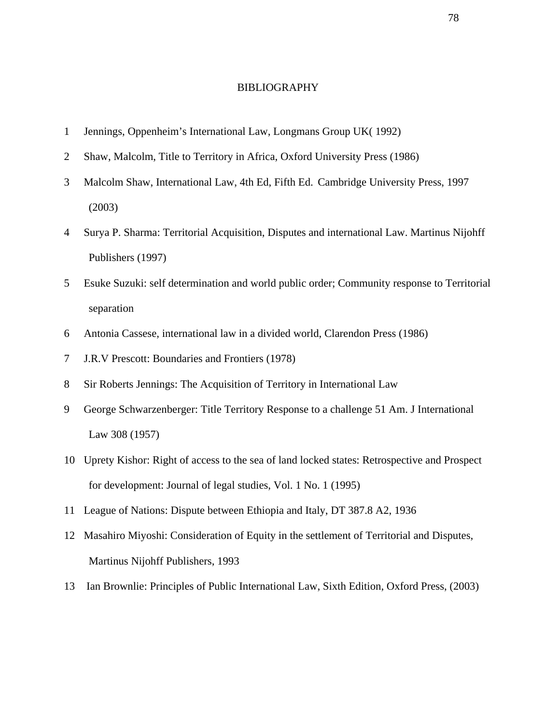#### BIBLIOGRAPHY

- 1 Jennings, Oppenheim's International Law, Longmans Group UK( 1992)
- 2 Shaw, Malcolm, Title to Territory in Africa, Oxford University Press (1986)
- 3 Malcolm Shaw, International Law, 4th Ed, Fifth Ed. Cambridge University Press, 1997 (2003)
- 4 Surya P. Sharma: Territorial Acquisition, Disputes and international Law. Martinus Nijohff Publishers (1997)
- 5 Esuke Suzuki: self determination and world public order; Community response to Territorial separation
- 6 Antonia Cassese, international law in a divided world, Clarendon Press (1986)
- 7 J.R.V Prescott: Boundaries and Frontiers (1978)
- 8 Sir Roberts Jennings: The Acquisition of Territory in International Law
- 9 George Schwarzenberger: Title Territory Response to a challenge 51 Am. J International Law 308 (1957)
- 10 Uprety Kishor: Right of access to the sea of land locked states: Retrospective and Prospect for development: Journal of legal studies, Vol. 1 No. 1 (1995)
- 11 League of Nations: Dispute between Ethiopia and Italy, DT 387.8 A2, 1936
- 12 Masahiro Miyoshi: Consideration of Equity in the settlement of Territorial and Disputes, Martinus Nijohff Publishers, 1993
- 13 Ian Brownlie: Principles of Public International Law, Sixth Edition, Oxford Press, (2003)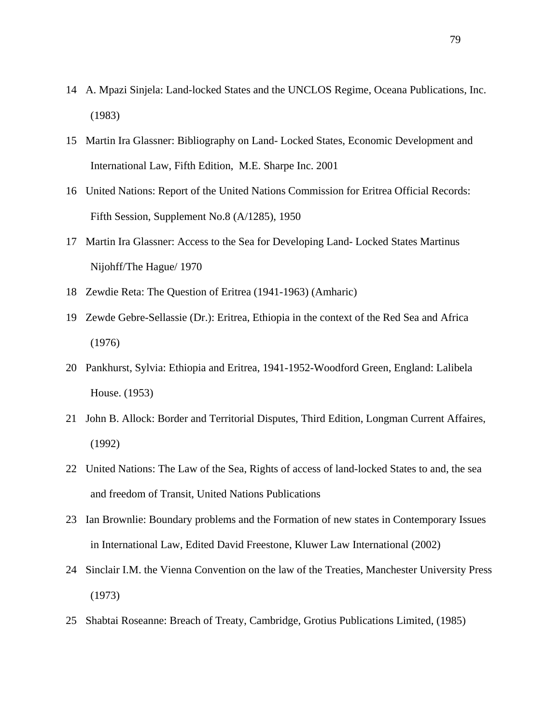- 14 A. Mpazi Sinjela: Land-locked States and the UNCLOS Regime, Oceana Publications, Inc. (1983)
- 15 Martin Ira Glassner: Bibliography on Land- Locked States, Economic Development and International Law, Fifth Edition, M.E. Sharpe Inc. 2001
- 16 United Nations: Report of the United Nations Commission for Eritrea Official Records: Fifth Session, Supplement No.8 (A/1285), 1950
- 17 Martin Ira Glassner: Access to the Sea for Developing Land- Locked States Martinus Nijohff/The Hague/ 1970
- 18 Zewdie Reta: The Question of Eritrea (1941-1963) (Amharic)
- 19 Zewde Gebre-Sellassie (Dr.): Eritrea, Ethiopia in the context of the Red Sea and Africa (1976)
- 20 Pankhurst, Sylvia: Ethiopia and Eritrea, 1941-1952-Woodford Green, England: Lalibela House. (1953)
- 21 John B. Allock: Border and Territorial Disputes, Third Edition, Longman Current Affaires, (1992)
- 22 United Nations: The Law of the Sea, Rights of access of land-locked States to and, the sea and freedom of Transit, United Nations Publications
- 23 Ian Brownlie: Boundary problems and the Formation of new states in Contemporary Issues in International Law, Edited David Freestone, Kluwer Law International (2002)
- 24 Sinclair I.M. the Vienna Convention on the law of the Treaties, Manchester University Press (1973)
- 25 Shabtai Roseanne: Breach of Treaty, Cambridge, Grotius Publications Limited, (1985)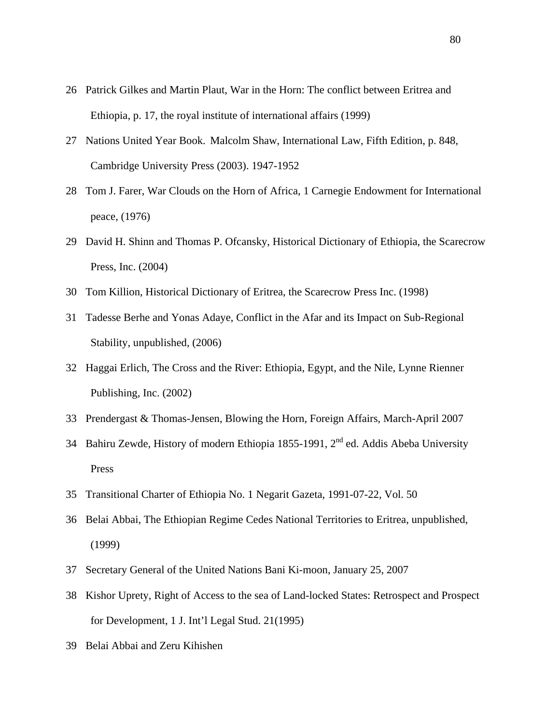- 26 Patrick Gilkes and Martin Plaut, War in the Horn: The conflict between Eritrea and Ethiopia, p. 17, the royal institute of international affairs (1999)
- 27 Nations United Year Book. Malcolm Shaw, International Law, Fifth Edition, p. 848, Cambridge University Press (2003). 1947-1952
- 28 Tom J. Farer, War Clouds on the Horn of Africa, 1 Carnegie Endowment for International peace, (1976)
- 29 David H. Shinn and Thomas P. Ofcansky, Historical Dictionary of Ethiopia, the Scarecrow Press, Inc. (2004)
- 30 Tom Killion, Historical Dictionary of Eritrea, the Scarecrow Press Inc. (1998)
- 31 Tadesse Berhe and Yonas Adaye, Conflict in the Afar and its Impact on Sub-Regional Stability, unpublished, (2006)
- 32 Haggai Erlich, The Cross and the River: Ethiopia, Egypt, and the Nile, Lynne Rienner Publishing, Inc. (2002)
- 33 Prendergast & Thomas-Jensen, Blowing the Horn, Foreign Affairs, March-April 2007
- 34 Bahiru Zewde, History of modern Ethiopia 1855-1991,  $2^{nd}$  ed. Addis Abeba University Press
- 35 Transitional Charter of Ethiopia No. 1 Negarit Gazeta, 1991-07-22, Vol. 50
- 36 Belai Abbai, The Ethiopian Regime Cedes National Territories to Eritrea, unpublished, (1999)
- 37 Secretary General of the United Nations Bani Ki-moon, January 25, 2007
- 38 Kishor Uprety, Right of Access to the sea of Land-locked States: Retrospect and Prospect for Development, 1 J. Int'l Legal Stud. 21(1995)
- 39 Belai Abbai and Zeru Kihishen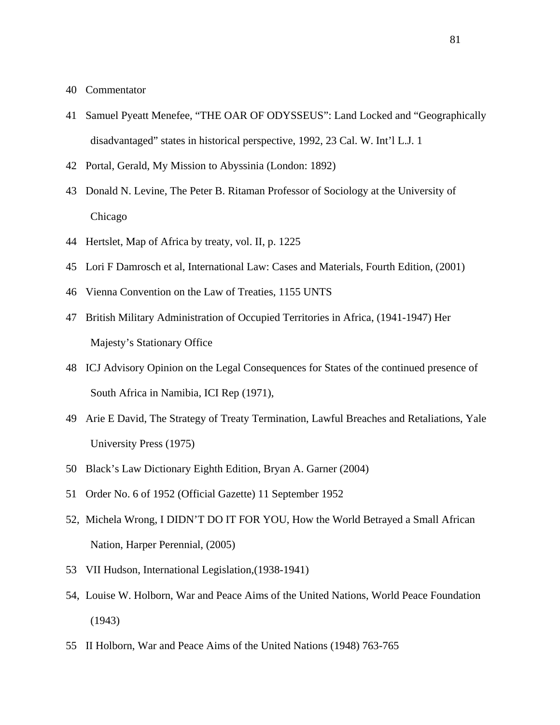- 40 Commentator
- 41 Samuel Pyeatt Menefee, "THE OAR OF ODYSSEUS": Land Locked and "Geographically disadvantaged" states in historical perspective, 1992, 23 Cal. W. Int'l L.J. 1
- 42 Portal, Gerald, My Mission to Abyssinia (London: 1892)
- 43 Donald N. Levine, The Peter B. Ritaman Professor of Sociology at the University of Chicago
- 44 Hertslet, Map of Africa by treaty, vol. II, p. 1225
- 45 Lori F Damrosch et al, International Law: Cases and Materials, Fourth Edition, (2001)
- 46 Vienna Convention on the Law of Treaties, 1155 UNTS
- 47 British Military Administration of Occupied Territories in Africa, (1941-1947) Her Majesty's Stationary Office
- 48 ICJ Advisory Opinion on the Legal Consequences for States of the continued presence of South Africa in Namibia, ICI Rep (1971),
- 49 Arie E David, The Strategy of Treaty Termination, Lawful Breaches and Retaliations, Yale University Press (1975)
- 50 Black's Law Dictionary Eighth Edition, Bryan A. Garner (2004)
- 51 Order No. 6 of 1952 (Official Gazette) 11 September 1952
- 52, Michela Wrong, I DIDN'T DO IT FOR YOU, How the World Betrayed a Small African Nation, Harper Perennial, (2005)
- 53 VII Hudson, International Legislation,(1938-1941)
- 54, Louise W. Holborn, War and Peace Aims of the United Nations, World Peace Foundation (1943)
- 55 II Holborn, War and Peace Aims of the United Nations (1948) 763-765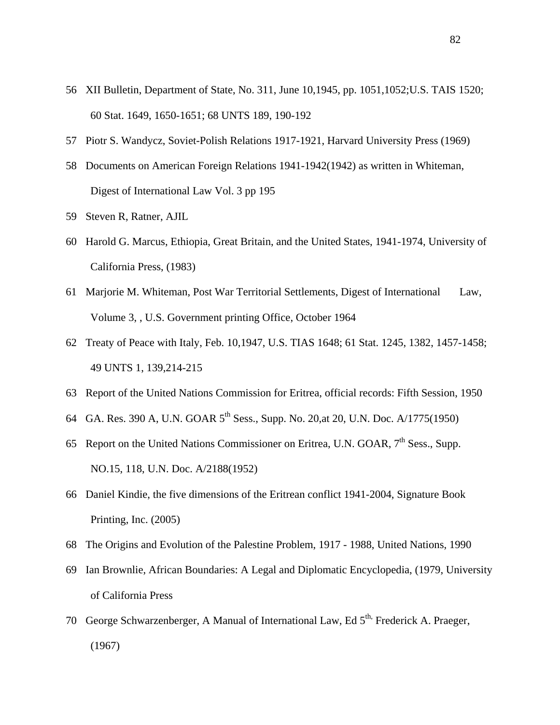- 56 XII Bulletin, Department of State, No. 311, June 10,1945, pp. 1051,1052;U.S. TAIS 1520; 60 Stat. 1649, 1650-1651; 68 UNTS 189, 190-192
- 57 Piotr S. Wandycz, Soviet-Polish Relations 1917-1921, Harvard University Press (1969)
- 58 Documents on American Foreign Relations 1941-1942(1942) as written in Whiteman, Digest of International Law Vol. 3 pp 195
- 59 Steven R, Ratner, AJIL
- 60 Harold G. Marcus, Ethiopia, Great Britain, and the United States, 1941-1974, University of California Press, (1983)
- 61 Marjorie M. Whiteman, Post War Territorial Settlements, Digest of International Law, Volume 3, , U.S. Government printing Office, October 1964
- 62 Treaty of Peace with Italy, Feb. 10,1947, U.S. TIAS 1648; 61 Stat. 1245, 1382, 1457-1458; 49 UNTS 1, 139,214-215
- 63 Report of the United Nations Commission for Eritrea, official records: Fifth Session, 1950
- 64 GA. Res. 390 A, U.N. GOAR 5<sup>th</sup> Sess., Supp. No. 20, at 20, U.N. Doc. A/1775(1950)
- 65 Report on the United Nations Commissioner on Eritrea, U.N. GOAR,  $7<sup>th</sup>$  Sess., Supp. NO.15, 118, U.N. Doc. A/2188(1952)
- 66 Daniel Kindie, the five dimensions of the Eritrean conflict 1941-2004, Signature Book Printing, Inc. (2005)
- 68 The Origins and Evolution of the Palestine Problem, 1917 1988, United Nations, 1990
- 69 Ian Brownlie, African Boundaries: A Legal and Diplomatic Encyclopedia, (1979, University of California Press
- 70 George Schwarzenberger, A Manual of International Law, Ed 5<sup>th,</sup> Frederick A. Praeger, (1967)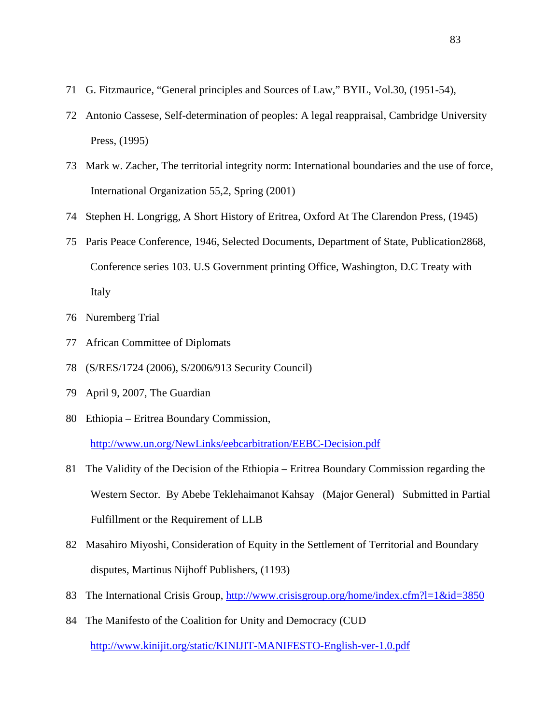- 71 G. Fitzmaurice, "General principles and Sources of Law," BYIL, Vol.30, (1951-54),
- 72 Antonio Cassese, Self-determination of peoples: A legal reappraisal, Cambridge University Press, (1995)
- 73 Mark w. Zacher, The territorial integrity norm: International boundaries and the use of force, International Organization 55,2, Spring (2001)
- 74 Stephen H. Longrigg, A Short History of Eritrea, Oxford At The Clarendon Press, (1945)
- 75 Paris Peace Conference, 1946, Selected Documents, Department of State, Publication2868, Conference series 103. U.S Government printing Office, Washington, D.C Treaty with Italy
- 76 Nuremberg Trial
- 77 African Committee of Diplomats
- 78 (S/RES/1724 (2006), S/2006/913 Security Council)
- 79 April 9, 2007, The Guardian
- 80 Ethiopia Eritrea Boundary Commission, <http://www.un.org/NewLinks/eebcarbitration/EEBC-Decision.pdf>
- 81 The Validity of the Decision of the Ethiopia Eritrea Boundary Commission regarding the Western Sector. By Abebe Teklehaimanot Kahsay (Major General) Submitted in Partial Fulfillment or the Requirement of LLB
- 82 Masahiro Miyoshi, Consideration of Equity in the Settlement of Territorial and Boundary disputes, Martinus Nijhoff Publishers, (1193)
- 83 The International Crisis Group,<http://www.crisisgroup.org/home/index.cfm?l=1&id=3850>
- 84 The Manifesto of the Coalition for Unity and Democracy (CUD <http://www.kinijit.org/static/KINIJIT-MANIFESTO-English-ver-1.0.pdf>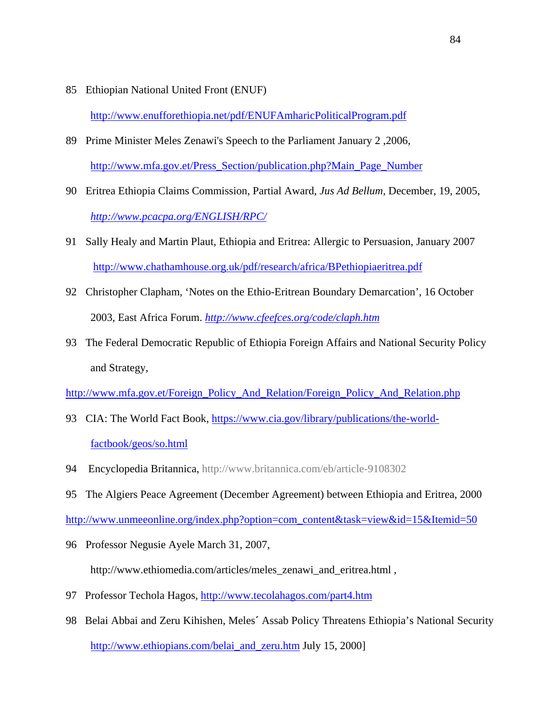85 Ethiopian National United Front (ENUF)

<http://www.enufforethiopia.net/pdf/ENUFAmharicPoliticalProgram.pdf>

- 89 Prime Minister Meles Zenawi's Speech to the Parliament January 2 ,2006, [http://www.mfa.gov.et/Press\\_Section/publication.php?Main\\_Page\\_Number](http://www.mfa.gov.et/Press_Section/publication.php?Main_Page_Number)
- 90 Eritrea Ethiopia Claims Commission, Partial Award, *Jus Ad Bellum*, December, 19, 2005, *<http://www.pcacpa.org/ENGLISH/RPC/>*
- 91 Sally Healy and Martin Plaut, Ethiopia and Eritrea: Allergic to Persuasion, January 2007 <http://www.chathamhouse.org.uk/pdf/research/africa/BPethiopiaeritrea.pdf>
- 92 Christopher Clapham, 'Notes on the Ethio-Eritrean Boundary Demarcation', 16 October 2003, East Africa Forum. *<http://www.cfeefces.org/code/claph.htm>*
- 93 The Federal Democratic Republic of Ethiopia Foreign Affairs and National Security Policy and Strategy,

[http://www.mfa.gov.et/Foreign\\_Policy\\_And\\_Relation/Foreign\\_Policy\\_And\\_Relation.php](http://www.mfa.gov.et/Foreign_Policy_And_Relation/Foreign_Policy_And_Relation.php)

- 93 [CIA: The World Fact Book, https://www.cia.gov/library/publications/the-world](https://www.cia.gov/library/publications/the-world-factbook/)factbook/geos/so.html
- 94 Encyclopedia Britannica, <http://www.britannica.com/eb/article-9108302>
- 95 The Algiers Peace Agreement (December Agreement) between Ethiopia and Eritrea, 2000

[http://www.unmeeonline.org/index.php?option=com\\_content&task=view&id=15&Itemid=50](http://www.unmeeonline.org/index.php?option=com_content&task=view&id=15&Itemid=50)

- 96 Professor Negusie Ayele March 31, 2007, [http://www.ethiomedia.com/articles/meles\\_zenawi\\_and\\_eritrea.html](http://www.ethiomedia.com/articles/meles_zenawi_and_eritrea.html) ,
- 97 Professor Techola Hagos, <http://www.tecolahagos.com/part4.htm>
- 98 Belai Abbai and Zeru Kihishen, Meles**´** Assab Policy Threatens Ethiopia's National Security [http://www.ethiopians.com/belai\\_and\\_zeru.htm](http://www.ethiopians.com/belai_and_zeru.htm) July 15, 2000]